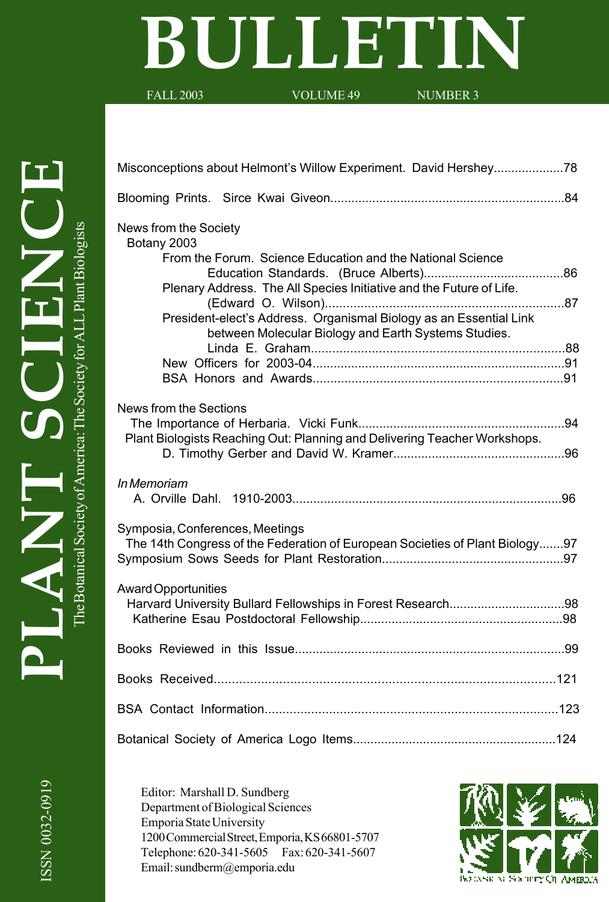# **BULLETIN**

Misconceptions about Helmont's Willow Experiment. David Hershey....................78

FALL 2003 VOLUME 49 NUMBER 3

| News from the Society<br>Botany 2003<br>From the Forum. Science Education and the National Science                         |
|----------------------------------------------------------------------------------------------------------------------------|
|                                                                                                                            |
| Plenary Address. The All Species Initiative and the Future of Life.                                                        |
| President-elect's Address. Organismal Biology as an Essential Link<br>between Molecular Biology and Earth Systems Studies. |
|                                                                                                                            |
|                                                                                                                            |
| News from the Sections                                                                                                     |
| Plant Biologists Reaching Out: Planning and Delivering Teacher Workshops.                                                  |
|                                                                                                                            |
| In Memoriam                                                                                                                |
| Symposia, Conferences, Meetings<br>The 14th Congress of the Federation of European Societies of Plant Biology97            |
| <b>Award Opportunities</b>                                                                                                 |
|                                                                                                                            |
|                                                                                                                            |
|                                                                                                                            |
|                                                                                                                            |
|                                                                                                                            |

ISSN 0032-0919 ISSN 0032-0919

Editor: Marshall D. Sundberg Department of Biological Sciences Emporia State University 1200 Commercial Street, Emporia, KS 66801-5707 Telephone: 620-341-5605 Fax: 620-341-5607 Email: sundberm@emporia.edu

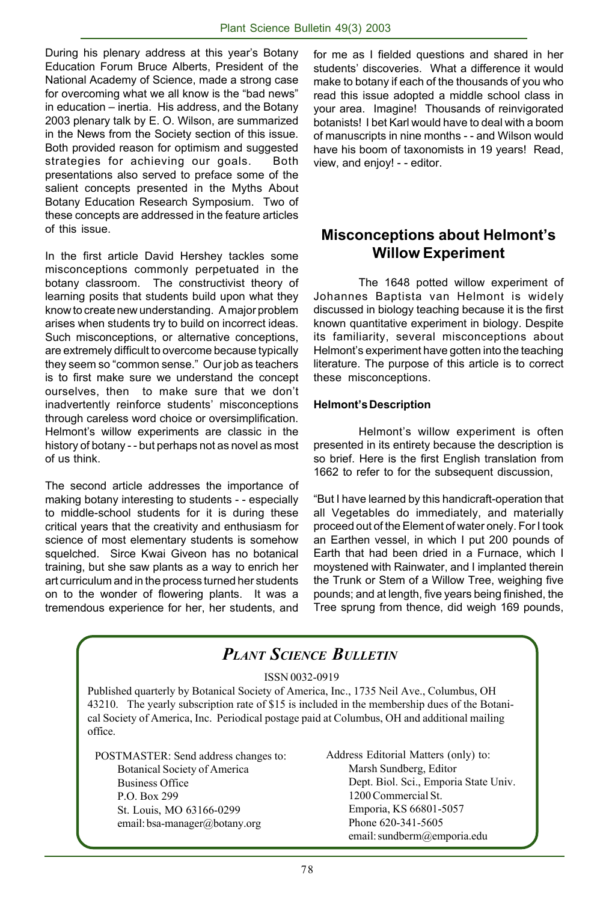During his plenary address at this year's Botany Education Forum Bruce Alberts, President of the National Academy of Science, made a strong case for overcoming what we all know is the "bad news" in education – inertia. His address, and the Botany 2003 plenary talk by E. O. Wilson, are summarized in the News from the Society section of this issue. Both provided reason for optimism and suggested strategies for achieving our goals. Both presentations also served to preface some of the salient concepts presented in the Myths About Botany Education Research Symposium. Two of these concepts are addressed in the feature articles of this issue.

In the first article David Hershey tackles some misconceptions commonly perpetuated in the botany classroom. The constructivist theory of learning posits that students build upon what they know to create new understanding. A major problem arises when students try to build on incorrect ideas. Such misconceptions, or alternative conceptions, are extremely difficult to overcome because typically they seem so "common sense." Our job as teachers is to first make sure we understand the concept ourselves, then to make sure that we don't inadvertently reinforce students' misconceptions through careless word choice or oversimplification. Helmont's willow experiments are classic in the history of botany - - but perhaps not as novel as most of us think.

The second article addresses the importance of making botany interesting to students - - especially to middle-school students for it is during these critical years that the creativity and enthusiasm for science of most elementary students is somehow squelched. Sirce Kwai Giveon has no botanical training, but she saw plants as a way to enrich her art curriculum and in the process turned her students on to the wonder of flowering plants. It was a tremendous experience for her, her students, and

for me as I fielded questions and shared in her students' discoveries. What a difference it would make to botany if each of the thousands of you who read this issue adopted a middle school class in your area. Imagine! Thousands of reinvigorated botanists! I bet Karl would have to deal with a boom of manuscripts in nine months - - and Wilson would have his boom of taxonomists in 19 years! Read, view, and enjoy! - - editor.

# **Misconceptions about Helmont's Willow Experiment**

The 1648 potted willow experiment of Johannes Baptista van Helmont is widely discussed in biology teaching because it is the first known quantitative experiment in biology. Despite its familiarity, several misconceptions about Helmont's experiment have gotten into the teaching literature. The purpose of this article is to correct these misconceptions.

#### **Helmont's Description**

Helmont's willow experiment is often presented in its entirety because the description is so brief. Here is the first English translation from 1662 to refer to for the subsequent discussion,

"But I have learned by this handicraft-operation that all Vegetables do immediately, and materially proceed out of the Element of water onely. For I took an Earthen vessel, in which I put 200 pounds of Earth that had been dried in a Furnace, which I moystened with Rainwater, and I implanted therein the Trunk or Stem of a Willow Tree, weighing five pounds; and at length, five years being finished, the Tree sprung from thence, did weigh 169 pounds,

|                                                                                                                                                                                                                                                                                                                      | <b>PLANT SCIENCE BULLETIN</b>                                                                                                                                                                                 |
|----------------------------------------------------------------------------------------------------------------------------------------------------------------------------------------------------------------------------------------------------------------------------------------------------------------------|---------------------------------------------------------------------------------------------------------------------------------------------------------------------------------------------------------------|
| ISSN 0032-0919<br>Published quarterly by Botanical Society of America, Inc., 1735 Neil Ave., Columbus, OH<br>43210. The yearly subscription rate of \$15 is included in the membership dues of the Botani-<br>cal Society of America, Inc. Periodical postage paid at Columbus, OH and additional mailing<br>office. |                                                                                                                                                                                                               |
| POSTMASTER: Send address changes to:<br><b>Botanical Society of America</b><br><b>Business Office</b><br>P.O. Box 299<br>St. Louis, MO 63166-0299<br>email: bsa-manager@botany.org                                                                                                                                   | Address Editorial Matters (only) to:<br>Marsh Sundberg, Editor<br>Dept. Biol. Sci., Emporia State Univ.<br>1200 Commercial St.<br>Emporia, KS 66801-5057<br>Phone 620-341-5605<br>email: sundberm@emporia.edu |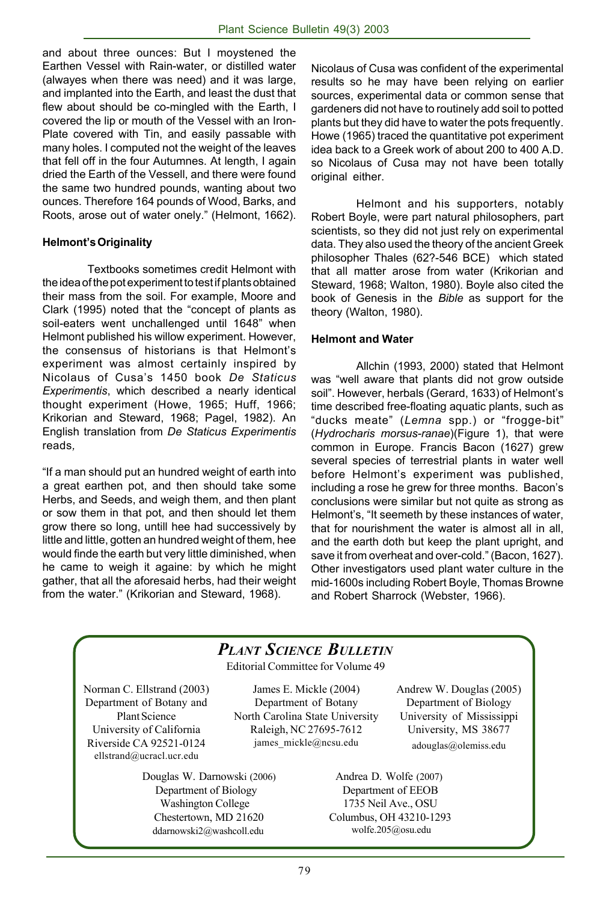and about three ounces: But I moystened the Earthen Vessel with Rain-water, or distilled water (alwayes when there was need) and it was large, and implanted into the Earth, and least the dust that flew about should be co-mingled with the Earth, I covered the lip or mouth of the Vessel with an Iron-Plate covered with Tin, and easily passable with many holes. I computed not the weight of the leaves that fell off in the four Autumnes. At length, I again dried the Earth of the Vessell, and there were found the same two hundred pounds, wanting about two ounces. Therefore 164 pounds of Wood, Barks, and Roots, arose out of water onely." (Helmont, 1662).

#### **Helmont's Originality**

Textbooks sometimes credit Helmont with the idea of the pot experiment to test if plants obtained their mass from the soil. For example, Moore and Clark (1995) noted that the "concept of plants as soil-eaters went unchallenged until 1648" when Helmont published his willow experiment. However, the consensus of historians is that Helmont's experiment was almost certainly inspired by Nicolaus of Cusa's 1450 book *De Staticus Experimentis*, which described a nearly identical thought experiment (Howe, 1965; Huff, 1966; Krikorian and Steward, 1968; Pagel, 1982). An English translation from *De Staticus Experimentis* reads*,*

"If a man should put an hundred weight of earth into a great earthen pot, and then should take some Herbs, and Seeds, and weigh them, and then plant or sow them in that pot, and then should let them grow there so long, untill hee had successively by little and little, gotten an hundred weight of them, hee would finde the earth but very little diminished, when he came to weigh it againe: by which he might gather, that all the aforesaid herbs, had their weight from the water." (Krikorian and Steward, 1968).

Nicolaus of Cusa was confident of the experimental results so he may have been relying on earlier sources, experimental data or common sense that gardeners did not have to routinely add soil to potted plants but they did have to water the pots frequently. Howe (1965) traced the quantitative pot experiment idea back to a Greek work of about 200 to 400 A.D. so Nicolaus of Cusa may not have been totally original either.

Helmont and his supporters, notably Robert Boyle, were part natural philosophers, part scientists, so they did not just rely on experimental data. They also used the theory of the ancient Greek philosopher Thales (62?-546 BCE) which stated that all matter arose from water (Krikorian and Steward, 1968; Walton, 1980). Boyle also cited the book of Genesis in the *Bible* as support for the theory (Walton, 1980).

#### **Helmont and Water**

Allchin (1993, 2000) stated that Helmont was "well aware that plants did not grow outside soil". However, herbals (Gerard, 1633) of Helmont's time described free-floating aquatic plants, such as "ducks meate" (*Lemna* spp.) or "frogge-bit" (*Hydrocharis morsus-ranae*)(Figure 1), that were common in Europe. Francis Bacon (1627) grew several species of terrestrial plants in water well before Helmont's experiment was published, including a rose he grew for three months. Bacon's conclusions were similar but not quite as strong as Helmont's, "It seemeth by these instances of water, that for nourishment the water is almost all in all, and the earth doth but keep the plant upright, and save it from overheat and over-cold." (Bacon, 1627). Other investigators used plant water culture in the mid-1600s including Robert Boyle, Thomas Browne and Robert Sharrock (Webster, 1966).

# *PLANT SCIENCE BULLETIN*

Editorial Committee for Volume 49

Norman C. Ellstrand (2003) Department of Botany and Plant Science University of California Riverside CA 92521-0124 ellstrand@ucracl.ucr.edu

> Douglas W. Darnowski (2006) Department of Biology Washington College Chestertown, MD 21620 ddarnowski2@washcoll.edu

James E. Mickle (2004) Department of Botany North Carolina State University Raleigh, NC 27695-7612 james\_mickle@ncsu.edu

Andrew W. Douglas (2005) Department of Biology University of Mississippi University, MS 38677 adouglas@olemiss.edu

Andrea D. Wolfe (2007) Department of EEOB 1735 Neil Ave., OSU Columbus, OH 43210-1293 wolfe.205@osu.edu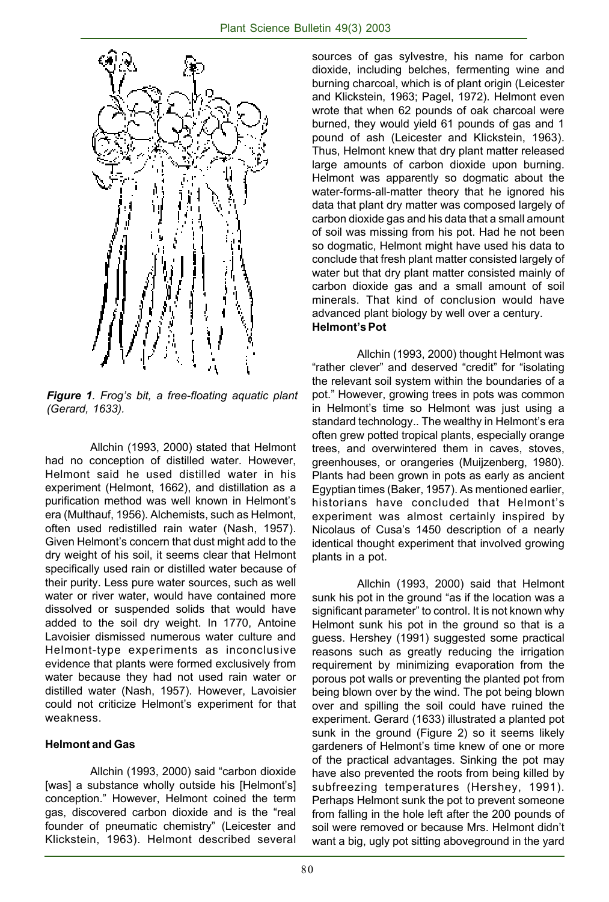

*Figure 1. Frog's bit, a free-floating aquatic plant (Gerard, 1633).*

Allchin (1993, 2000) stated that Helmont had no conception of distilled water. However, Helmont said he used distilled water in his experiment (Helmont, 1662), and distillation as a purification method was well known in Helmont's era (Multhauf, 1956). Alchemists, such as Helmont, often used redistilled rain water (Nash, 1957). Given Helmont's concern that dust might add to the dry weight of his soil, it seems clear that Helmont specifically used rain or distilled water because of their purity. Less pure water sources, such as well water or river water, would have contained more dissolved or suspended solids that would have added to the soil dry weight. In 1770, Antoine Lavoisier dismissed numerous water culture and Helmont-type experiments as inconclusive evidence that plants were formed exclusively from water because they had not used rain water or distilled water (Nash, 1957). However, Lavoisier could not criticize Helmont's experiment for that weakness.

#### **Helmont and Gas**

Allchin (1993, 2000) said "carbon dioxide [was] a substance wholly outside his [Helmont's] conception." However, Helmont coined the term gas, discovered carbon dioxide and is the "real founder of pneumatic chemistry" (Leicester and Klickstein, 1963). Helmont described several

sources of gas sylvestre, his name for carbon dioxide, including belches, fermenting wine and burning charcoal, which is of plant origin (Leicester and Klickstein, 1963; Pagel, 1972). Helmont even wrote that when 62 pounds of oak charcoal were burned, they would yield 61 pounds of gas and 1 pound of ash (Leicester and Klickstein, 1963). Thus, Helmont knew that dry plant matter released large amounts of carbon dioxide upon burning. Helmont was apparently so dogmatic about the water-forms-all-matter theory that he ignored his data that plant dry matter was composed largely of carbon dioxide gas and his data that a small amount of soil was missing from his pot. Had he not been so dogmatic, Helmont might have used his data to conclude that fresh plant matter consisted largely of water but that dry plant matter consisted mainly of carbon dioxide gas and a small amount of soil minerals. That kind of conclusion would have advanced plant biology by well over a century. **Helmont's Pot**

Allchin (1993, 2000) thought Helmont was "rather clever" and deserved "credit" for "isolating the relevant soil system within the boundaries of a pot." However, growing trees in pots was common in Helmont's time so Helmont was just using a standard technology.. The wealthy in Helmont's era often grew potted tropical plants, especially orange trees, and overwintered them in caves, stoves, greenhouses, or orangeries (Muijzenberg, 1980). Plants had been grown in pots as early as ancient Egyptian times (Baker, 1957). As mentioned earlier, historians have concluded that Helmont's experiment was almost certainly inspired by Nicolaus of Cusa's 1450 description of a nearly identical thought experiment that involved growing plants in a pot.

Allchin (1993, 2000) said that Helmont sunk his pot in the ground "as if the location was a significant parameter" to control. It is not known why Helmont sunk his pot in the ground so that is a guess. Hershey (1991) suggested some practical reasons such as greatly reducing the irrigation requirement by minimizing evaporation from the porous pot walls or preventing the planted pot from being blown over by the wind. The pot being blown over and spilling the soil could have ruined the experiment. Gerard (1633) illustrated a planted pot sunk in the ground (Figure 2) so it seems likely gardeners of Helmont's time knew of one or more of the practical advantages. Sinking the pot may have also prevented the roots from being killed by subfreezing temperatures (Hershey, 1991). Perhaps Helmont sunk the pot to prevent someone from falling in the hole left after the 200 pounds of soil were removed or because Mrs. Helmont didn't want a big, ugly pot sitting aboveground in the yard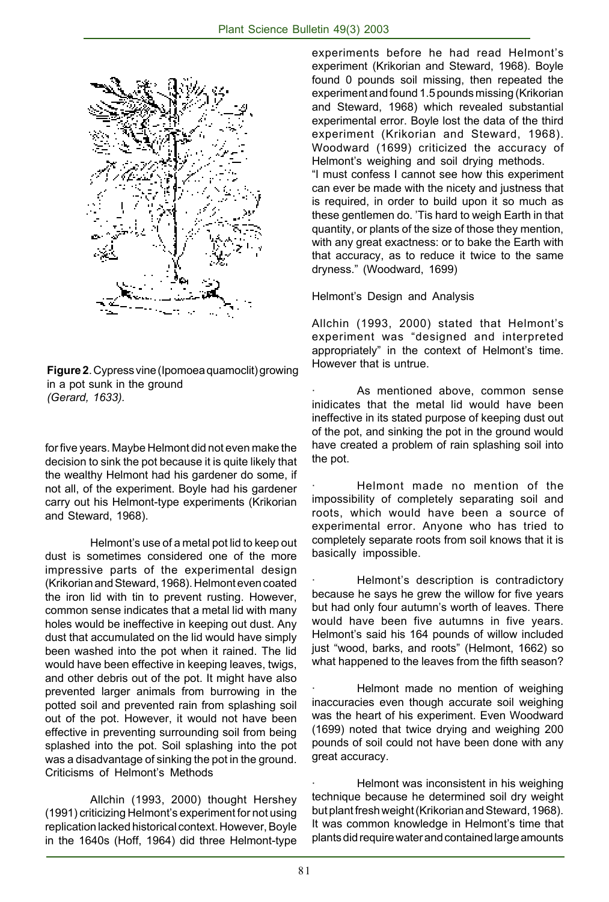

**Figure 2**. Cypress vine (Ipomoea quamoclit) growing in a pot sunk in the ground *(Gerard, 1633).*

for five years. Maybe Helmont did not even make the decision to sink the pot because it is quite likely that the wealthy Helmont had his gardener do some, if not all, of the experiment. Boyle had his gardener carry out his Helmont-type experiments (Krikorian and Steward, 1968).

Helmont's use of a metal pot lid to keep out dust is sometimes considered one of the more impressive parts of the experimental design (Krikorian and Steward, 1968). Helmont even coated the iron lid with tin to prevent rusting. However, common sense indicates that a metal lid with many holes would be ineffective in keeping out dust. Any dust that accumulated on the lid would have simply been washed into the pot when it rained. The lid would have been effective in keeping leaves, twigs, and other debris out of the pot. It might have also prevented larger animals from burrowing in the potted soil and prevented rain from splashing soil out of the pot. However, it would not have been effective in preventing surrounding soil from being splashed into the pot. Soil splashing into the pot was a disadvantage of sinking the pot in the ground. Criticisms of Helmont's Methods

Allchin (1993, 2000) thought Hershey (1991) criticizing Helmont's experiment for not using replication lacked historical context. However, Boyle in the 1640s (Hoff, 1964) did three Helmont-type experiments before he had read Helmont's experiment (Krikorian and Steward, 1968). Boyle found 0 pounds soil missing, then repeated the experiment and found 1.5 pounds missing (Krikorian and Steward, 1968) which revealed substantial experimental error. Boyle lost the data of the third experiment (Krikorian and Steward, 1968). Woodward (1699) criticized the accuracy of Helmont's weighing and soil drying methods. "I must confess I cannot see how this experiment

can ever be made with the nicety and justness that is required, in order to build upon it so much as these gentlemen do. 'Tis hard to weigh Earth in that quantity, or plants of the size of those they mention, with any great exactness: or to bake the Earth with that accuracy, as to reduce it twice to the same dryness." (Woodward, 1699)

Helmont's Design and Analysis

Allchin (1993, 2000) stated that Helmont's experiment was "designed and interpreted appropriately" in the context of Helmont's time. However that is untrue.

As mentioned above, common sense inidicates that the metal lid would have been ineffective in its stated purpose of keeping dust out of the pot, and sinking the pot in the ground would have created a problem of rain splashing soil into the pot.

· Helmont made no mention of the impossibility of completely separating soil and roots, which would have been a source of experimental error. Anyone who has tried to completely separate roots from soil knows that it is basically impossible.

Helmont's description is contradictory because he says he grew the willow for five years but had only four autumn's worth of leaves. There would have been five autumns in five years. Helmont's said his 164 pounds of willow included just "wood, barks, and roots" (Helmont, 1662) so what happened to the leaves from the fifth season?

Helmont made no mention of weighing inaccuracies even though accurate soil weighing was the heart of his experiment. Even Woodward (1699) noted that twice drying and weighing 200 pounds of soil could not have been done with any great accuracy.

Helmont was inconsistent in his weighing technique because he determined soil dry weight but plant fresh weight (Krikorian and Steward, 1968). It was common knowledge in Helmont's time that plants did require water and contained large amounts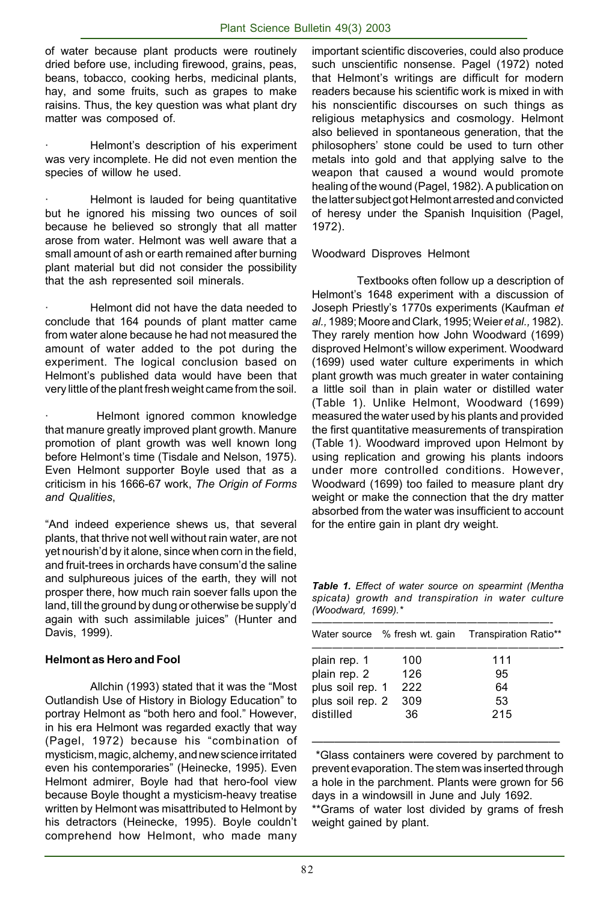of water because plant products were routinely dried before use, including firewood, grains, peas, beans, tobacco, cooking herbs, medicinal plants, hay, and some fruits, such as grapes to make raisins. Thus, the key question was what plant dry matter was composed of.

Helmont's description of his experiment was very incomplete. He did not even mention the species of willow he used.

Helmont is lauded for being quantitative but he ignored his missing two ounces of soil because he believed so strongly that all matter arose from water. Helmont was well aware that a small amount of ash or earth remained after burning plant material but did not consider the possibility that the ash represented soil minerals.

· Helmont did not have the data needed to conclude that 164 pounds of plant matter came from water alone because he had not measured the amount of water added to the pot during the experiment. The logical conclusion based on Helmont's published data would have been that very little of the plant fresh weight came from the soil.

Helmont ignored common knowledge that manure greatly improved plant growth. Manure promotion of plant growth was well known long before Helmont's time (Tisdale and Nelson, 1975). Even Helmont supporter Boyle used that as a criticism in his 1666-67 work, *The Origin of Forms and Qualities*,

"And indeed experience shews us, that several plants, that thrive not well without rain water, are not yet nourish'd by it alone, since when corn in the field, and fruit-trees in orchards have consum'd the saline and sulphureous juices of the earth, they will not prosper there, how much rain soever falls upon the land, till the ground by dung or otherwise be supply'd again with such assimilable juices" (Hunter and Davis, 1999).

#### **Helmont as Hero and Fool**

Allchin (1993) stated that it was the "Most Outlandish Use of History in Biology Education" to portray Helmont as "both hero and fool." However, in his era Helmont was regarded exactly that way (Pagel, 1972) because his "combination of mysticism, magic, alchemy, and new science irritated even his contemporaries" (Heinecke, 1995). Even Helmont admirer, Boyle had that hero-fool view because Boyle thought a mysticism-heavy treatise written by Helmont was misattributed to Helmont by his detractors (Heinecke, 1995). Boyle couldn't comprehend how Helmont, who made many

important scientific discoveries, could also produce such unscientific nonsense. Pagel (1972) noted that Helmont's writings are difficult for modern readers because his scientific work is mixed in with his nonscientific discourses on such things as religious metaphysics and cosmology. Helmont also believed in spontaneous generation, that the philosophers' stone could be used to turn other metals into gold and that applying salve to the weapon that caused a wound would promote healing of the wound (Pagel, 1982). A publication on the latter subject got Helmont arrested and convicted of heresy under the Spanish Inquisition (Pagel, 1972).

#### Woodward Disproves Helmont

Textbooks often follow up a description of Helmont's 1648 experiment with a discussion of Joseph Priestly's 1770s experiments (Kaufman *et al.,* 1989; Moore and Clark, 1995; Weier *et al.,* 1982). They rarely mention how John Woodward (1699) disproved Helmont's willow experiment. Woodward (1699) used water culture experiments in which plant growth was much greater in water containing a little soil than in plain water or distilled water (Table 1). Unlike Helmont, Woodward (1699) measured the water used by his plants and provided the first quantitative measurements of transpiration (Table 1). Woodward improved upon Helmont by using replication and growing his plants indoors under more controlled conditions. However, Woodward (1699) too failed to measure plant dry weight or make the connection that the dry matter absorbed from the water was insufficient to account for the entire gain in plant dry weight.

*Table 1. Effect of water source on spearmint (Mentha spicata) growth and transpiration in water culture (Woodward, 1699).\**

| Water source % fresh wt. gain |     | Transpiration Ratio** |
|-------------------------------|-----|-----------------------|
| plain rep. 1                  | 100 | 111                   |
| plain rep. 2                  | 126 | 95                    |
| plus soil rep. 1              | 222 | 64                    |
| plus soil rep. 2              | 309 | 53                    |
| distilled                     | 36  | 215                   |

—————————————————————— \*Glass containers were covered by parchment to prevent evaporation. The stem was inserted through a hole in the parchment. Plants were grown for 56 days in a windowsill in June and July 1692.

\*\*Grams of water lost divided by grams of fresh weight gained by plant.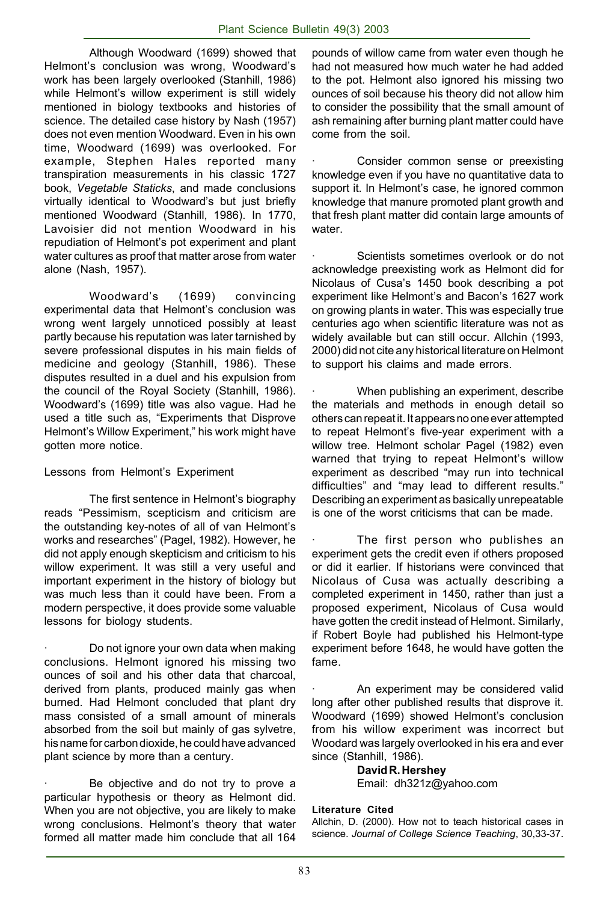Although Woodward (1699) showed that Helmont's conclusion was wrong, Woodward's work has been largely overlooked (Stanhill, 1986) while Helmont's willow experiment is still widely mentioned in biology textbooks and histories of science. The detailed case history by Nash (1957) does not even mention Woodward. Even in his own time, Woodward (1699) was overlooked. For example, Stephen Hales reported many transpiration measurements in his classic 1727 book, *Vegetable Staticks*, and made conclusions virtually identical to Woodward's but just briefly mentioned Woodward (Stanhill, 1986). In 1770, Lavoisier did not mention Woodward in his repudiation of Helmont's pot experiment and plant water cultures as proof that matter arose from water alone (Nash, 1957).

Woodward's (1699) convincing experimental data that Helmont's conclusion was wrong went largely unnoticed possibly at least partly because his reputation was later tarnished by severe professional disputes in his main fields of medicine and geology (Stanhill, 1986). These disputes resulted in a duel and his expulsion from the council of the Royal Society (Stanhill, 1986). Woodward's (1699) title was also vague. Had he used a title such as, "Experiments that Disprove Helmont's Willow Experiment," his work might have gotten more notice.

Lessons from Helmont's Experiment

The first sentence in Helmont's biography reads "Pessimism, scepticism and criticism are the outstanding key-notes of all of van Helmont's works and researches" (Pagel, 1982). However, he did not apply enough skepticism and criticism to his willow experiment. It was still a very useful and important experiment in the history of biology but was much less than it could have been. From a modern perspective, it does provide some valuable lessons for biology students.

· Do not ignore your own data when making conclusions. Helmont ignored his missing two ounces of soil and his other data that charcoal, derived from plants, produced mainly gas when burned. Had Helmont concluded that plant dry mass consisted of a small amount of minerals absorbed from the soil but mainly of gas sylvetre, his name for carbon dioxide, he could have advanced plant science by more than a century.

Be objective and do not try to prove a particular hypothesis or theory as Helmont did. When you are not objective, you are likely to make wrong conclusions. Helmont's theory that water formed all matter made him conclude that all 164

pounds of willow came from water even though he had not measured how much water he had added to the pot. Helmont also ignored his missing two ounces of soil because his theory did not allow him to consider the possibility that the small amount of ash remaining after burning plant matter could have come from the soil.

Consider common sense or preexisting knowledge even if you have no quantitative data to support it. In Helmont's case, he ignored common knowledge that manure promoted plant growth and that fresh plant matter did contain large amounts of water.

Scientists sometimes overlook or do not acknowledge preexisting work as Helmont did for Nicolaus of Cusa's 1450 book describing a pot experiment like Helmont's and Bacon's 1627 work on growing plants in water. This was especially true centuries ago when scientific literature was not as widely available but can still occur. Allchin (1993, 2000) did not cite any historical literature on Helmont to support his claims and made errors.

When publishing an experiment, describe the materials and methods in enough detail so others can repeat it. It appears no one ever attempted to repeat Helmont's five-year experiment with a willow tree. Helmont scholar Pagel (1982) even warned that trying to repeat Helmont's willow experiment as described "may run into technical difficulties" and "may lead to different results." Describing an experiment as basically unrepeatable is one of the worst criticisms that can be made.

The first person who publishes an experiment gets the credit even if others proposed or did it earlier. If historians were convinced that Nicolaus of Cusa was actually describing a completed experiment in 1450, rather than just a proposed experiment, Nicolaus of Cusa would have gotten the credit instead of Helmont. Similarly, if Robert Boyle had published his Helmont-type experiment before 1648, he would have gotten the fame.

An experiment may be considered valid long after other published results that disprove it. Woodward (1699) showed Helmont's conclusion from his willow experiment was incorrect but Woodard was largely overlooked in his era and ever since (Stanhill, 1986).

> **David R. Hershey** Email: dh321z@yahoo.com

#### **Literature Cited**

Allchin, D. (2000). How not to teach historical cases in science. *Journal of College Science Teaching*, 30,33-37.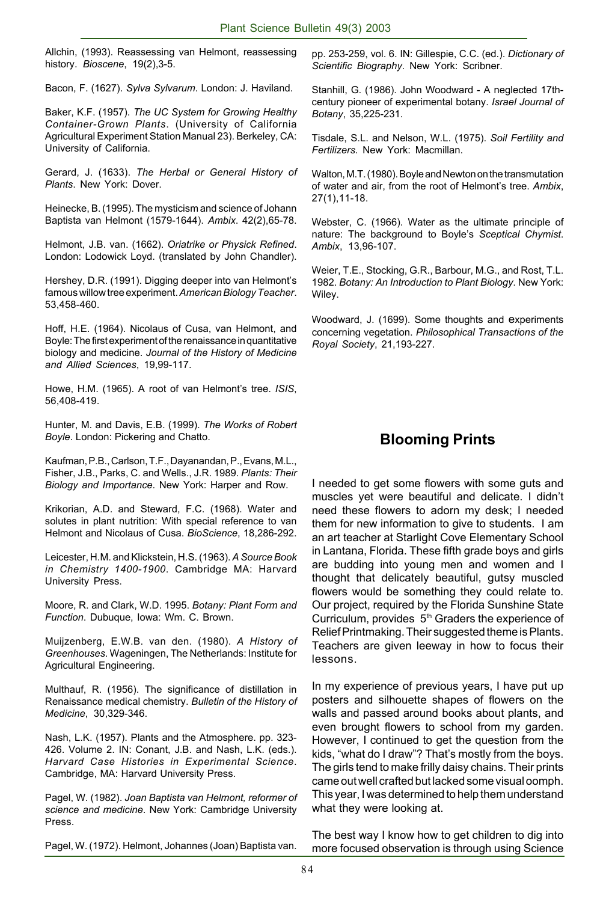Allchin, (1993). Reassessing van Helmont, reassessing history. *Bioscene*, 19(2),3-5.

Bacon, F. (1627). *Sylva Sylvarum*. London: J. Haviland.

Baker, K.F. (1957). *The UC System for Growing Healthy Container-Grown Plants*. (University of California Agricultural Experiment Station Manual 23). Berkeley, CA: University of California.

Gerard, J. (1633). *The Herbal or General History of Plants*. New York: Dover.

Heinecke, B. (1995). The mysticism and science of Johann Baptista van Helmont (1579-1644). *Ambix*. 42(2),65-78.

Helmont, J.B. van. (1662). *Oriatrike or Physick Refined*. London: Lodowick Loyd. (translated by John Chandler).

Hershey, D.R. (1991). Digging deeper into van Helmont's famous willow tree experiment. *American Biology Teacher*. 53,458-460.

Hoff, H.E. (1964). Nicolaus of Cusa, van Helmont, and Boyle: The first experiment of the renaissance in quantitative biology and medicine. *Journal of the History of Medicine and Allied Sciences*, 19,99-117.

Howe, H.M. (1965). A root of van Helmont's tree. *ISIS*, 56,408-419.

Hunter, M. and Davis, E.B. (1999). *The Works of Robert Boyle*. London: Pickering and Chatto.

Kaufman, P.B., Carlson, T.F., Dayanandan, P., Evans, M.L., Fisher, J.B., Parks, C. and Wells., J.R. 1989. *Plants: Their Biology and Importance*. New York: Harper and Row.

Krikorian, A.D. and Steward, F.C. (1968). Water and solutes in plant nutrition: With special reference to van Helmont and Nicolaus of Cusa. *BioScience*, 18,286-292.

Leicester, H.M. and Klickstein, H.S. (1963). *A Source Book in Chemistry 1400-1900*. Cambridge MA: Harvard University Press.

Moore, R. and Clark, W.D. 1995. *Botany: Plant Form and Function*. Dubuque, Iowa: Wm. C. Brown.

Muijzenberg, E.W.B. van den. (1980). *A History of Greenhouses*. Wageningen, The Netherlands: Institute for Agricultural Engineering.

Multhauf, R. (1956). The significance of distillation in Renaissance medical chemistry. *Bulletin of the History of Medicine*, 30,329-346.

Nash, L.K. (1957). Plants and the Atmosphere. pp. 323- 426. Volume 2. IN: Conant, J.B. and Nash, L.K. (eds.). *Harvard Case Histories in Experimental Science*. Cambridge, MA: Harvard University Press.

Pagel, W. (1982). *Joan Baptista van Helmont, reformer of science and medicine*. New York: Cambridge University Press.

Pagel, W. (1972). Helmont, Johannes (Joan) Baptista van.

pp. 253-259, vol. 6. IN: Gillespie, C.C. (ed.). *Dictionary of Scientific Biography*. New York: Scribner.

Stanhill, G. (1986). John Woodward - A neglected 17thcentury pioneer of experimental botany. *Israel Journal of Botany*, 35,225-231.

Tisdale, S.L. and Nelson, W.L. (1975). *Soil Fertility and Fertilizers*. New York: Macmillan.

Walton, M.T. (1980). Boyle and Newton on the transmutation of water and air, from the root of Helmont's tree. *Ambix*, 27(1),11-18.

Webster, C. (1966). Water as the ultimate principle of nature: The background to Boyle's *Sceptical Chymist*. *Ambix*, 13,96-107.

Weier, T.E., Stocking, G.R., Barbour, M.G., and Rost, T.L. 1982. *Botany: An Introduction to Plant Biology*. New York: Wiley.

Woodward, J. (1699). Some thoughts and experiments concerning vegetation. *Philosophical Transactions of the Royal Society*, 21,193-227.

# **Blooming Prints**

I needed to get some flowers with some guts and muscles yet were beautiful and delicate. I didn't need these flowers to adorn my desk; I needed them for new information to give to students. I am an art teacher at Starlight Cove Elementary School in Lantana, Florida. These fifth grade boys and girls are budding into young men and women and I thought that delicately beautiful, gutsy muscled flowers would be something they could relate to. Our project, required by the Florida Sunshine State Curriculum, provides  $5<sup>th</sup>$  Graders the experience of Relief Printmaking. Their suggested theme is Plants. Teachers are given leeway in how to focus their lessons.

In my experience of previous years, I have put up posters and silhouette shapes of flowers on the walls and passed around books about plants, and even brought flowers to school from my garden. However, I continued to get the question from the kids, "what do I draw"? That's mostly from the boys. The girls tend to make frilly daisy chains. Their prints came out well crafted but lacked some visual oomph. This year, I was determined to help them understand what they were looking at.

The best way I know how to get children to dig into more focused observation is through using Science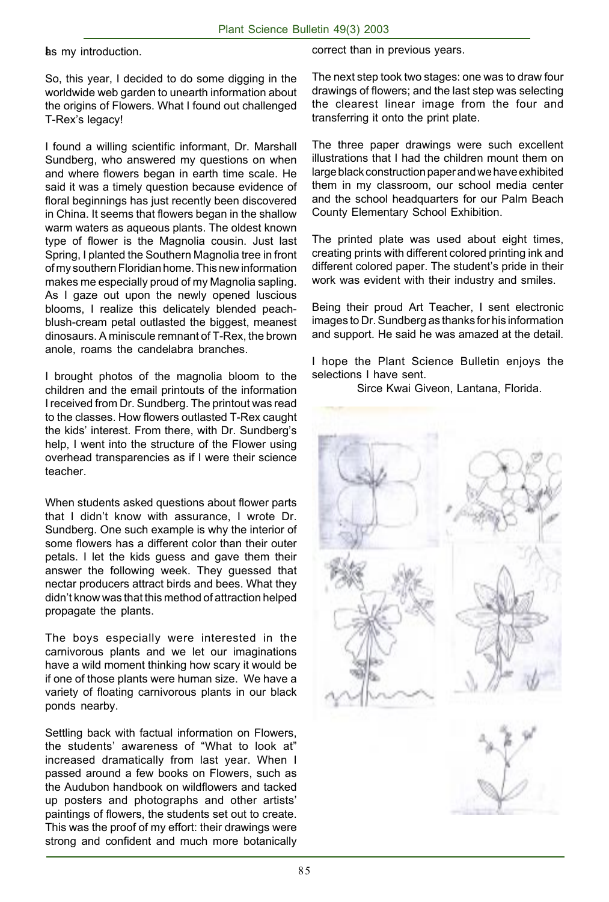**I** as my introduction.

So, this year, I decided to do some digging in the worldwide web garden to unearth information about the origins of Flowers. What I found out challenged T-Rex's legacy!

I found a willing scientific informant, Dr. Marshall Sundberg, who answered my questions on when and where flowers began in earth time scale. He said it was a timely question because evidence of floral beginnings has just recently been discovered in China. It seems that flowers began in the shallow warm waters as aqueous plants. The oldest known type of flower is the Magnolia cousin. Just last Spring, I planted the Southern Magnolia tree in front of my southern Floridian home. This new information makes me especially proud of my Magnolia sapling. As I gaze out upon the newly opened luscious blooms, I realize this delicately blended peachblush-cream petal outlasted the biggest, meanest dinosaurs. A miniscule remnant of T-Rex, the brown anole, roams the candelabra branches.

I brought photos of the magnolia bloom to the children and the email printouts of the information I received from Dr. Sundberg. The printout was read to the classes. How flowers outlasted T-Rex caught the kids' interest. From there, with Dr. Sundberg's help, I went into the structure of the Flower using overhead transparencies as if I were their science teacher.

When students asked questions about flower parts that I didn't know with assurance, I wrote Dr. Sundberg. One such example is why the interior of some flowers has a different color than their outer petals. I let the kids guess and gave them their answer the following week. They guessed that nectar producers attract birds and bees. What they didn't know was that this method of attraction helped propagate the plants.

The boys especially were interested in the carnivorous plants and we let our imaginations have a wild moment thinking how scary it would be if one of those plants were human size. We have a variety of floating carnivorous plants in our black ponds nearby.

Settling back with factual information on Flowers, the students' awareness of "What to look at" increased dramatically from last year. When I passed around a few books on Flowers, such as the Audubon handbook on wildflowers and tacked up posters and photographs and other artists' paintings of flowers, the students set out to create. This was the proof of my effort: their drawings were strong and confident and much more botanically

correct than in previous years.

The next step took two stages: one was to draw four drawings of flowers; and the last step was selecting the clearest linear image from the four and transferring it onto the print plate.

The three paper drawings were such excellent illustrations that I had the children mount them on large black construction paper and we have exhibited them in my classroom, our school media center and the school headquarters for our Palm Beach County Elementary School Exhibition.

The printed plate was used about eight times, creating prints with different colored printing ink and different colored paper. The student's pride in their work was evident with their industry and smiles.

Being their proud Art Teacher, I sent electronic images to Dr. Sundberg as thanks for his information and support. He said he was amazed at the detail.

I hope the Plant Science Bulletin enjoys the selections I have sent.

Sirce Kwai Giveon, Lantana, Florida.

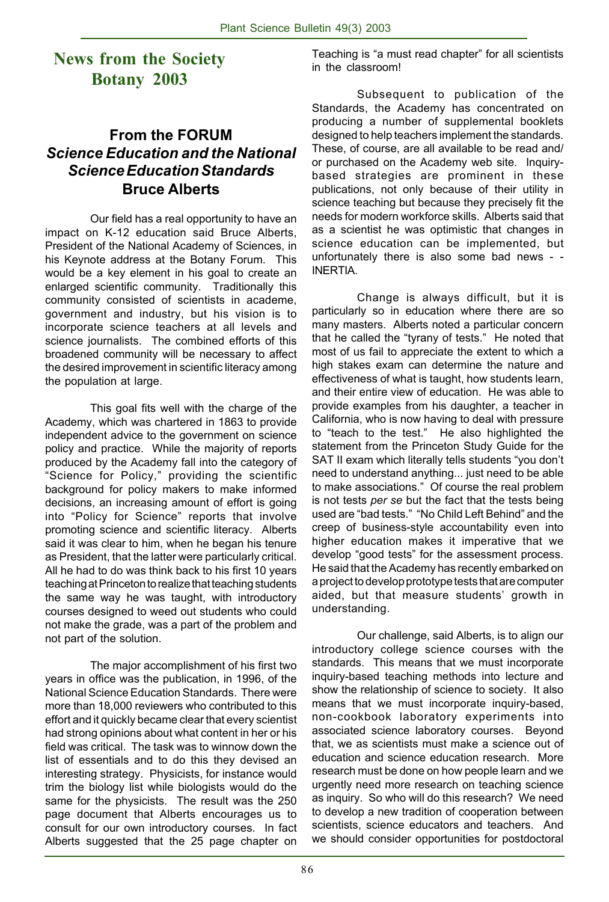# **News from the Society Botany 2003**

# **From the FORUM** *Science Education and the National Science Education Standards* **Bruce Alberts**

Our field has a real opportunity to have an impact on K-12 education said Bruce Alberts, President of the National Academy of Sciences, in his Keynote address at the Botany Forum. This would be a key element in his goal to create an enlarged scientific community. Traditionally this community consisted of scientists in academe, government and industry, but his vision is to incorporate science teachers at all levels and science journalists. The combined efforts of this broadened community will be necessary to affect the desired improvement in scientific literacy among the population at large.

This goal fits well with the charge of the Academy, which was chartered in 1863 to provide independent advice to the government on science policy and practice. While the majority of reports produced by the Academy fall into the category of "Science for Policy," providing the scientific background for policy makers to make informed decisions, an increasing amount of effort is going into "Policy for Science" reports that involve promoting science and scientific literacy. Alberts said it was clear to him, when he began his tenure as President, that the latter were particularly critical. All he had to do was think back to his first 10 years teaching at Princeton to realize that teaching students the same way he was taught, with introductory courses designed to weed out students who could not make the grade, was a part of the problem and not part of the solution.

The major accomplishment of his first two years in office was the publication, in 1996, of the National Science Education Standards. There were more than 18,000 reviewers who contributed to this effort and it quickly became clear that every scientist had strong opinions about what content in her or his field was critical. The task was to winnow down the list of essentials and to do this they devised an interesting strategy. Physicists, for instance would trim the biology list while biologists would do the same for the physicists. The result was the 250 page document that Alberts encourages us to consult for our own introductory courses. In fact Alberts suggested that the 25 page chapter on Teaching is "a must read chapter" for all scientists in the classroom!

Subsequent to publication of the Standards, the Academy has concentrated on producing a number of supplemental booklets designed to help teachers implement the standards. These, of course, are all available to be read and/ or purchased on the Academy web site. Inquirybased strategies are prominent in these publications, not only because of their utility in science teaching but because they precisely fit the needs for modern workforce skills. Alberts said that as a scientist he was optimistic that changes in science education can be implemented, but unfortunately there is also some bad news - - INERTIA.

Change is always difficult, but it is particularly so in education where there are so many masters. Alberts noted a particular concern that he called the "tyrany of tests." He noted that most of us fail to appreciate the extent to which a high stakes exam can determine the nature and effectiveness of what is taught, how students learn, and their entire view of education. He was able to provide examples from his daughter, a teacher in California, who is now having to deal with pressure to "teach to the test." He also highlighted the statement from the Princeton Study Guide for the SAT II exam which literally tells students "you don't need to understand anything... just need to be able to make associations." Of course the real problem is not tests *per se* but the fact that the tests being used are "bad tests." "No Child Left Behind" and the creep of business-style accountability even into higher education makes it imperative that we develop "good tests" for the assessment process. He said that the Academy has recently embarked on a project to develop prototype tests that are computer aided, but that measure students' growth in understanding.

Our challenge, said Alberts, is to align our introductory college science courses with the standards. This means that we must incorporate inquiry-based teaching methods into lecture and show the relationship of science to society. It also means that we must incorporate inquiry-based, non-cookbook laboratory experiments into associated science laboratory courses. Beyond that, we as scientists must make a science out of education and science education research. More research must be done on how people learn and we urgently need more research on teaching science as inquiry. So who will do this research? We need to develop a new tradition of cooperation between scientists, science educators and teachers. And we should consider opportunities for postdoctoral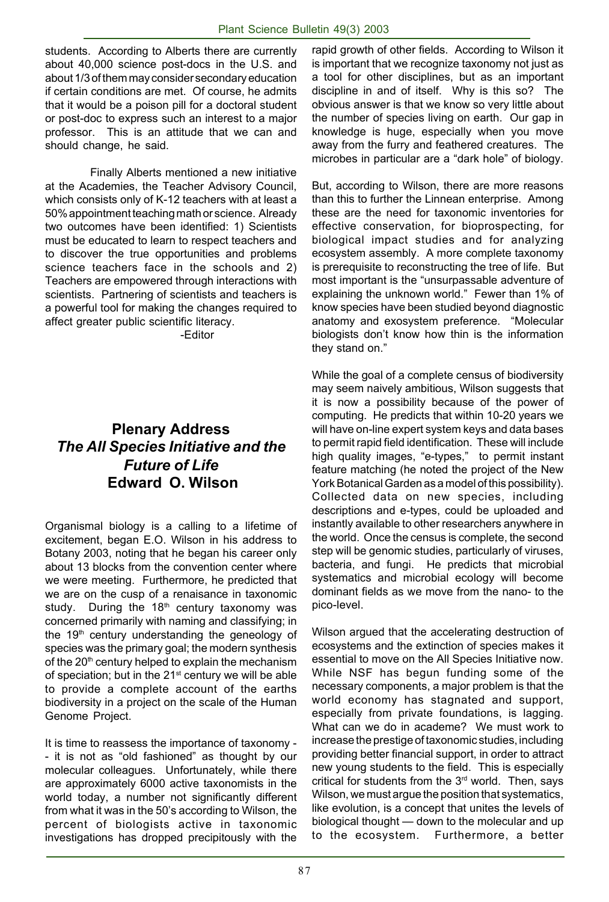students. According to Alberts there are currently about 40,000 science post-docs in the U.S. and about 1/3 of them may consider secondary education if certain conditions are met. Of course, he admits that it would be a poison pill for a doctoral student or post-doc to express such an interest to a major professor. This is an attitude that we can and should change, he said.

Finally Alberts mentioned a new initiative at the Academies, the Teacher Advisory Council, which consists only of K-12 teachers with at least a 50% appointment teaching math or science. Already two outcomes have been identified: 1) Scientists must be educated to learn to respect teachers and to discover the true opportunities and problems science teachers face in the schools and 2) Teachers are empowered through interactions with scientists. Partnering of scientists and teachers is a powerful tool for making the changes required to affect greater public scientific literacy.

-Editor

# **Plenary Address** *The All Species Initiative and the Future of Life*  **Edward O. Wilson**

Organismal biology is a calling to a lifetime of excitement, began E.O. Wilson in his address to Botany 2003, noting that he began his career only about 13 blocks from the convention center where we were meeting. Furthermore, he predicted that we are on the cusp of a renaisance in taxonomic study. During the  $18<sup>th</sup>$  century taxonomy was concerned primarily with naming and classifying; in the 19<sup>th</sup> century understanding the geneology of species was the primary goal; the modern synthesis of the 20<sup>th</sup> century helped to explain the mechanism of speciation; but in the 21<sup>st</sup> century we will be able to provide a complete account of the earths biodiversity in a project on the scale of the Human Genome Project.

It is time to reassess the importance of taxonomy - - it is not as "old fashioned" as thought by our molecular colleagues. Unfortunately, while there are approximately 6000 active taxonomists in the world today, a number not significantly different from what it was in the 50's according to Wilson, the percent of biologists active in taxonomic investigations has dropped precipitously with the rapid growth of other fields. According to Wilson it is important that we recognize taxonomy not just as a tool for other disciplines, but as an important discipline in and of itself. Why is this so? The obvious answer is that we know so very little about the number of species living on earth. Our gap in knowledge is huge, especially when you move away from the furry and feathered creatures. The microbes in particular are a "dark hole" of biology.

But, according to Wilson, there are more reasons than this to further the Linnean enterprise. Among these are the need for taxonomic inventories for effective conservation, for bioprospecting, for biological impact studies and for analyzing ecosystem assembly. A more complete taxonomy is prerequisite to reconstructing the tree of life. But most important is the "unsurpassable adventure of explaining the unknown world." Fewer than 1% of know species have been studied beyond diagnostic anatomy and exosystem preference. "Molecular biologists don't know how thin is the information they stand on."

While the goal of a complete census of biodiversity may seem naively ambitious, Wilson suggests that it is now a possibility because of the power of computing. He predicts that within 10-20 years we will have on-line expert system keys and data bases to permit rapid field identification. These will include high quality images, "e-types," to permit instant feature matching (he noted the project of the New York Botanical Garden as a model of this possibility). Collected data on new species, including descriptions and e-types, could be uploaded and instantly available to other researchers anywhere in the world. Once the census is complete, the second step will be genomic studies, particularly of viruses, bacteria, and fungi. He predicts that microbial systematics and microbial ecology will become dominant fields as we move from the nano- to the pico-level.

Wilson argued that the accelerating destruction of ecosystems and the extinction of species makes it essential to move on the All Species Initiative now. While NSF has begun funding some of the necessary components, a major problem is that the world economy has stagnated and support, especially from private foundations, is lagging. What can we do in academe? We must work to increase the prestige of taxonomic studies, including providing better financial support, in order to attract new young students to the field. This is especially critical for students from the 3<sup>rd</sup> world. Then, says Wilson, we must argue the position that systematics, like evolution, is a concept that unites the levels of biological thought — down to the molecular and up to the ecosystem. Furthermore, a better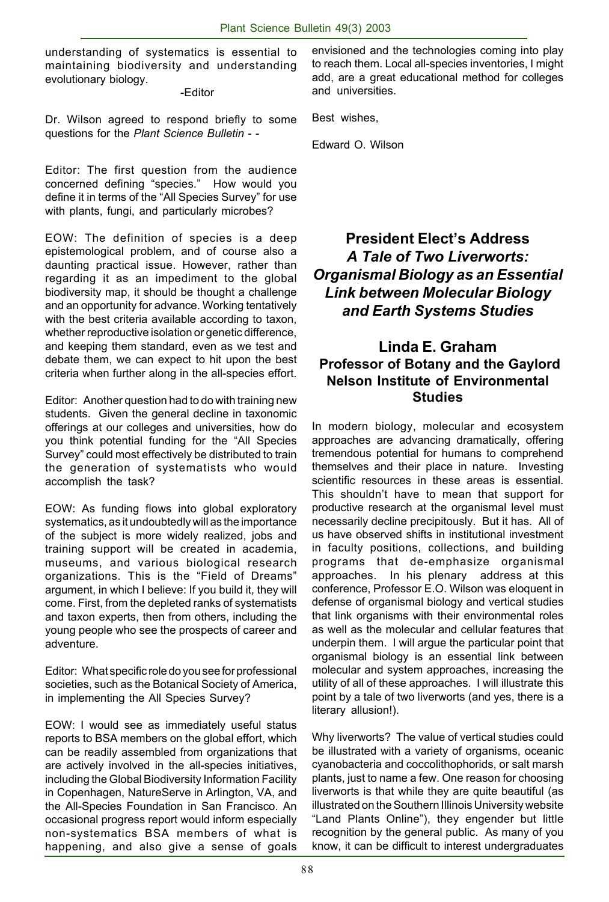understanding of systematics is essential to maintaining biodiversity and understanding evolutionary biology.

-Editor

Dr. Wilson agreed to respond briefly to some questions for the *Plant Science Bulletin* - -

Editor: The first question from the audience concerned defining "species." How would you define it in terms of the "All Species Survey" for use with plants, fungi, and particularly microbes?

EOW: The definition of species is a deep epistemological problem, and of course also a daunting practical issue. However, rather than regarding it as an impediment to the global biodiversity map, it should be thought a challenge and an opportunity for advance. Working tentatively with the best criteria available according to taxon, whether reproductive isolation or genetic difference, and keeping them standard, even as we test and debate them, we can expect to hit upon the best criteria when further along in the all-species effort.

Editor: Another question had to do with training new students. Given the general decline in taxonomic offerings at our colleges and universities, how do you think potential funding for the "All Species Survey" could most effectively be distributed to train the generation of systematists who would accomplish the task?

EOW: As funding flows into global exploratory systematics, as it undoubtedly will as the importance of the subject is more widely realized, jobs and training support will be created in academia, museums, and various biological research organizations. This is the "Field of Dreams" argument, in which I believe: If you build it, they will come. First, from the depleted ranks of systematists and taxon experts, then from others, including the young people who see the prospects of career and adventure.

Editor: What specific role do you see for professional societies, such as the Botanical Society of America, in implementing the All Species Survey?

EOW: I would see as immediately useful status reports to BSA members on the global effort, which can be readily assembled from organizations that are actively involved in the all-species initiatives, including the Global Biodiversity Information Facility in Copenhagen, NatureServe in Arlington, VA, and the All-Species Foundation in San Francisco. An occasional progress report would inform especially non-systematics BSA members of what is happening, and also give a sense of goals

envisioned and the technologies coming into play to reach them. Local all-species inventories, I might add, are a great educational method for colleges and universities.

Best wishes,

Edward O. Wilson

# **President Elect's Address** *A Tale of Two Liverworts: Organismal Biology as an Essential Link between Molecular Biology and Earth Systems Studies*

### **Linda E. Graham Professor of Botany and the Gaylord Nelson Institute of Environmental Studies**

In modern biology, molecular and ecosystem approaches are advancing dramatically, offering tremendous potential for humans to comprehend themselves and their place in nature. Investing scientific resources in these areas is essential. This shouldn't have to mean that support for productive research at the organismal level must necessarily decline precipitously. But it has. All of us have observed shifts in institutional investment in faculty positions, collections, and building programs that de-emphasize organismal approaches. In his plenary address at this conference, Professor E.O. Wilson was eloquent in defense of organismal biology and vertical studies that link organisms with their environmental roles as well as the molecular and cellular features that underpin them. I will argue the particular point that organismal biology is an essential link between molecular and system approaches, increasing the utility of all of these approaches. I will illustrate this point by a tale of two liverworts (and yes, there is a literary allusion!).

Why liverworts? The value of vertical studies could be illustrated with a variety of organisms, oceanic cyanobacteria and coccolithophorids, or salt marsh plants, just to name a few. One reason for choosing liverworts is that while they are quite beautiful (as illustrated on the Southern Illinois University website "Land Plants Online"), they engender but little recognition by the general public. As many of you know, it can be difficult to interest undergraduates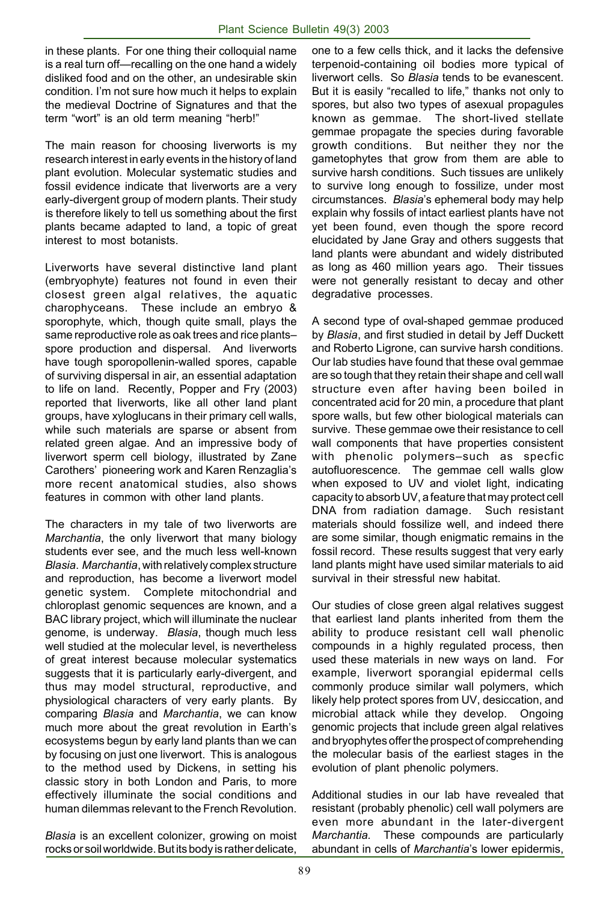in these plants. For one thing their colloquial name is a real turn off—recalling on the one hand a widely disliked food and on the other, an undesirable skin condition. I'm not sure how much it helps to explain the medieval Doctrine of Signatures and that the term "wort" is an old term meaning "herb!"

The main reason for choosing liverworts is my research interest in early events in the history of land plant evolution. Molecular systematic studies and fossil evidence indicate that liverworts are a very early-divergent group of modern plants. Their study is therefore likely to tell us something about the first plants became adapted to land, a topic of great interest to most botanists.

Liverworts have several distinctive land plant (embryophyte) features not found in even their closest green algal relatives, the aquatic charophyceans. These include an embryo & sporophyte, which, though quite small, plays the same reproductive role as oak trees and rice plants– spore production and dispersal. And liverworts have tough sporopollenin-walled spores, capable of surviving dispersal in air, an essential adaptation to life on land. Recently, Popper and Fry (2003) reported that liverworts, like all other land plant groups, have xyloglucans in their primary cell walls, while such materials are sparse or absent from related green algae. And an impressive body of liverwort sperm cell biology, illustrated by Zane Carothers' pioneering work and Karen Renzaglia's more recent anatomical studies, also shows features in common with other land plants.

The characters in my tale of two liverworts are *Marchantia*, the only liverwort that many biology students ever see, and the much less well-known *Blasia*. *Marchantia*, with relatively complex structure and reproduction, has become a liverwort model genetic system. Complete mitochondrial and chloroplast genomic sequences are known, and a BAC library project, which will illuminate the nuclear genome, is underway. *Blasia*, though much less well studied at the molecular level, is nevertheless of great interest because molecular systematics suggests that it is particularly early-divergent, and thus may model structural, reproductive, and physiological characters of very early plants. By comparing *Blasia* and *Marchantia*, we can know much more about the great revolution in Earth's ecosystems begun by early land plants than we can by focusing on just one liverwort. This is analogous to the method used by Dickens, in setting his classic story in both London and Paris, to more effectively illuminate the social conditions and human dilemmas relevant to the French Revolution.

*Blasia* is an excellent colonizer, growing on moist rocks or soil worldwide. But its body is rather delicate,

one to a few cells thick, and it lacks the defensive terpenoid-containing oil bodies more typical of liverwort cells. So *Blasia* tends to be evanescent. But it is easily "recalled to life," thanks not only to spores, but also two types of asexual propagules known as gemmae. The short-lived stellate gemmae propagate the species during favorable growth conditions. But neither they nor the gametophytes that grow from them are able to survive harsh conditions. Such tissues are unlikely to survive long enough to fossilize, under most circumstances. *Blasia*'s ephemeral body may help explain why fossils of intact earliest plants have not yet been found, even though the spore record elucidated by Jane Gray and others suggests that land plants were abundant and widely distributed as long as 460 million years ago. Their tissues were not generally resistant to decay and other degradative processes.

A second type of oval-shaped gemmae produced by *Blasia*, and first studied in detail by Jeff Duckett and Roberto Ligrone, can survive harsh conditions. Our lab studies have found that these oval gemmae are so tough that they retain their shape and cell wall structure even after having been boiled in concentrated acid for 20 min, a procedure that plant spore walls, but few other biological materials can survive. These gemmae owe their resistance to cell wall components that have properties consistent with phenolic polymers–such as specfic autofluorescence. The gemmae cell walls glow when exposed to UV and violet light, indicating capacity to absorb UV, a feature that may protect cell DNA from radiation damage. Such resistant materials should fossilize well, and indeed there are some similar, though enigmatic remains in the fossil record. These results suggest that very early land plants might have used similar materials to aid survival in their stressful new habitat.

Our studies of close green algal relatives suggest that earliest land plants inherited from them the ability to produce resistant cell wall phenolic compounds in a highly regulated process, then used these materials in new ways on land. For example, liverwort sporangial epidermal cells commonly produce similar wall polymers, which likely help protect spores from UV, desiccation, and microbial attack while they develop. Ongoing genomic projects that include green algal relatives and bryophytes offer the prospect of comprehending the molecular basis of the earliest stages in the evolution of plant phenolic polymers.

Additional studies in our lab have revealed that resistant (probably phenolic) cell wall polymers are even more abundant in the later-divergent *Marchantia.* These compounds are particularly abundant in cells of *Marchantia*'s lower epidermis,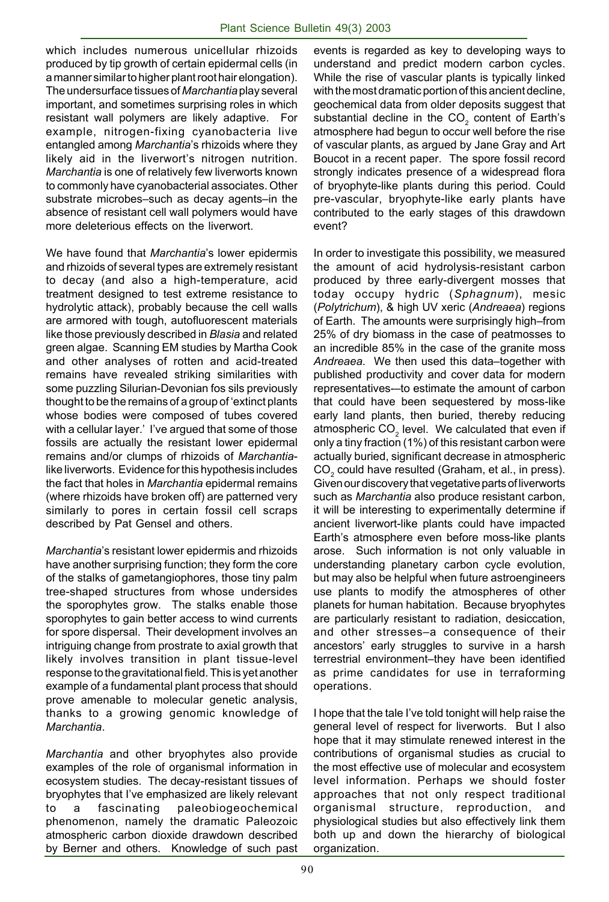which includes numerous unicellular rhizoids produced by tip growth of certain epidermal cells (in a manner similar to higher plant root hair elongation). The undersurface tissues of *Marchantia* play several important, and sometimes surprising roles in which resistant wall polymers are likely adaptive. For example, nitrogen-fixing cyanobacteria live entangled among *Marchantia*'s rhizoids where they likely aid in the liverwort's nitrogen nutrition. *Marchantia* is one of relatively few liverworts known to commonly have cyanobacterial associates. Other substrate microbes–such as decay agents–in the absence of resistant cell wall polymers would have more deleterious effects on the liverwort.

We have found that *Marchantia*'s lower epidermis and rhizoids of several types are extremely resistant to decay (and also a high-temperature, acid treatment designed to test extreme resistance to hydrolytic attack), probably because the cell walls are armored with tough, autofluorescent materials like those previously described in *Blasia* and related green algae. Scanning EM studies by Martha Cook and other analyses of rotten and acid-treated remains have revealed striking similarities with some puzzling Silurian-Devonian fos sils previously thought to be the remains of a group of 'extinct plants whose bodies were composed of tubes covered with a cellular layer.' I've argued that some of those fossils are actually the resistant lower epidermal remains and/or clumps of rhizoids of *Marchantia*like liverworts. Evidence for this hypothesis includes the fact that holes in *Marchantia* epidermal remains (where rhizoids have broken off) are patterned very similarly to pores in certain fossil cell scraps described by Pat Gensel and others.

*Marchantia*'s resistant lower epidermis and rhizoids have another surprising function; they form the core of the stalks of gametangiophores, those tiny palm tree-shaped structures from whose undersides the sporophytes grow. The stalks enable those sporophytes to gain better access to wind currents for spore dispersal. Their development involves an intriguing change from prostrate to axial growth that likely involves transition in plant tissue-level response to the gravitational field. This is yet another example of a fundamental plant process that should prove amenable to molecular genetic analysis, thanks to a growing genomic knowledge of *Marchantia*.

*Marchantia* and other bryophytes also provide examples of the role of organismal information in ecosystem studies. The decay-resistant tissues of bryophytes that I've emphasized are likely relevant a fascinating paleobiogeochemical phenomenon, namely the dramatic Paleozoic atmospheric carbon dioxide drawdown described by Berner and others. Knowledge of such past

events is regarded as key to developing ways to understand and predict modern carbon cycles. While the rise of vascular plants is typically linked with the most dramatic portion of this ancient decline, geochemical data from older deposits suggest that substantial decline in the CO<sub>2</sub> content of Earth's atmosphere had begun to occur well before the rise of vascular plants, as argued by Jane Gray and Art Boucot in a recent paper. The spore fossil record strongly indicates presence of a widespread flora of bryophyte-like plants during this period. Could pre-vascular, bryophyte-like early plants have contributed to the early stages of this drawdown event?

In order to investigate this possibility, we measured the amount of acid hydrolysis-resistant carbon produced by three early-divergent mosses that today occupy hydric (*Sphagnum*), mesic (*Polytrichum*), & high UV xeric (*Andreaea*) regions of Earth. The amounts were surprisingly high–from 25% of dry biomass in the case of peatmosses to an incredible 85% in the case of the granite moss *Andreaea*. We then used this data–together with published productivity and cover data for modern representatives-–to estimate the amount of carbon that could have been sequestered by moss-like early land plants, then buried, thereby reducing atmospheric CO<sub>2</sub> level. We calculated that even if only a tiny fraction (1%) of this resistant carbon were actually buried, significant decrease in atmospheric  $\mathsf{CO}_2$  could have resulted (Graham, et al., in press). Given our discovery that vegetative parts of liverworts such as *Marchantia* also produce resistant carbon, it will be interesting to experimentally determine if ancient liverwort-like plants could have impacted Earth's atmosphere even before moss-like plants arose. Such information is not only valuable in understanding planetary carbon cycle evolution, but may also be helpful when future astroengineers use plants to modify the atmospheres of other planets for human habitation. Because bryophytes are particularly resistant to radiation, desiccation, and other stresses–a consequence of their ancestors' early struggles to survive in a harsh terrestrial environment–they have been identified as prime candidates for use in terraforming operations.

I hope that the tale I've told tonight will help raise the general level of respect for liverworts. But I also hope that it may stimulate renewed interest in the contributions of organismal studies as crucial to the most effective use of molecular and ecosystem level information. Perhaps we should foster approaches that not only respect traditional organismal structure, reproduction, and physiological studies but also effectively link them both up and down the hierarchy of biological organization.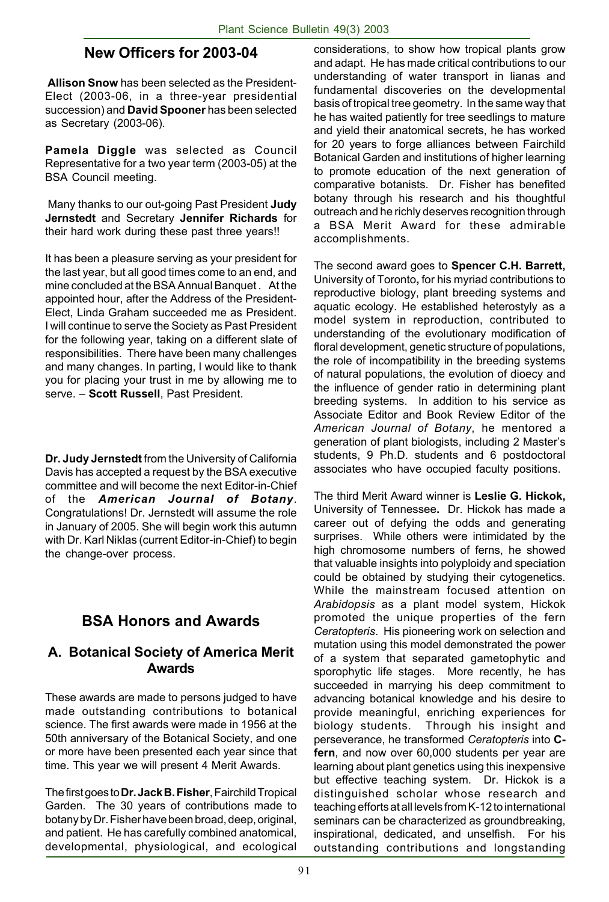## **New Officers for 2003-04**

**Allison Snow** has been selected as the President-Elect (2003-06, in a three-year presidential succession) and **David Spooner** has been selected as Secretary (2003-06).

**Pamela Diggle** was selected as Council Representative for a two year term (2003-05) at the BSA Council meeting.

 Many thanks to our out-going Past President **Judy Jernstedt** and Secretary **Jennifer Richards** for their hard work during these past three years!!

It has been a pleasure serving as your president for the last year, but all good times come to an end, and mine concluded at the BSA Annual Banquet . At the appointed hour, after the Address of the President-Elect, Linda Graham succeeded me as President. I will continue to serve the Society as Past President for the following year, taking on a different slate of responsibilities. There have been many challenges and many changes. In parting, I would like to thank you for placing your trust in me by allowing me to serve. – **Scott Russell**, Past President.

**Dr. Judy Jernstedt** from the University of California Davis has accepted a request by the BSA executive committee and will become the next Editor-in-Chief of the *American Journal of Botany*. Congratulations! Dr. Jernstedt will assume the role in January of 2005. She will begin work this autumn with Dr. Karl Niklas (current Editor-in-Chief) to begin the change-over process.

# **BSA Honors and Awards**

#### **A. Botanical Society of America Merit Awards**

These awards are made to persons judged to have made outstanding contributions to botanical science. The first awards were made in 1956 at the 50th anniversary of the Botanical Society, and one or more have been presented each year since that time. This year we will present 4 Merit Awards.

The first goes to **Dr. Jack B. Fisher**, Fairchild Tropical Garden. The 30 years of contributions made to botany by Dr. Fisher have been broad, deep, original, and patient. He has carefully combined anatomical, developmental, physiological, and ecological considerations, to show how tropical plants grow and adapt. He has made critical contributions to our understanding of water transport in lianas and fundamental discoveries on the developmental basis of tropical tree geometry. In the same way that he has waited patiently for tree seedlings to mature and yield their anatomical secrets, he has worked for 20 years to forge alliances between Fairchild Botanical Garden and institutions of higher learning to promote education of the next generation of comparative botanists. Dr. Fisher has benefited botany through his research and his thoughtful outreach and he richly deserves recognition through a BSA Merit Award for these admirable accomplishments.

The second award goes to **Spencer C.H. Barrett,** University of Toronto**,** for his myriad contributions to reproductive biology, plant breeding systems and aquatic ecology. He established heterostyly as a model system in reproduction, contributed to understanding of the evolutionary modification of floral development, genetic structure of populations, the role of incompatibility in the breeding systems of natural populations, the evolution of dioecy and the influence of gender ratio in determining plant breeding systems. In addition to his service as Associate Editor and Book Review Editor of the *American Journal of Botany*, he mentored a generation of plant biologists, including 2 Master's students, 9 Ph.D. students and 6 postdoctoral associates who have occupied faculty positions.

The third Merit Award winner is **Leslie G. Hickok,** University of Tennessee**.** Dr. Hickok has made a career out of defying the odds and generating surprises. While others were intimidated by the high chromosome numbers of ferns, he showed that valuable insights into polyploidy and speciation could be obtained by studying their cytogenetics. While the mainstream focused attention on *Arabidopsis* as a plant model system, Hickok promoted the unique properties of the fern *Ceratopteris*. His pioneering work on selection and mutation using this model demonstrated the power of a system that separated gametophytic and sporophytic life stages. More recently, he has succeeded in marrying his deep commitment to advancing botanical knowledge and his desire to provide meaningful, enriching experiences for biology students. Through his insight and perseverance, he transformed *Ceratopteris* into **Cfern**, and now over 60,000 students per year are learning about plant genetics using this inexpensive but effective teaching system. Dr. Hickok is a distinguished scholar whose research and teaching efforts at all levels from K-12 to international seminars can be characterized as groundbreaking, inspirational, dedicated, and unselfish. For his outstanding contributions and longstanding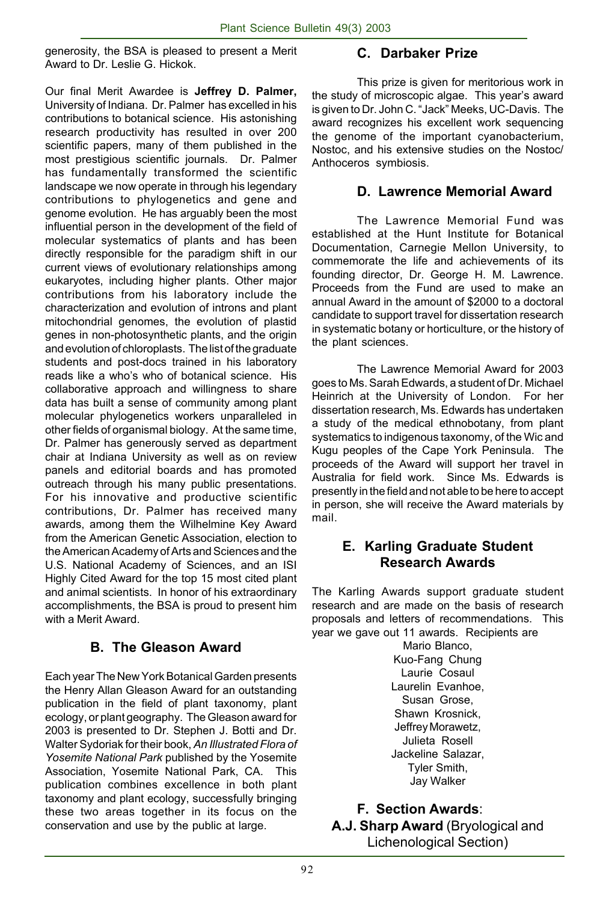generosity, the BSA is pleased to present a Merit Award to Dr. Leslie G. Hickok.

Our final Merit Awardee is **Jeffrey D. Palmer,** University of Indiana.Dr. Palmer has excelled in his contributions to botanical science. His astonishing research productivity has resulted in over 200 scientific papers, many of them published in the most prestigious scientific journals. Dr. Palmer has fundamentally transformed the scientific landscape we now operate in through his legendary contributions to phylogenetics and gene and genome evolution. He has arguably been the most influential person in the development of the field of molecular systematics of plants and has been directly responsible for the paradigm shift in our current views of evolutionary relationships among eukaryotes, including higher plants. Other major contributions from his laboratory include the characterization and evolution of introns and plant mitochondrial genomes, the evolution of plastid genes in non-photosynthetic plants, and the origin and evolution of chloroplasts. The list of the graduate students and post-docs trained in his laboratory reads like a who's who of botanical science. His collaborative approach and willingness to share data has built a sense of community among plant molecular phylogenetics workers unparalleled in other fields of organismal biology. At the same time, Dr. Palmer has generously served as department chair at Indiana University as well as on review panels and editorial boards and has promoted outreach through his many public presentations. For his innovative and productive scientific contributions, Dr. Palmer has received many awards, among them the Wilhelmine Key Award from the American Genetic Association, election to the American Academy of Arts and Sciences and the U.S. National Academy of Sciences, and an ISI Highly Cited Award for the top 15 most cited plant and animal scientists. In honor of his extraordinary accomplishments, the BSA is proud to present him with a Merit Award.

#### **B. The Gleason Award**

Each year The New York Botanical Garden presents the Henry Allan Gleason Award for an outstanding publication in the field of plant taxonomy, plant ecology, or plant geography. The Gleason award for 2003 is presented to Dr. Stephen J. Botti and Dr. Walter Sydoriak for their book, *An Illustrated Flora of Yosemite National Park* published by the Yosemite Association, Yosemite National Park, CA. This publication combines excellence in both plant taxonomy and plant ecology, successfully bringing these two areas together in its focus on the conservation and use by the public at large.

### **C. Darbaker Prize**

This prize is given for meritorious work in the study of microscopic algae. This year's award is given to Dr. John C. "Jack" Meeks, UC-Davis. The award recognizes his excellent work sequencing the genome of the important cyanobacterium, Nostoc, and his extensive studies on the Nostoc/ Anthoceros symbiosis.

#### **D. Lawrence Memorial Award**

The Lawrence Memorial Fund was established at the Hunt Institute for Botanical Documentation, Carnegie Mellon University, to commemorate the life and achievements of its founding director, Dr. George H. M. Lawrence. Proceeds from the Fund are used to make an annual Award in the amount of \$2000 to a doctoral candidate to support travel for dissertation research in systematic botany or horticulture, or the history of the plant sciences.

The Lawrence Memorial Award for 2003 goes to Ms. Sarah Edwards, a student of Dr. Michael Heinrich at the University of London. For her dissertation research, Ms. Edwards has undertaken a study of the medical ethnobotany, from plant systematics to indigenous taxonomy, of the Wic and Kugu peoples of the Cape York Peninsula. The proceeds of the Award will support her travel in Australia for field work. Since Ms. Edwards is presently in the field and not able to be here to accept in person, she will receive the Award materials by mail.

#### **E. Karling Graduate Student Research Awards**

The Karling Awards support graduate student research and are made on the basis of research proposals and letters of recommendations. This year we gave out 11 awards. Recipients are

Mario Blanco, Kuo-Fang Chung Laurie Cosaul Laurelin Evanhoe, Susan Grose, Shawn Krosnick, Jeffrey Morawetz, Julieta Rosell Jackeline Salazar, Tyler Smith, Jay Walker

**F. Section Awards**: **A.J. Sharp Award** (Bryological and Lichenological Section)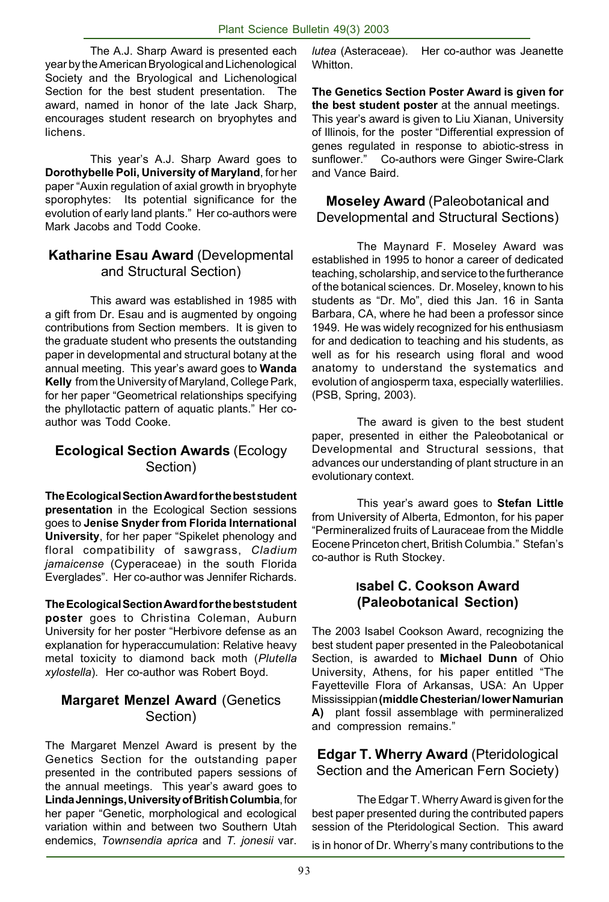The A.J. Sharp Award is presented each year by the American Bryological and Lichenological Society and the Bryological and Lichenological Section for the best student presentation. The award, named in honor of the late Jack Sharp, encourages student research on bryophytes and lichens.

This year's A.J. Sharp Award goes to **Dorothybelle Poli, University of Maryland**, for her paper "Auxin regulation of axial growth in bryophyte sporophytes: Its potential significance for the evolution of early land plants." Her co-authors were Mark Jacobs and Todd Cooke.

#### **Katharine Esau Award** (Developmental and Structural Section)

This award was established in 1985 with a gift from Dr. Esau and is augmented by ongoing contributions from Section members. It is given to the graduate student who presents the outstanding paper in developmental and structural botany at the annual meeting. This year's award goes to **Wanda Kelly** from the University of Maryland, College Park, for her paper "Geometrical relationships specifying the phyllotactic pattern of aquatic plants." Her coauthor was Todd Cooke.

#### **Ecological Section Awards** (Ecology Section)

**The Ecological Section Award for the best student presentation** in the Ecological Section sessions goes to **Jenise Snyder from Florida International University**, for her paper "Spikelet phenology and floral compatibility of sawgrass, *Cladium jamaicense* (Cyperaceae) in the south Florida Everglades". Her co-author was Jennifer Richards.

**The Ecological Section Award for the best student poster** goes to Christina Coleman, Auburn University for her poster "Herbivore defense as an explanation for hyperaccumulation: Relative heavy metal toxicity to diamond back moth (*Plutella xylostella*). Her co-author was Robert Boyd.

#### **Margaret Menzel Award** (Genetics Section)

The Margaret Menzel Award is present by the Genetics Section for the outstanding paper presented in the contributed papers sessions of the annual meetings. This year's award goes to **Linda Jennings, University of British Columbia**, for her paper "Genetic, morphological and ecological variation within and between two Southern Utah endemics, *Townsendia aprica* and *T. jonesii* var.

*lutea* (Asteraceae). Her co-author was Jeanette Whitton.

**The Genetics Section Poster Award is given for the best student poster** at the annual meetings. This year's award is given to Liu Xianan, University of Illinois, for the poster "Differential expression of genes regulated in response to abiotic-stress in sunflower."Co-authors were Ginger Swire-Clark and Vance Baird.

#### **Moseley Award** (Paleobotanical and Developmental and Structural Sections)

The Maynard F. Moseley Award was established in 1995 to honor a career of dedicated teaching, scholarship, and service to the furtherance of the botanical sciences. Dr. Moseley, known to his students as "Dr. Mo", died this Jan. 16 in Santa Barbara, CA, where he had been a professor since 1949. He was widely recognized for his enthusiasm for and dedication to teaching and his students, as well as for his research using floral and wood anatomy to understand the systematics and evolution of angiosperm taxa, especially waterlilies. (PSB, Spring, 2003).

The award is given to the best student paper, presented in either the Paleobotanical or Developmental and Structural sessions, that advances our understanding of plant structure in an evolutionary context.

This year's award goes to **Stefan Little** from University of Alberta, Edmonton, for his paper "Permineralized fruits of Lauraceae from the Middle Eocene Princeton chert, British Columbia." Stefan's co-author is Ruth Stockey.

#### **Isabel C. Cookson Award (Paleobotanical Section)**

The 2003 Isabel Cookson Award, recognizing the best student paper presented in the Paleobotanical Section, is awarded to **Michael Dunn** of Ohio University, Athens, for his paper entitled "The Fayetteville Flora of Arkansas, USA: An Upper Mississippian **(middle Chesterian/ lower Namurian A)** plant fossil assemblage with permineralized and compression remains."

**Edgar T. Wherry Award** (Pteridological Section and the American Fern Society)

The Edgar T. Wherry Award is given for the best paper presented during the contributed papers session of the Pteridological Section. This award

is in honor of Dr. Wherry's many contributions to the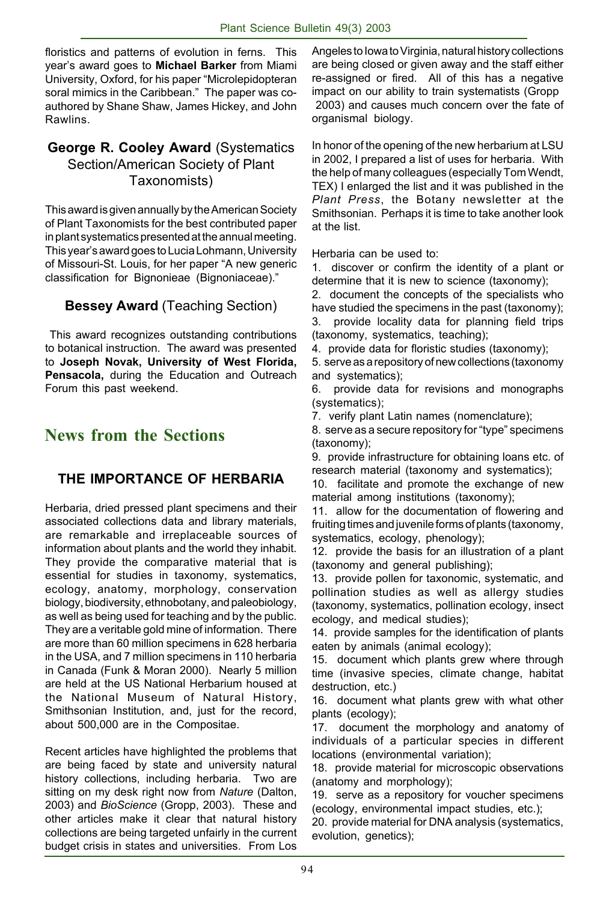floristics and patterns of evolution in ferns. This year's award goes to **Michael Barker** from Miami University, Oxford, for his paper "Microlepidopteran soral mimics in the Caribbean." The paper was coauthored by Shane Shaw, James Hickey, and John Rawlins.

#### **George R. Cooley Award** (Systematics Section/American Society of Plant Taxonomists)

This award is given annually by the American Society of Plant Taxonomists for the best contributed paper in plant systematics presented at the annual meeting. This year's award goes to Lucia Lohmann, University of Missouri-St. Louis, for her paper "A new generic classification for Bignonieae (Bignoniaceae)."

# **Bessey Award** (Teaching Section)

 This award recognizes outstanding contributions to botanical instruction. The award was presented to **Joseph Novak, University of West Florida, Pensacola,** during the Education and Outreach Forum this past weekend.

# **News from the Sections**

# **THE IMPORTANCE OF HERBARIA**

Herbaria, dried pressed plant specimens and their associated collections data and library materials, are remarkable and irreplaceable sources of information about plants and the world they inhabit. They provide the comparative material that is essential for studies in taxonomy, systematics, ecology, anatomy, morphology, conservation biology, biodiversity, ethnobotany, and paleobiology, as well as being used for teaching and by the public. They are a veritable gold mine of information. There are more than 60 million specimens in 628 herbaria in the USA, and 7 million specimens in 110 herbaria in Canada (Funk & Moran 2000). Nearly 5 million are held at the US National Herbarium housed at the National Museum of Natural History, Smithsonian Institution, and, just for the record, about 500,000 are in the Compositae.

Recent articles have highlighted the problems that are being faced by state and university natural history collections, including herbaria. Two are sitting on my desk right now from *Nature* (Dalton, 2003) and *BioScience* (Gropp, 2003). These and other articles make it clear that natural history collections are being targeted unfairly in the current budget crisis in states and universities. From Los

Angeles to Iowa to Virginia, natural history collections are being closed or given away and the staff either re-assigned or fired. All of this has a negative impact on our ability to train systematists (Gropp 2003) and causes much concern over the fate of organismal biology.

In honor of the opening of the new herbarium at LSU in 2002, I prepared a list of uses for herbaria. With the help of many colleagues (especially Tom Wendt, TEX) I enlarged the list and it was published in the *Plant Press*, the Botany newsletter at the Smithsonian. Perhaps it is time to take another look at the list.

Herbaria can be used to:

1. discover or confirm the identity of a plant or determine that it is new to science (taxonomy);

2. document the concepts of the specialists who have studied the specimens in the past (taxonomy);

3. provide locality data for planning field trips (taxonomy, systematics, teaching);

4. provide data for floristic studies (taxonomy);

5. serve as a repository of new collections (taxonomy and systematics);

6. provide data for revisions and monographs (systematics);

7. verify plant Latin names (nomenclature);

8. serve as a secure repository for "type" specimens (taxonomy);

9. provide infrastructure for obtaining loans etc. of research material (taxonomy and systematics);

10. facilitate and promote the exchange of new material among institutions (taxonomy);

11. allow for the documentation of flowering and fruiting times and juvenile forms of plants (taxonomy, systematics, ecology, phenology);

12. provide the basis for an illustration of a plant (taxonomy and general publishing);

13. provide pollen for taxonomic, systematic, and pollination studies as well as allergy studies (taxonomy, systematics, pollination ecology, insect ecology, and medical studies);

14. provide samples for the identification of plants eaten by animals (animal ecology);

15. document which plants grew where through time (invasive species, climate change, habitat destruction, etc.)

16. document what plants grew with what other plants (ecology);

17. document the morphology and anatomy of individuals of a particular species in different locations (environmental variation);

18. provide material for microscopic observations (anatomy and morphology);

19. serve as a repository for voucher specimens (ecology, environmental impact studies, etc.);

20. provide material for DNA analysis (systematics, evolution, genetics);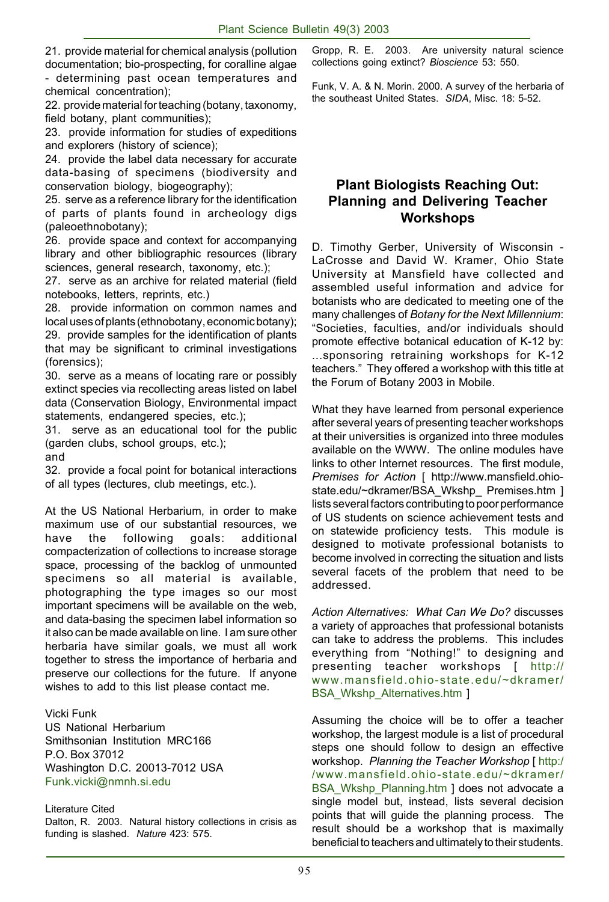21. provide material for chemical analysis (pollution documentation; bio-prospecting, for coralline algae - determining past ocean temperatures and chemical concentration);

22. provide material for teaching (botany, taxonomy, field botany, plant communities);

23. provide information for studies of expeditions and explorers (history of science);

24. provide the label data necessary for accurate data-basing of specimens (biodiversity and conservation biology, biogeography);

25. serve as a reference library for the identification of parts of plants found in archeology digs (paleoethnobotany);

26. provide space and context for accompanying library and other bibliographic resources (library sciences, general research, taxonomy, etc.);

27. serve as an archive for related material (field notebooks, letters, reprints, etc.)

28. provide information on common names and local uses of plants (ethnobotany, economic botany); 29. provide samples for the identification of plants that may be significant to criminal investigations (forensics);

30. serve as a means of locating rare or possibly extinct species via recollecting areas listed on label data (Conservation Biology, Environmental impact statements, endangered species, etc.);

31. serve as an educational tool for the public (garden clubs, school groups, etc.);

and

32. provide a focal point for botanical interactions of all types (lectures, club meetings, etc.).

At the US National Herbarium, in order to make maximum use of our substantial resources, we have the following goals: additional compacterization of collections to increase storage space, processing of the backlog of unmounted specimens so all material is available, photographing the type images so our most important specimens will be available on the web, and data-basing the specimen label information so it also can be made available on line. I am sure other herbaria have similar goals, we must all work together to stress the importance of herbaria and preserve our collections for the future. If anyone wishes to add to this list please contact me.

Vicki Funk

US National Herbarium Smithsonian Institution MRC166 P.O. Box 37012 Washington D.C. 20013-7012 USA Funk.vicki@nmnh.si.edu

Literature Cited Dalton, R. 2003. Natural history collections in crisis as funding is slashed. *Nature* 423: 575.

Gropp, R. E. 2003. Are university natural science collections going extinct? *Bioscience* 53: 550.

Funk, V. A. & N. Morin. 2000. A survey of the herbaria of the southeast United States. *SIDA*, Misc. 18: 5-52.

#### **Plant Biologists Reaching Out: Planning and Delivering Teacher Workshops**

D. Timothy Gerber, University of Wisconsin - LaCrosse and David W. Kramer, Ohio State University at Mansfield have collected and assembled useful information and advice for botanists who are dedicated to meeting one of the many challenges of *Botany for the Next Millennium*: "Societies, faculties, and/or individuals should promote effective botanical education of K-12 by: ...sponsoring retraining workshops for K-12 teachers." They offered a workshop with this title at the Forum of Botany 2003 in Mobile.

What they have learned from personal experience after several years of presenting teacher workshops at their universities is organized into three modules available on the WWW. The online modules have links to other Internet resources. The first module, *Premises for Action* [ http://www.mansfield.ohiostate.edu/~dkramer/BSA\_Wkshp\_ Premises.htm ] lists several factors contributing to poor performance of US students on science achievement tests and on statewide proficiency tests. This module is designed to motivate professional botanists to become involved in correcting the situation and lists several facets of the problem that need to be addressed.

*Action Alternatives: What Can We Do?* discusses a variety of approaches that professional botanists can take to address the problems. This includes everything from "Nothing!" to designing and presenting teacher workshops [ http:// www.mansfield.ohio-state.edu/~dkramer/ BSA\_Wkshp\_Alternatives.htm ]

Assuming the choice will be to offer a teacher workshop, the largest module is a list of procedural steps one should follow to design an effective workshop. *Planning the Teacher Workshop* [ http:/ /www.mansfield.ohio-state.edu/~dkramer/ BSA\_Wkshp\_Planning.htm ] does not advocate a single model but, instead, lists several decision points that will guide the planning process. The result should be a workshop that is maximally beneficial to teachers and ultimately to their students.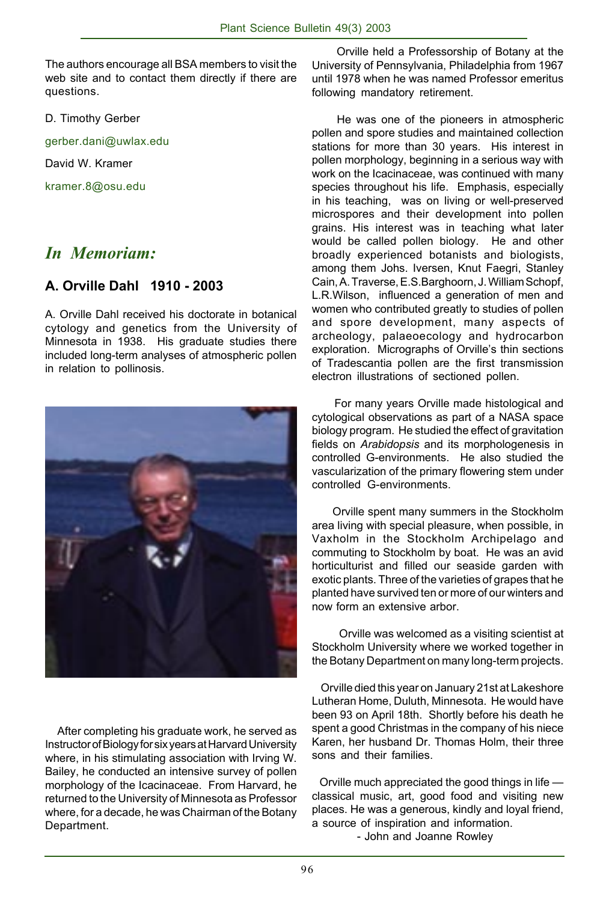The authors encourage all BSA members to visit the web site and to contact them directly if there are questions.

D. Timothy Gerber

gerber.dani@uwlax.edu

David W. Kramer

kramer.8@osu.edu

# *In Memoriam:*

#### **A. Orville Dahl 1910 - 2003**

A. Orville Dahl received his doctorate in botanical cytology and genetics from the University of Minnesota in 1938. His graduate studies there included long-term analyses of atmospheric pollen in relation to pollinosis.



 After completing his graduate work, he served as Instructor of Biology for six years at Harvard University where, in his stimulating association with Irving W. Bailey, he conducted an intensive survey of pollen morphology of the Icacinaceae. From Harvard, he returned to the University of Minnesota as Professor where, for a decade, he was Chairman of the Botany Department.

 Orville held a Professorship of Botany at the University of Pennsylvania, Philadelphia from 1967 until 1978 when he was named Professor emeritus following mandatory retirement.

 He was one of the pioneers in atmospheric pollen and spore studies and maintained collection stations for more than 30 years. His interest in pollen morphology, beginning in a serious way with work on the Icacinaceae, was continued with many species throughout his life. Emphasis, especially in his teaching, was on living or well-preserved microspores and their development into pollen grains. His interest was in teaching what later would be called pollen biology. He and other broadly experienced botanists and biologists, among them Johs. Iversen, Knut Faegri, Stanley Cain, A. Traverse, E.S.Barghoorn, J. William Schopf, L.R.Wilson, influenced a generation of men and women who contributed greatly to studies of pollen and spore development, many aspects of archeology, palaeoecology and hydrocarbon exploration. Micrographs of Orville's thin sections of Tradescantia pollen are the first transmission electron illustrations of sectioned pollen.

 For many years Orville made histological and cytological observations as part of a NASA space biology program. He studied the effect of gravitation fields on *Arabidopsis* and its morphologenesis in controlled G-environments. He also studied the vascularization of the primary flowering stem under controlled G-environments.

 Orville spent many summers in the Stockholm area living with special pleasure, when possible, in Vaxholm in the Stockholm Archipelago and commuting to Stockholm by boat. He was an avid horticulturist and filled our seaside garden with exotic plants. Three of the varieties of grapes that he planted have survived ten or more of our winters and now form an extensive arbor.

 Orville was welcomed as a visiting scientist at Stockholm University where we worked together in the Botany Department on many long-term projects.

 Orville died this year on January 21st at Lakeshore Lutheran Home, Duluth, Minnesota. He would have been 93 on April 18th. Shortly before his death he spent a good Christmas in the company of his niece Karen, her husband Dr. Thomas Holm, their three sons and their families.

 Orville much appreciated the good things in life classical music, art, good food and visiting new places. He was a generous, kindly and loyal friend, a source of inspiration and information. - John and Joanne Rowley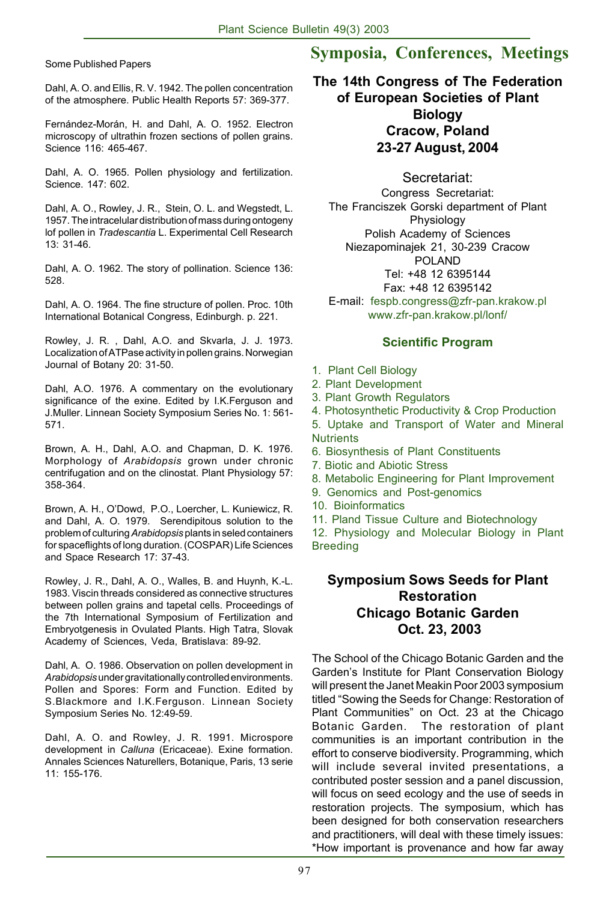Dahl, A. O. and Ellis, R. V. 1942. The pollen concentration of the atmosphere. Public Health Reports 57: 369-377.

Fernández-Morán, H. and Dahl, A. O. 1952. Electron microscopy of ultrathin frozen sections of pollen grains. Science 116: 465-467.

Dahl, A. O. 1965. Pollen physiology and fertilization. Science. 147: 602.

Dahl, A. O., Rowley, J. R., Stein, O. L. and Wegstedt, L. 1957. The intracelular distribution of mass during ontogeny lof pollen in *Tradescantia* L. Experimental Cell Research 13: 31-46.

Dahl, A. O. 1962. The story of pollination. Science 136: 528.

Dahl, A. O. 1964. The fine structure of pollen. Proc. 10th International Botanical Congress, Edinburgh. p. 221.

Rowley, J. R. , Dahl, A.O. and Skvarla, J. J. 1973. Localization of ATPase activity in pollen grains. Norwegian Journal of Botany 20: 31-50.

Dahl, A.O. 1976. A commentary on the evolutionary significance of the exine. Edited by I.K.Ferguson and J.Muller. Linnean Society Symposium Series No. 1: 561- 571.

Brown, A. H., Dahl, A.O. and Chapman, D. K. 1976. Morphology of *Arabidopsis* grown under chronic centrifugation and on the clinostat. Plant Physiology 57: 358-364.

Brown, A. H., O'Dowd, P.O., Loercher, L. Kuniewicz, R. and Dahl, A. O. 1979. Serendipitous solution to the problem of culturing *Arabidopsis* plants in seled containers for spaceflights of long duration. (COSPAR) Life Sciences and Space Research 17: 37-43.

Rowley, J. R., Dahl, A. O., Walles, B. and Huynh, K.-L. 1983. Viscin threads considered as connective structures between pollen grains and tapetal cells. Proceedings of the 7th International Symposium of Fertilization and Embryotgenesis in Ovulated Plants. High Tatra, Slovak Academy of Sciences, Veda, Bratislava: 89-92.

Dahl, A. O. 1986. Observation on pollen development in *Arabidopsis* under gravitationally controlled environments. Pollen and Spores: Form and Function. Edited by S.Blackmore and I.K.Ferguson. Linnean Society Symposium Series No. 12:49-59.

Dahl, A. O. and Rowley, J. R. 1991. Microspore development in *Calluna* (Ericaceae). Exine formation. Annales Sciences Naturellers, Botanique, Paris, 13 serie 11: 155-176.

# Some Published Papers **Symposia, Conferences, Meetings**

**The 14th Congress of The Federation of European Societies of Plant Biology Cracow, Poland 23-27 August, 2004**

Secretariat:

Congress Secretariat: The Franciszek Gorski department of Plant Physiology Polish Academy of Sciences Niezapominajek 21, 30-239 Cracow POLAND Tel: +48 12 6395144 Fax: +48 12 6395142

E-mail: fespb.congress@zfr-pan.krakow.pl www.zfr-pan.krakow.pl/lonf/

#### **Scientific Program**

- 1. Plant Cell Biology
- 2. Plant Development
- 3. Plant Growth Regulators
- 4. Photosynthetic Productivity & Crop Production

5. Uptake and Transport of Water and Mineral **Nutrients** 

- 6. Biosynthesis of Plant Constituents
- 7. Biotic and Abiotic Stress
- 8. Metabolic Engineering for Plant Improvement
- 9. Genomics and Post-genomics
- 10. Bioinformatics

11. Pland Tissue Culture and Biotechnology

12. Physiology and Molecular Biology in Plant Breeding

#### **Symposium Sows Seeds for Plant Restoration Chicago Botanic Garden Oct. 23, 2003**

The School of the Chicago Botanic Garden and the Garden's Institute for Plant Conservation Biology will present the Janet Meakin Poor 2003 symposium titled "Sowing the Seeds for Change: Restoration of Plant Communities" on Oct. 23 at the Chicago Botanic Garden. The restoration of plant communities is an important contribution in the effort to conserve biodiversity. Programming, which will include several invited presentations, a contributed poster session and a panel discussion, will focus on seed ecology and the use of seeds in restoration projects. The symposium, which has been designed for both conservation researchers and practitioners, will deal with these timely issues: \*How important is provenance and how far away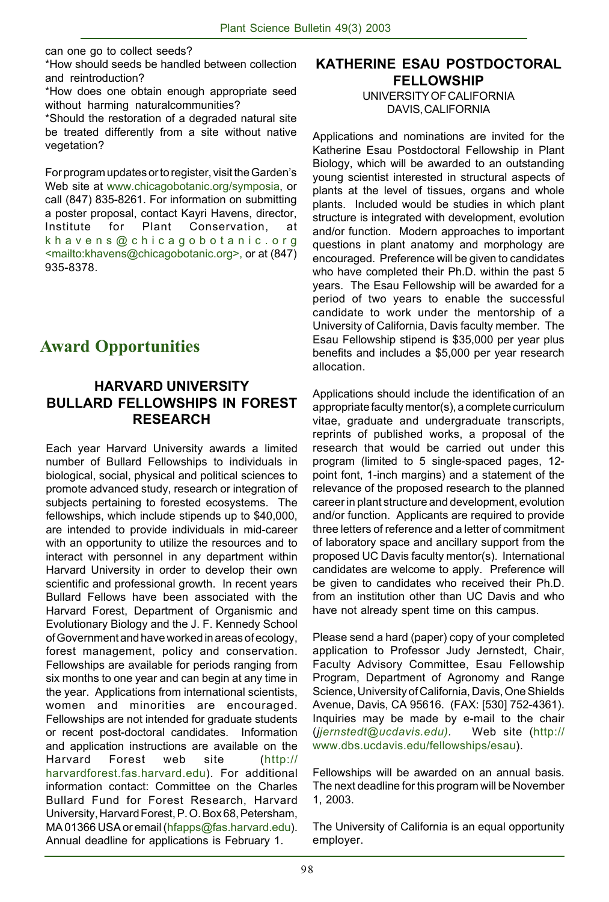can one go to collect seeds?

\*How should seeds be handled between collection and reintroduction?

\*How does one obtain enough appropriate seed without harming naturalcommunities?

\*Should the restoration of a degraded natural site be treated differently from a site without native vegetation?

For program updates or to register, visit the Garden's Web site at www.chicagobotanic.org/symposia, or call (847) 835-8261. For information on submitting a poster proposal, contact Kayri Havens, director, Institute for Plant Conservation, at khavens@chicagobotanic.org <mailto:khavens@chicagobotanic.org>, or at (847) 935-8378.

 **Award Opportunities**

#### **HARVARD UNIVERSITY BULLARD FELLOWSHIPS IN FOREST RESEARCH**

Each year Harvard University awards a limited number of Bullard Fellowships to individuals in biological, social, physical and political sciences to promote advanced study, research or integration of subjects pertaining to forested ecosystems. The fellowships, which include stipends up to \$40,000, are intended to provide individuals in mid-career with an opportunity to utilize the resources and to interact with personnel in any department within Harvard University in order to develop their own scientific and professional growth. In recent years Bullard Fellows have been associated with the Harvard Forest, Department of Organismic and Evolutionary Biology and the J. F. Kennedy School of Government and have worked in areas of ecology, forest management, policy and conservation. Fellowships are available for periods ranging from six months to one year and can begin at any time in the year. Applications from international scientists, women and minorities are encouraged. Fellowships are not intended for graduate students or recent post-doctoral candidates. Information and application instructions are available on the Harvard Forest web site (http:// harvardforest.fas.harvard.edu). For additional information contact: Committee on the Charles Bullard Fund for Forest Research, Harvard University, Harvard Forest, P. O. Box 68, Petersham, MA 01366 USA or email (hfapps@fas.harvard.edu). Annual deadline for applications is February 1.

# **KATHERINE ESAU POSTDOCTORAL FELLOWSHIP**

UNIVERSITY OF CALIFORNIA DAVIS, CALIFORNIA

Applications and nominations are invited for the Katherine Esau Postdoctoral Fellowship in Plant Biology, which will be awarded to an outstanding young scientist interested in structural aspects of plants at the level of tissues, organs and whole plants. Included would be studies in which plant structure is integrated with development, evolution and/or function. Modern approaches to important questions in plant anatomy and morphology are encouraged. Preference will be given to candidates who have completed their Ph.D. within the past 5 years. The Esau Fellowship will be awarded for a period of two years to enable the successful candidate to work under the mentorship of a University of California, Davis faculty member. The Esau Fellowship stipend is \$35,000 per year plus benefits and includes a \$5,000 per year research allocation.

Applications should include the identification of an appropriate faculty mentor(s), a complete curriculum vitae, graduate and undergraduate transcripts, reprints of published works, a proposal of the research that would be carried out under this program (limited to 5 single-spaced pages, 12 point font, 1-inch margins) and a statement of the relevance of the proposed research to the planned career in plant structure and development, evolution and/or function. Applicants are required to provide three letters of reference and a letter of commitment of laboratory space and ancillary support from the proposed UC Davis faculty mentor(s). International candidates are welcome to apply. Preference will be given to candidates who received their Ph.D. from an institution other than UC Davis and who have not already spent time on this campus.

Please send a hard (paper) copy of your completed application to Professor Judy Jernstedt, Chair, Faculty Advisory Committee, Esau Fellowship Program, Department of Agronomy and Range Science, University of California, Davis, One Shields Avenue, Davis, CA 95616. (FAX: [530] 752-4361). Inquiries may be made by e-mail to the chair (*jjernstedt@ucdavis.edu).* Web site (http:// www.dbs.ucdavis.edu/fellowships/esau).

Fellowships will be awarded on an annual basis. The next deadline for this program will be November 1, 2003.

The University of California is an equal opportunity employer.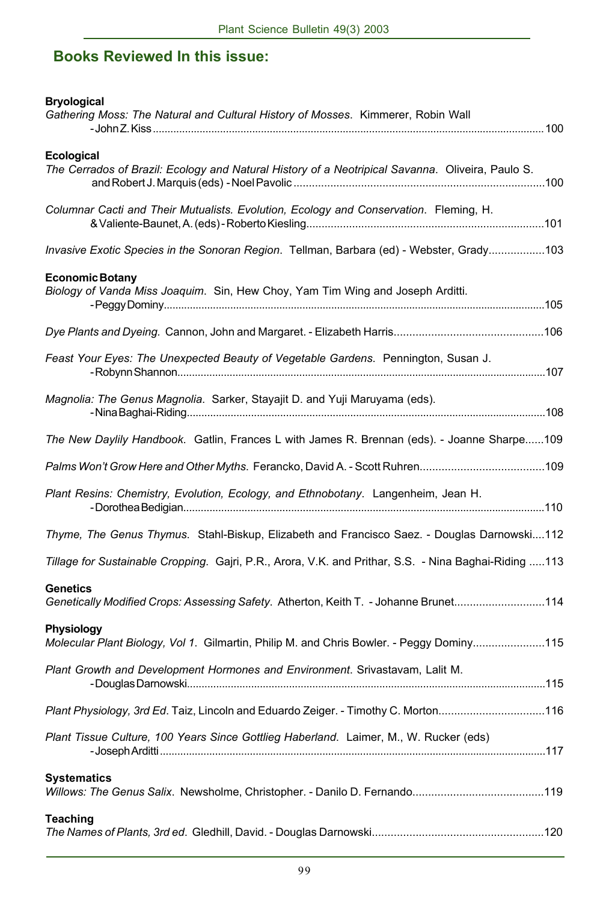# **Books Reviewed In this issue:**

| <b>Bryological</b><br>Gathering Moss: The Natural and Cultural History of Mosses. Kimmerer, Robin Wall  |
|---------------------------------------------------------------------------------------------------------|
| Ecological                                                                                              |
| The Cerrados of Brazil: Ecology and Natural History of a Neotripical Savanna. Oliveira, Paulo S.        |
| Columnar Cacti and Their Mutualists. Evolution, Ecology and Conservation. Fleming, H.                   |
| Invasive Exotic Species in the Sonoran Region. Tellman, Barbara (ed) - Webster, Grady103                |
| <b>Economic Botany</b>                                                                                  |
| Biology of Vanda Miss Joaquim. Sin, Hew Choy, Yam Tim Wing and Joseph Arditti.                          |
|                                                                                                         |
| Feast Your Eyes: The Unexpected Beauty of Vegetable Gardens. Pennington, Susan J.                       |
| Magnolia: The Genus Magnolia. Sarker, Stayajit D. and Yuji Maruyama (eds).                              |
| The New Daylily Handbook. Gatlin, Frances L with James R. Brennan (eds). - Joanne Sharpe109             |
|                                                                                                         |
| Plant Resins: Chemistry, Evolution, Ecology, and Ethnobotany. Langenheim, Jean H.                       |
| Thyme, The Genus Thymus. Stahl-Biskup, Elizabeth and Francisco Saez. - Douglas Darnowski112             |
| Tillage for Sustainable Cropping. Gajri, P.R., Arora, V.K. and Prithar, S.S. - Nina Baghai-Riding 113   |
| <b>Genetics</b><br>Genetically Modified Crops: Assessing Safety. Atherton, Keith T. - Johanne Brunet114 |
| Physiology<br>Molecular Plant Biology, Vol 1. Gilmartin, Philip M. and Chris Bowler. - Peggy Dominy115  |
| Plant Growth and Development Hormones and Environment. Srivastavam, Lalit M.                            |
| Plant Physiology, 3rd Ed. Taiz, Lincoln and Eduardo Zeiger. - Timothy C. Morton116                      |
| Plant Tissue Culture, 100 Years Since Gottlieg Haberland. Laimer, M., W. Rucker (eds)                   |
| <b>Systematics</b>                                                                                      |
| <b>Teaching</b>                                                                                         |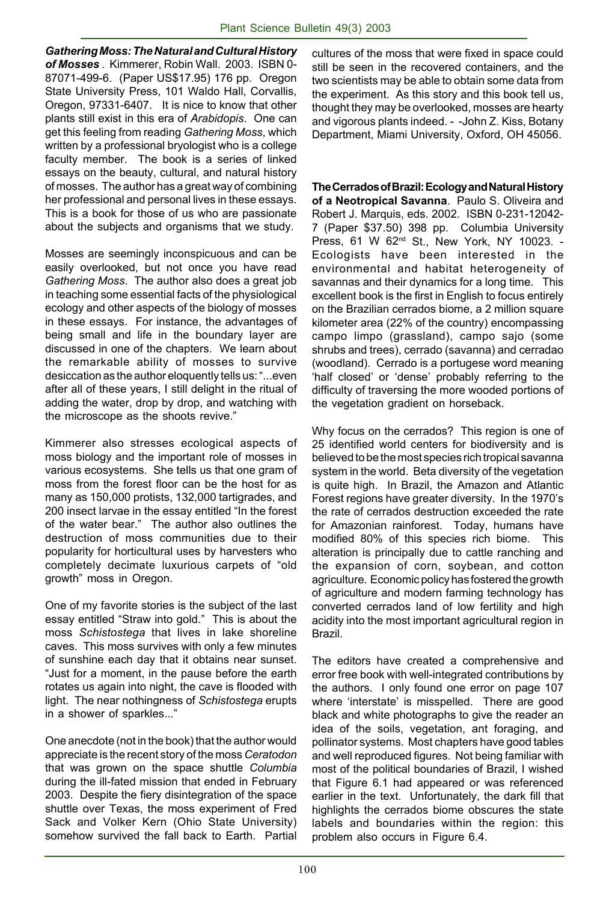*Gathering Moss: The Natural and Cultural History of Mosses* . Kimmerer, Robin Wall. 2003. ISBN 0- 87071-499-6. (Paper US\$17.95) 176 pp.Oregon State University Press, 101 Waldo Hall, Corvallis, Oregon, 97331-6407. It is nice to know that other plants still exist in this era of *Arabidopis*. One can get this feeling from reading *Gathering Moss*, which written by a professional bryologist who is a college faculty member. The book is a series of linked essays on the beauty, cultural, and natural history of mosses. The author has a great way of combining her professional and personal lives in these essays. This is a book for those of us who are passionate about the subjects and organisms that we study.

Mosses are seemingly inconspicuous and can be easily overlooked, but not once you have read *Gathering Moss*. The author also does a great job in teaching some essential facts of the physiological ecology and other aspects of the biology of mosses in these essays. For instance, the advantages of being small and life in the boundary layer are discussed in one of the chapters. We learn about the remarkable ability of mosses to survive desiccation as the author eloquently tells us: "...even after all of these years, I still delight in the ritual of adding the water, drop by drop, and watching with the microscope as the shoots revive."

Kimmerer also stresses ecological aspects of moss biology and the important role of mosses in various ecosystems. She tells us that one gram of moss from the forest floor can be the host for as many as 150,000 protists, 132,000 tartigrades, and 200 insect larvae in the essay entitled "In the forest of the water bear." The author also outlines the destruction of moss communities due to their popularity for horticultural uses by harvesters who completely decimate luxurious carpets of "old growth" moss in Oregon.

One of my favorite stories is the subject of the last essay entitled "Straw into gold." This is about the moss *Schistostega* that lives in lake shoreline caves. This moss survives with only a few minutes of sunshine each day that it obtains near sunset. "Just for a moment, in the pause before the earth rotates us again into night, the cave is flooded with light. The near nothingness of *Schistostega* erupts in a shower of sparkles..."

One anecdote (not in the book) that the author would appreciate is the recent story of the moss *Ceratodon* that was grown on the space shuttle *Columbia* during the ill-fated mission that ended in February 2003. Despite the fiery disintegration of the space shuttle over Texas, the moss experiment of Fred Sack and Volker Kern (Ohio State University) somehow survived the fall back to Earth. Partial cultures of the moss that were fixed in space could still be seen in the recovered containers, and the two scientists may be able to obtain some data from the experiment. As this story and this book tell us, thought they may be overlooked, mosses are hearty and vigorous plants indeed. - -John Z. Kiss, Botany Department, Miami University, Oxford, OH 45056.

**The Cerrados of Brazil: Ecology and Natural History of a Neotropical Savanna**. Paulo S. Oliveira and Robert J. Marquis, eds. 2002. ISBN 0-231-12042- 7 (Paper \$37.50) 398 pp. Columbia University Press, 61 W 62nd St., New York, NY 10023. - Ecologists have been interested in the environmental and habitat heterogeneity of savannas and their dynamics for a long time. This excellent book is the first in English to focus entirely on the Brazilian cerrados biome, a 2 million square kilometer area (22% of the country) encompassing campo limpo (grassland), campo sajo (some shrubs and trees), cerrado (savanna) and cerradao (woodland). Cerrado is a portugese word meaning 'half closed' or 'dense' probably referring to the difficulty of traversing the more wooded portions of the vegetation gradient on horseback.

Why focus on the cerrados? This region is one of 25 identified world centers for biodiversity and is believed to be the most species rich tropical savanna system in the world. Beta diversity of the vegetation is quite high. In Brazil, the Amazon and Atlantic Forest regions have greater diversity. In the 1970's the rate of cerrados destruction exceeded the rate for Amazonian rainforest. Today, humans have modified 80% of this species rich biome. This alteration is principally due to cattle ranching and the expansion of corn, soybean, and cotton agriculture. Economic policy has fostered the growth of agriculture and modern farming technology has converted cerrados land of low fertility and high acidity into the most important agricultural region in Brazil.

The editors have created a comprehensive and error free book with well-integrated contributions by the authors. I only found one error on page 107 where 'interstate' is misspelled. There are good black and white photographs to give the reader an idea of the soils, vegetation, ant foraging, and pollinator systems. Most chapters have good tables and well reproduced figures. Not being familiar with most of the political boundaries of Brazil, I wished that Figure 6.1 had appeared or was referenced earlier in the text. Unfortunately, the dark fill that highlights the cerrados biome obscures the state labels and boundaries within the region: this problem also occurs in Figure 6.4.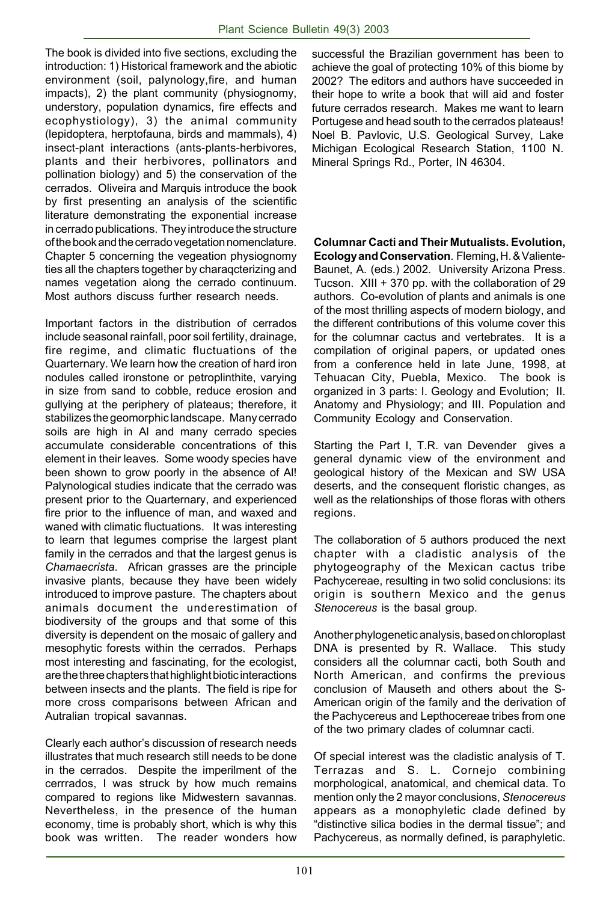The book is divided into five sections, excluding the introduction: 1) Historical framework and the abiotic environment (soil, palynology,fire, and human impacts), 2) the plant community (physiognomy, understory, population dynamics, fire effects and ecophystiology), 3) the animal community (lepidoptera, herptofauna, birds and mammals), 4) insect-plant interactions (ants-plants-herbivores, plants and their herbivores, pollinators and pollination biology) and 5) the conservation of the cerrados. Oliveira and Marquis introduce the book by first presenting an analysis of the scientific literature demonstrating the exponential increase in cerrado publications. They introduce the structure of the book and the cerrado vegetation nomenclature. Chapter 5 concerning the vegeation physiognomy ties all the chapters together by charaqcterizing and names vegetation along the cerrado continuum. Most authors discuss further research needs.

Important factors in the distribution of cerrados include seasonal rainfall, poor soil fertility, drainage, fire regime, and climatic fluctuations of the Quarternary. We learn how the creation of hard iron nodules called ironstone or petroplinthite, varying in size from sand to cobble, reduce erosion and gullying at the periphery of plateaus; therefore, it stabilizes the geomorphic landscape. Many cerrado soils are high in Al and many cerrado species accumulate considerable concentrations of this element in their leaves. Some woody species have been shown to grow poorly in the absence of Al! Palynological studies indicate that the cerrado was present prior to the Quarternary, and experienced fire prior to the influence of man, and waxed and waned with climatic fluctuations. It was interesting to learn that legumes comprise the largest plant family in the cerrados and that the largest genus is *Chamaecrista*. African grasses are the principle invasive plants, because they have been widely introduced to improve pasture. The chapters about animals document the underestimation of biodiversity of the groups and that some of this diversity is dependent on the mosaic of gallery and mesophytic forests within the cerrados. Perhaps most interesting and fascinating, for the ecologist, are the three chapters that highlight biotic interactions between insects and the plants. The field is ripe for more cross comparisons between African and Autralian tropical savannas.

Clearly each author's discussion of research needs illustrates that much research still needs to be done in the cerrados. Despite the imperilment of the cerrrados, I was struck by how much remains compared to regions like Midwestern savannas. Nevertheless, in the presence of the human economy, time is probably short, which is why this book was written. The reader wonders how

successful the Brazilian government has been to achieve the goal of protecting 10% of this biome by 2002? The editors and authors have succeeded in their hope to write a book that will aid and foster future cerrados research. Makes me want to learn Portugese and head south to the cerrados plateaus! Noel B. Pavlovic, U.S. Geological Survey, Lake Michigan Ecological Research Station, 1100 N. Mineral Springs Rd., Porter, IN 46304.

**Columnar Cacti and Their Mutualists. Evolution, Ecology and Conservation**. Fleming, H. & Valiente-Baunet, A. (eds.) 2002. University Arizona Press. Tucson. XIII + 370 pp. with the collaboration of 29 authors. Co-evolution of plants and animals is one of the most thrilling aspects of modern biology, and the different contributions of this volume cover this for the columnar cactus and vertebrates. It is a compilation of original papers, or updated ones from a conference held in late June, 1998, at Tehuacan City, Puebla, Mexico. The book is organized in 3 parts: I. Geology and Evolution; II. Anatomy and Physiology; and III. Population and Community Ecology and Conservation.

Starting the Part I, T.R. van Devender gives a general dynamic view of the environment and geological history of the Mexican and SW USA deserts, and the consequent floristic changes, as well as the relationships of those floras with others regions.

The collaboration of 5 authors produced the next chapter with a cladistic analysis of the phytogeography of the Mexican cactus tribe Pachycereae, resulting in two solid conclusions: its origin is southern Mexico and the genus *Stenocereus* is the basal group.

Another phylogenetic analysis, based on chloroplast DNA is presented by R. Wallace. This study considers all the columnar cacti, both South and North American, and confirms the previous conclusion of Mauseth and others about the S-American origin of the family and the derivation of the Pachycereus and Lepthocereae tribes from one of the two primary clades of columnar cacti.

Of special interest was the cladistic analysis of T. Terrazas and S. L. Cornejo combining morphological, anatomical, and chemical data. To mention only the 2 mayor conclusions, *Stenocereus* appears as a monophyletic clade defined by "distinctive silica bodies in the dermal tissue"; and Pachycereus, as normally defined, is paraphyletic.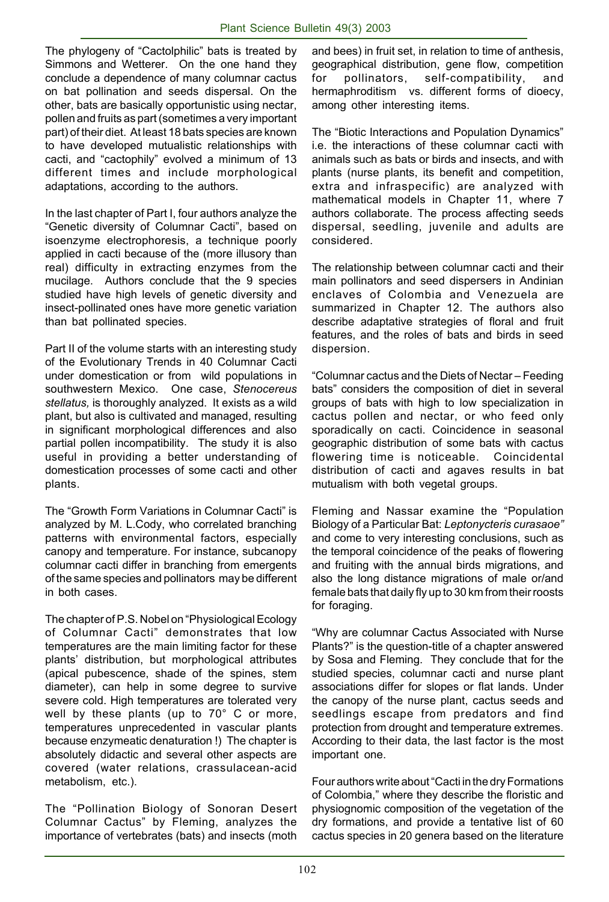The phylogeny of "Cactolphilic" bats is treated by Simmons and Wetterer. On the one hand they conclude a dependence of many columnar cactus on bat pollination and seeds dispersal. On the other, bats are basically opportunistic using nectar, pollen and fruits as part (sometimes a very important part) of their diet. At least 18 bats species are known to have developed mutualistic relationships with cacti, and "cactophily" evolved a minimum of 13 different times and include morphological adaptations, according to the authors.

In the last chapter of Part I, four authors analyze the "Genetic diversity of Columnar Cacti", based on isoenzyme electrophoresis, a technique poorly applied in cacti because of the (more illusory than real) difficulty in extracting enzymes from the mucilage. Authors conclude that the 9 species studied have high levels of genetic diversity and insect-pollinated ones have more genetic variation than bat pollinated species.

Part II of the volume starts with an interesting study of the Evolutionary Trends in 40 Columnar Cacti under domestication or from wild populations in southwestern Mexico. One case, *Stenocereus stellatus,* is thoroughly analyzed. It exists as a wild plant, but also is cultivated and managed, resulting in significant morphological differences and also partial pollen incompatibility. The study it is also useful in providing a better understanding of domestication processes of some cacti and other plants.

The "Growth Form Variations in Columnar Cacti" is analyzed by M. L.Cody, who correlated branching patterns with environmental factors, especially canopy and temperature. For instance, subcanopy columnar cacti differ in branching from emergents of the same species and pollinators may be different in both cases.

The chapter of P.S. Nobel on "Physiological Ecology of Columnar Cacti" demonstrates that low temperatures are the main limiting factor for these plants' distribution, but morphological attributes (apical pubescence, shade of the spines, stem diameter), can help in some degree to survive severe cold. High temperatures are tolerated very well by these plants (up to 70° C or more, temperatures unprecedented in vascular plants because enzymeatic denaturation !) The chapter is absolutely didactic and several other aspects are covered (water relations, crassulacean-acid metabolism, etc.).

The "Pollination Biology of Sonoran Desert Columnar Cactus" by Fleming, analyzes the importance of vertebrates (bats) and insects (moth

and bees) in fruit set, in relation to time of anthesis, geographical distribution, gene flow, competition for pollinators, self-compatibility, and hermaphroditism vs. different forms of dioecy, among other interesting items.

The "Biotic Interactions and Population Dynamics" i.e. the interactions of these columnar cacti with animals such as bats or birds and insects, and with plants (nurse plants, its benefit and competition, extra and infraspecific) are analyzed with mathematical models in Chapter 11, where 7 authors collaborate. The process affecting seeds dispersal, seedling, juvenile and adults are considered.

The relationship between columnar cacti and their main pollinators and seed dispersers in Andinian enclaves of Colombia and Venezuela are summarized in Chapter 12. The authors also describe adaptative strategies of floral and fruit features, and the roles of bats and birds in seed dispersion.

"Columnar cactus and the Diets of Nectar – Feeding bats" considers the composition of diet in several groups of bats with high to low specialization in cactus pollen and nectar, or who feed only sporadically on cacti. Coincidence in seasonal geographic distribution of some bats with cactus flowering time is noticeable. Coincidental distribution of cacti and agaves results in bat mutualism with both vegetal groups.

Fleming and Nassar examine the "Population Biology of a Particular Bat: *Leptonycteris curasaoe"* and come to very interesting conclusions, such as the temporal coincidence of the peaks of flowering and fruiting with the annual birds migrations, and also the long distance migrations of male or/and female bats that daily fly up to 30 km from their roosts for foraging.

"Why are columnar Cactus Associated with Nurse Plants?" is the question-title of a chapter answered by Sosa and Fleming. They conclude that for the studied species, columnar cacti and nurse plant associations differ for slopes or flat lands. Under the canopy of the nurse plant, cactus seeds and seedlings escape from predators and find protection from drought and temperature extremes. According to their data, the last factor is the most important one.

Four authors write about "Cacti in the dry Formations of Colombia," where they describe the floristic and physiognomic composition of the vegetation of the dry formations, and provide a tentative list of 60 cactus species in 20 genera based on the literature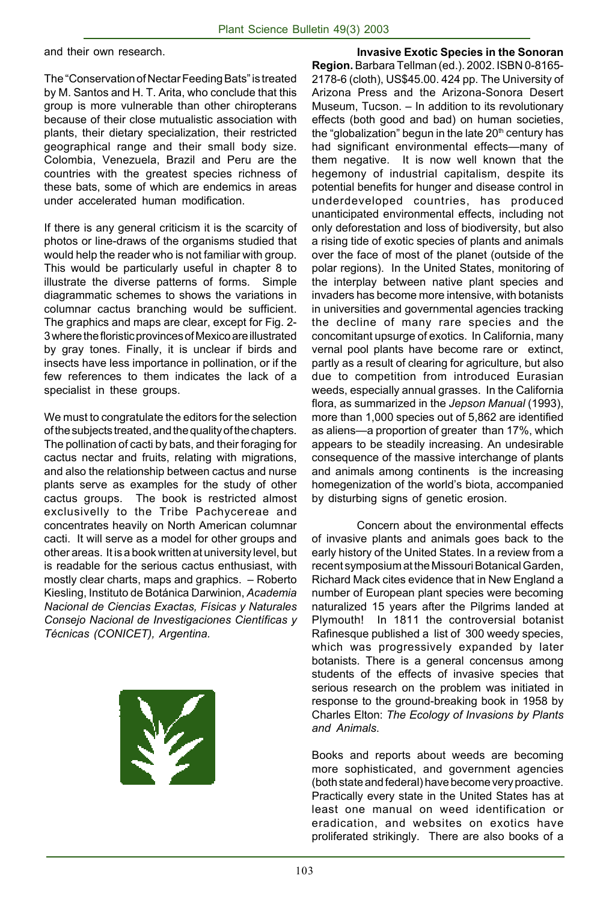and their own research.

The "Conservation of Nectar Feeding Bats" is treated by M. Santos and H. T. Arita, who conclude that this group is more vulnerable than other chiropterans because of their close mutualistic association with plants, their dietary specialization, their restricted geographical range and their small body size. Colombia, Venezuela, Brazil and Peru are the countries with the greatest species richness of these bats, some of which are endemics in areas under accelerated human modification.

If there is any general criticism it is the scarcity of photos or line-draws of the organisms studied that would help the reader who is not familiar with group. This would be particularly useful in chapter 8 to illustrate the diverse patterns of forms. Simple diagrammatic schemes to shows the variations in columnar cactus branching would be sufficient. The graphics and maps are clear, except for Fig. 2- 3 where the floristic provinces of Mexico are illustrated by gray tones. Finally, it is unclear if birds and insects have less importance in pollination, or if the few references to them indicates the lack of a specialist in these groups.

We must to congratulate the editors for the selection of the subjects treated, and the quality of the chapters. The pollination of cacti by bats, and their foraging for cactus nectar and fruits, relating with migrations, and also the relationship between cactus and nurse plants serve as examples for the study of other cactus groups. The book is restricted almost exclusivelly to the Tribe Pachycereae and concentrates heavily on North American columnar cacti. It will serve as a model for other groups and other areas. It is a book written at university level, but is readable for the serious cactus enthusiast, with mostly clear charts, maps and graphics. – Roberto Kiesling, Instituto de Botánica Darwinion, *Academia Nacional de Ciencias Exactas, Físicas y Naturales Consejo Nacional de Investigaciones Científicas y Técnicas (CONICET), Argentina.*



**Invasive Exotic Species in the Sonoran Region.** Barbara Tellman (ed.). 2002. ISBN 0-8165- 2178-6 (cloth), US\$45.00. 424 pp. The University of Arizona Press and the Arizona-Sonora Desert Museum, Tucson. – In addition to its revolutionary effects (both good and bad) on human societies, the "globalization" begun in the late 20<sup>th</sup> century has had significant environmental effects—many of them negative. It is now well known that the hegemony of industrial capitalism, despite its potential benefits for hunger and disease control in underdeveloped countries, has produced unanticipated environmental effects, including not only deforestation and loss of biodiversity, but also a rising tide of exotic species of plants and animals over the face of most of the planet (outside of the polar regions). In the United States, monitoring of the interplay between native plant species and invaders has become more intensive, with botanists in universities and governmental agencies tracking the decline of many rare species and the concomitant upsurge of exotics. In California, many vernal pool plants have become rare or extinct, partly as a result of clearing for agriculture, but also due to competition from introduced Eurasian weeds, especially annual grasses. In the California flora, as summarized in the *Jepson Manual* (1993), more than 1,000 species out of 5,862 are identified as aliens—a proportion of greater than 17%, which appears to be steadily increasing. An undesirable consequence of the massive interchange of plants and animals among continents is the increasing homegenization of the world's biota, accompanied by disturbing signs of genetic erosion.

Concern about the environmental effects of invasive plants and animals goes back to the early history of the United States. In a review from a recent symposium at the Missouri Botanical Garden, Richard Mack cites evidence that in New England a number of European plant species were becoming naturalized 15 years after the Pilgrims landed at Plymouth! In 1811 the controversial botanist Rafinesque published a list of 300 weedy species, which was progressively expanded by later botanists. There is a general concensus among students of the effects of invasive species that serious research on the problem was initiated in response to the ground-breaking book in 1958 by Charles Elton: *The Ecology of Invasions by Plants and Animals*.

Books and reports about weeds are becoming more sophisticated, and government agencies (both state and federal) have become very proactive. Practically every state in the United States has at least one manual on weed identification or eradication, and websites on exotics have proliferated strikingly. There are also books of a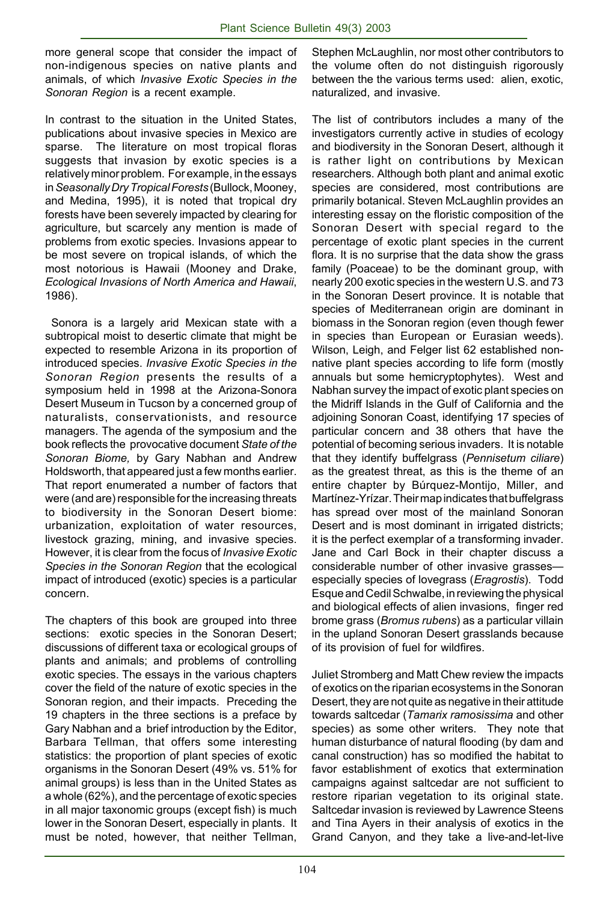more general scope that consider the impact of non-indigenous species on native plants and animals, of which *Invasive Exotic Species in the Sonoran Region* is a recent example.

In contrast to the situation in the United States, publications about invasive species in Mexico are sparse. The literature on most tropical floras suggests that invasion by exotic species is a relatively minor problem. For example, in the essays in *Seasonally Dry Tropical Forests* (Bullock, Mooney, and Medina, 1995), it is noted that tropical dry forests have been severely impacted by clearing for agriculture, but scarcely any mention is made of problems from exotic species. Invasions appear to be most severe on tropical islands, of which the most notorious is Hawaii (Mooney and Drake, *Ecological Invasions of North America and Hawaii*, 1986).

 Sonora is a largely arid Mexican state with a subtropical moist to desertic climate that might be expected to resemble Arizona in its proportion of introduced species. *Invasive Exotic Species in the Sonoran Region* presents the results of a symposium held in 1998 at the Arizona-Sonora Desert Museum in Tucson by a concerned group of naturalists, conservationists, and resource managers. The agenda of the symposium and the book reflects the provocative document *State of the Sonoran Biome,* by Gary Nabhan and Andrew Holdsworth, that appeared just a few months earlier. That report enumerated a number of factors that were (and are) responsible for the increasing threats to biodiversity in the Sonoran Desert biome: urbanization, exploitation of water resources, livestock grazing, mining, and invasive species. However, it is clear from the focus of *Invasive Exotic Species in the Sonoran Region* that the ecological impact of introduced (exotic) species is a particular concern.

The chapters of this book are grouped into three sections: exotic species in the Sonoran Desert; discussions of different taxa or ecological groups of plants and animals; and problems of controlling exotic species. The essays in the various chapters cover the field of the nature of exotic species in the Sonoran region, and their impacts. Preceding the 19 chapters in the three sections is a preface by Gary Nabhan and a brief introduction by the Editor, Barbara Tellman, that offers some interesting statistics: the proportion of plant species of exotic organisms in the Sonoran Desert (49% vs. 51% for animal groups) is less than in the United States as a whole (62%), and the percentage of exotic species in all major taxonomic groups (except fish) is much lower in the Sonoran Desert, especially in plants. It must be noted, however, that neither Tellman,

Stephen McLaughlin, nor most other contributors to the volume often do not distinguish rigorously between the the various terms used: alien, exotic, naturalized, and invasive.

The list of contributors includes a many of the investigators currently active in studies of ecology and biodiversity in the Sonoran Desert, although it is rather light on contributions by Mexican researchers. Although both plant and animal exotic species are considered, most contributions are primarily botanical. Steven McLaughlin provides an interesting essay on the floristic composition of the Sonoran Desert with special regard to the percentage of exotic plant species in the current flora. It is no surprise that the data show the grass family (Poaceae) to be the dominant group, with nearly 200 exotic species in the western U.S. and 73 in the Sonoran Desert province. It is notable that species of Mediterranean origin are dominant in biomass in the Sonoran region (even though fewer in species than European or Eurasian weeds). Wilson, Leigh, and Felger list 62 established nonnative plant species according to life form (mostly annuals but some hemicryptophytes). West and Nabhan survey the impact of exotic plant species on the Midriff Islands in the Gulf of California and the adjoining Sonoran Coast, identifying 17 species of particular concern and 38 others that have the potential of becoming serious invaders. It is notable that they identify buffelgrass (*Pennisetum ciliare*) as the greatest threat, as this is the theme of an entire chapter by Búrquez-Montijo, Miller, and Martínez-Yrízar. Their map indicates that buffelgrass has spread over most of the mainland Sonoran Desert and is most dominant in irrigated districts; it is the perfect exemplar of a transforming invader. Jane and Carl Bock in their chapter discuss a considerable number of other invasive grasses especially species of lovegrass (*Eragrostis*). Todd Esque and Cedil Schwalbe, in reviewing the physical and biological effects of alien invasions, finger red brome grass (*Bromus rubens*) as a particular villain in the upland Sonoran Desert grasslands because of its provision of fuel for wildfires.

Juliet Stromberg and Matt Chew review the impacts of exotics on the riparian ecosystems in the Sonoran Desert, they are not quite as negative in their attitude towards saltcedar (*Tamarix ramosissima* and other species) as some other writers. They note that human disturbance of natural flooding (by dam and canal construction) has so modified the habitat to favor establishment of exotics that extermination campaigns against saltcedar are not sufficient to restore riparian vegetation to its original state. Saltcedar invasion is reviewed by Lawrence Steens and Tina Ayers in their analysis of exotics in the Grand Canyon, and they take a live-and-let-live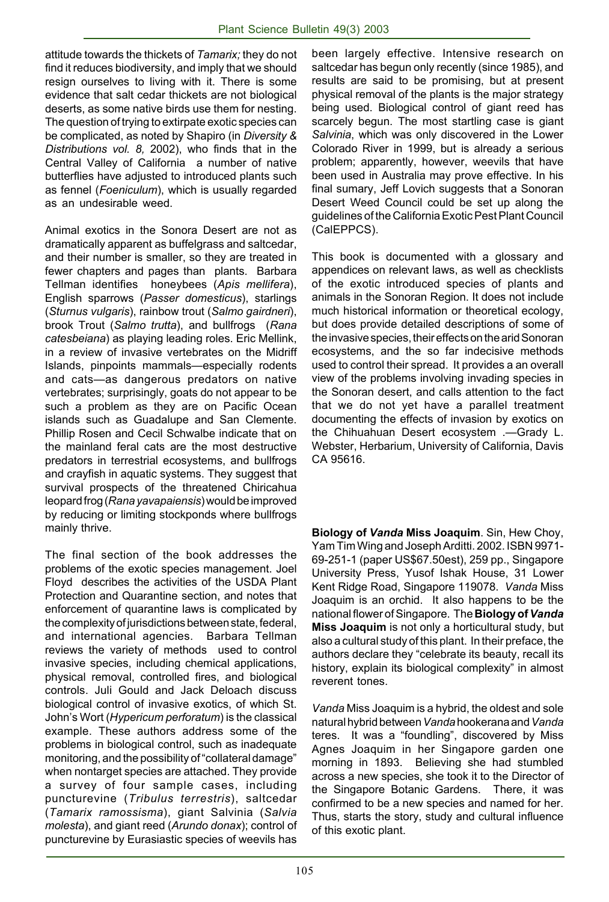attitude towards the thickets of *Tamarix;* they do not find it reduces biodiversity, and imply that we should resign ourselves to living with it. There is some evidence that salt cedar thickets are not biological deserts, as some native birds use them for nesting. The question of trying to extirpate exotic species can be complicated, as noted by Shapiro (in *Diversity & Distributions vol. 8,* 2002), who finds that in the Central Valley of California a number of native butterflies have adjusted to introduced plants such as fennel (*Foeniculum*), which is usually regarded as an undesirable weed.

Animal exotics in the Sonora Desert are not as dramatically apparent as buffelgrass and saltcedar, and their number is smaller, so they are treated in fewer chapters and pages than plants. Barbara Tellman identifies honeybees (*Apis mellifera*), English sparrows (*Passer domesticus*), starlings (*Sturnus vulgaris*), rainbow trout (*Salmo gairdneri*), brook Trout (*Salmo trutta*), and bullfrogs (*Rana catesbeiana*) as playing leading roles. Eric Mellink, in a review of invasive vertebrates on the Midriff Islands, pinpoints mammals—especially rodents and cats—as dangerous predators on native vertebrates; surprisingly, goats do not appear to be such a problem as they are on Pacific Ocean islands such as Guadalupe and San Clemente. Phillip Rosen and Cecil Schwalbe indicate that on the mainland feral cats are the most destructive predators in terrestrial ecosystems, and bullfrogs and crayfish in aquatic systems. They suggest that survival prospects of the threatened Chiricahua leopard frog (*Rana yavapaiensis*) would be improved by reducing or limiting stockponds where bullfrogs mainly thrive.

The final section of the book addresses the problems of the exotic species management. Joel Floyd describes the activities of the USDA Plant Protection and Quarantine section, and notes that enforcement of quarantine laws is complicated by the complexity of jurisdictions between state, federal, and international agencies. Barbara Tellman reviews the variety of methods used to control invasive species, including chemical applications, physical removal, controlled fires, and biological controls. Juli Gould and Jack Deloach discuss biological control of invasive exotics, of which St. John's Wort (*Hypericum perforatum*) is the classical example. These authors address some of the problems in biological control, such as inadequate monitoring, and the possibility of "collateral damage" when nontarget species are attached. They provide a survey of four sample cases, including puncturevine (*Tribulus terrestris*), saltcedar (*Tamarix ramossisma*), giant Salvinia (*Salvia molesta*), and giant reed (*Arundo donax*); control of puncturevine by Eurasiastic species of weevils has been largely effective. Intensive research on saltcedar has begun only recently (since 1985), and results are said to be promising, but at present physical removal of the plants is the major strategy being used. Biological control of giant reed has scarcely begun. The most startling case is giant *Salvinia*, which was only discovered in the Lower Colorado River in 1999, but is already a serious problem; apparently, however, weevils that have been used in Australia may prove effective. In his final sumary, Jeff Lovich suggests that a Sonoran Desert Weed Council could be set up along the guidelines of the California Exotic Pest Plant Council (CalEPPCS).

This book is documented with a glossary and appendices on relevant laws, as well as checklists of the exotic introduced species of plants and animals in the Sonoran Region. It does not include much historical information or theoretical ecology, but does provide detailed descriptions of some of the invasive species, their effects on the arid Sonoran ecosystems, and the so far indecisive methods used to control their spread. It provides a an overall view of the problems involving invading species in the Sonoran desert, and calls attention to the fact that we do not yet have a parallel treatment documenting the effects of invasion by exotics on the Chihuahuan Desert ecosystem .—Grady L. Webster, Herbarium, University of California, Davis CA 95616.

**Biology of** *Vanda* **Miss Joaquim**. Sin, Hew Choy, Yam Tim Wing and Joseph Arditti. 2002. ISBN 9971- 69-251-1 (paper US\$67.50est), 259 pp., Singapore University Press, Yusof Ishak House, 31 Lower Kent Ridge Road, Singapore 119078. *Vanda* Miss Joaquim is an orchid. It also happens to be the national flower of Singapore. The **Biology of** *Vanda* **Miss Joaquim** is not only a horticultural study, but also a cultural study of this plant. In their preface, the authors declare they "celebrate its beauty, recall its history, explain its biological complexity" in almost reverent tones.

*Vanda* Miss Joaquim is a hybrid, the oldest and sole natural hybrid between *Vanda* hookerana and *Vanda* teres. It was a "foundling", discovered by Miss Agnes Joaquim in her Singapore garden one morning in 1893. Believing she had stumbled across a new species, she took it to the Director of the Singapore Botanic Gardens. There, it was confirmed to be a new species and named for her. Thus, starts the story, study and cultural influence of this exotic plant.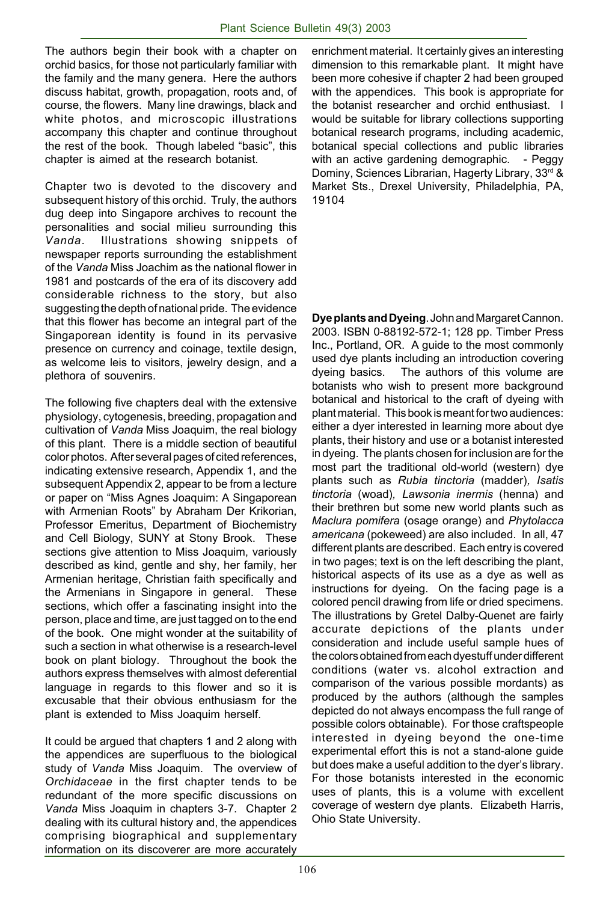The authors begin their book with a chapter on orchid basics, for those not particularly familiar with the family and the many genera. Here the authors discuss habitat, growth, propagation, roots and, of course, the flowers. Many line drawings, black and white photos, and microscopic illustrations accompany this chapter and continue throughout the rest of the book. Though labeled "basic", this chapter is aimed at the research botanist.

Chapter two is devoted to the discovery and subsequent history of this orchid. Truly, the authors dug deep into Singapore archives to recount the personalities and social milieu surrounding this *Vanda*. Illustrations showing snippets of newspaper reports surrounding the establishment of the *Vanda* Miss Joachim as the national flower in 1981 and postcards of the era of its discovery add considerable richness to the story, but also suggesting the depth of national pride. The evidence that this flower has become an integral part of the Singaporean identity is found in its pervasive presence on currency and coinage, textile design, as welcome leis to visitors, jewelry design, and a plethora of souvenirs.

The following five chapters deal with the extensive physiology, cytogenesis, breeding, propagation and cultivation of *Vanda* Miss Joaquim, the real biology of this plant. There is a middle section of beautiful color photos. After several pages of cited references, indicating extensive research, Appendix 1, and the subsequent Appendix 2, appear to be from a lecture or paper on "Miss Agnes Joaquim: A Singaporean with Armenian Roots" by Abraham Der Krikorian, Professor Emeritus, Department of Biochemistry and Cell Biology, SUNY at Stony Brook. These sections give attention to Miss Joaquim, variously described as kind, gentle and shy, her family, her Armenian heritage, Christian faith specifically and the Armenians in Singapore in general. These sections, which offer a fascinating insight into the person, place and time, are just tagged on to the end of the book. One might wonder at the suitability of such a section in what otherwise is a research-level book on plant biology. Throughout the book the authors express themselves with almost deferential language in regards to this flower and so it is excusable that their obvious enthusiasm for the plant is extended to Miss Joaquim herself.

It could be argued that chapters 1 and 2 along with the appendices are superfluous to the biological study of *Vanda* Miss Joaquim. The overview of *Orchidaceae* in the first chapter tends to be redundant of the more specific discussions on *Vanda* Miss Joaquim in chapters 3-7. Chapter 2 dealing with its cultural history and, the appendices comprising biographical and supplementary information on its discoverer are more accurately

enrichment material. It certainly gives an interesting dimension to this remarkable plant. It might have been more cohesive if chapter 2 had been grouped with the appendices. This book is appropriate for the botanist researcher and orchid enthusiast. I would be suitable for library collections supporting botanical research programs, including academic, botanical special collections and public libraries with an active gardening demographic. - Peggy Dominy, Sciences Librarian, Hagerty Library, 33rd & Market Sts., Drexel University, Philadelphia, PA, 19104

**Dye plants and Dyeing**. John and Margaret Cannon. 2003. ISBN 0-88192-572-1; 128 pp. Timber Press Inc., Portland, OR. A guide to the most commonly used dye plants including an introduction covering dyeing basics. The authors of this volume are botanists who wish to present more background botanical and historical to the craft of dyeing with plant material. This book is meant for two audiences: either a dyer interested in learning more about dye plants, their history and use or a botanist interested in dyeing. The plants chosen for inclusion are for the most part the traditional old-world (western) dye plants such as *Rubia tinctoria* (madder)*, Isatis tinctoria* (woad)*, Lawsonia inermis* (henna) and their brethren but some new world plants such as *Maclura pomifera* (osage orange) and *Phytolacca americana* (pokeweed) are also included. In all, 47 different plants are described. Each entry is covered in two pages; text is on the left describing the plant, historical aspects of its use as a dye as well as instructions for dyeing. On the facing page is a colored pencil drawing from life or dried specimens. The illustrations by Gretel Dalby-Quenet are fairly accurate depictions of the plants under consideration and include useful sample hues of the colors obtained from each dyestuff under different conditions (water vs. alcohol extraction and comparison of the various possible mordants) as produced by the authors (although the samples depicted do not always encompass the full range of possible colors obtainable). For those craftspeople interested in dyeing beyond the one-time experimental effort this is not a stand-alone guide but does make a useful addition to the dyer's library. For those botanists interested in the economic uses of plants, this is a volume with excellent coverage of western dye plants. Elizabeth Harris, Ohio State University.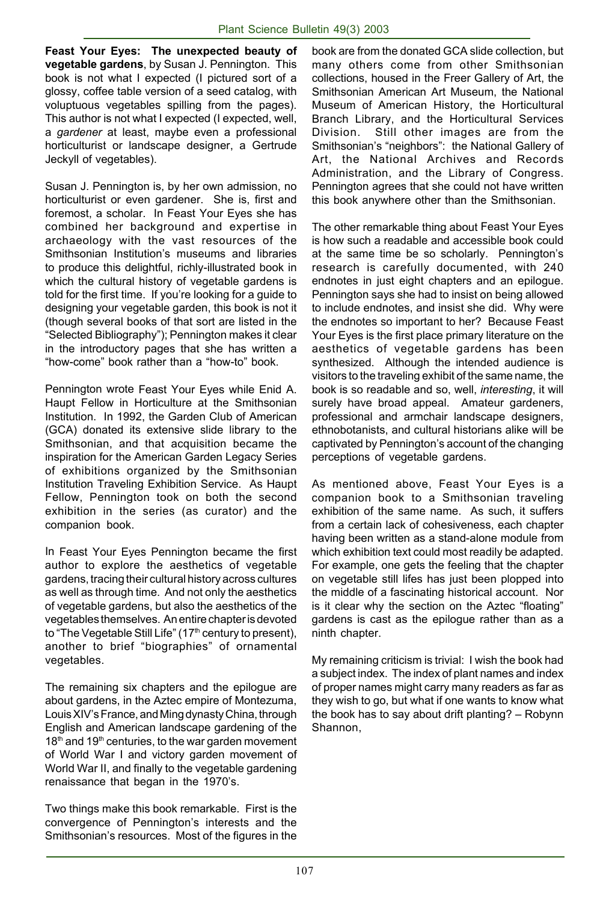**Feast Your Eyes: The unexpected beauty of vegetable gardens**, by Susan J. Pennington. This book is not what I expected (I pictured sort of a glossy, coffee table version of a seed catalog, with voluptuous vegetables spilling from the pages). This author is not what I expected (I expected, well, a *gardener* at least, maybe even a professional horticulturist or landscape designer, a Gertrude Jeckyll of vegetables).

Susan J. Pennington is, by her own admission, no horticulturist or even gardener. She is, first and foremost, a scholar. In Feast Your Eyes she has combined her background and expertise in archaeology with the vast resources of the Smithsonian Institution's museums and libraries to produce this delightful, richly-illustrated book in which the cultural history of vegetable gardens is told for the first time. If you're looking for a guide to designing your vegetable garden, this book is not it (though several books of that sort are listed in the "Selected Bibliography"); Pennington makes it clear in the introductory pages that she has written a "how-come" book rather than a "how-to" book.

Pennington wrote Feast Your Eyes while Enid A. Haupt Fellow in Horticulture at the Smithsonian Institution. In 1992, the Garden Club of American (GCA) donated its extensive slide library to the Smithsonian, and that acquisition became the inspiration for the American Garden Legacy Series of exhibitions organized by the Smithsonian Institution Traveling Exhibition Service. As Haupt Fellow, Pennington took on both the second exhibition in the series (as curator) and the companion book.

In Feast Your Eyes Pennington became the first author to explore the aesthetics of vegetable gardens, tracing their cultural history across cultures as well as through time. And not only the aesthetics of vegetable gardens, but also the aesthetics of the vegetables themselves. An entire chapter is devoted to "The Vegetable Still Life" (17<sup>th</sup> century to present), another to brief "biographies" of ornamental vegetables.

The remaining six chapters and the epilogue are about gardens, in the Aztec empire of Montezuma, Louis XIV's France, and Ming dynasty China, through English and American landscape gardening of the  $18<sup>th</sup>$  and  $19<sup>th</sup>$  centuries, to the war garden movement of World War I and victory garden movement of World War II, and finally to the vegetable gardening renaissance that began in the 1970's.

Two things make this book remarkable. First is the convergence of Pennington's interests and the Smithsonian's resources. Most of the figures in the book are from the donated GCA slide collection, but many others come from other Smithsonian collections, housed in the Freer Gallery of Art, the Smithsonian American Art Museum, the National Museum of American History, the Horticultural Branch Library, and the Horticultural Services Division. Still other images are from the Smithsonian's "neighbors": the National Gallery of Art, the National Archives and Records Administration, and the Library of Congress. Pennington agrees that she could not have written this book anywhere other than the Smithsonian.

The other remarkable thing about Feast Your Eyes is how such a readable and accessible book could at the same time be so scholarly. Pennington's research is carefully documented, with 240 endnotes in just eight chapters and an epilogue. Pennington says she had to insist on being allowed to include endnotes, and insist she did. Why were the endnotes so important to her? Because Feast Your Eyes is the first place primary literature on the aesthetics of vegetable gardens has been synthesized. Although the intended audience is visitors to the traveling exhibit of the same name, the book is so readable and so, well, *interesting*, it will surely have broad appeal. Amateur gardeners, professional and armchair landscape designers, ethnobotanists, and cultural historians alike will be captivated by Pennington's account of the changing perceptions of vegetable gardens.

As mentioned above, Feast Your Eyes is a companion book to a Smithsonian traveling exhibition of the same name. As such, it suffers from a certain lack of cohesiveness, each chapter having been written as a stand-alone module from which exhibition text could most readily be adapted. For example, one gets the feeling that the chapter on vegetable still lifes has just been plopped into the middle of a fascinating historical account. Nor is it clear why the section on the Aztec "floating" gardens is cast as the epilogue rather than as a ninth chapter.

My remaining criticism is trivial: I wish the book had a subject index. The index of plant names and index of proper names might carry many readers as far as they wish to go, but what if one wants to know what the book has to say about drift planting? – Robynn Shannon,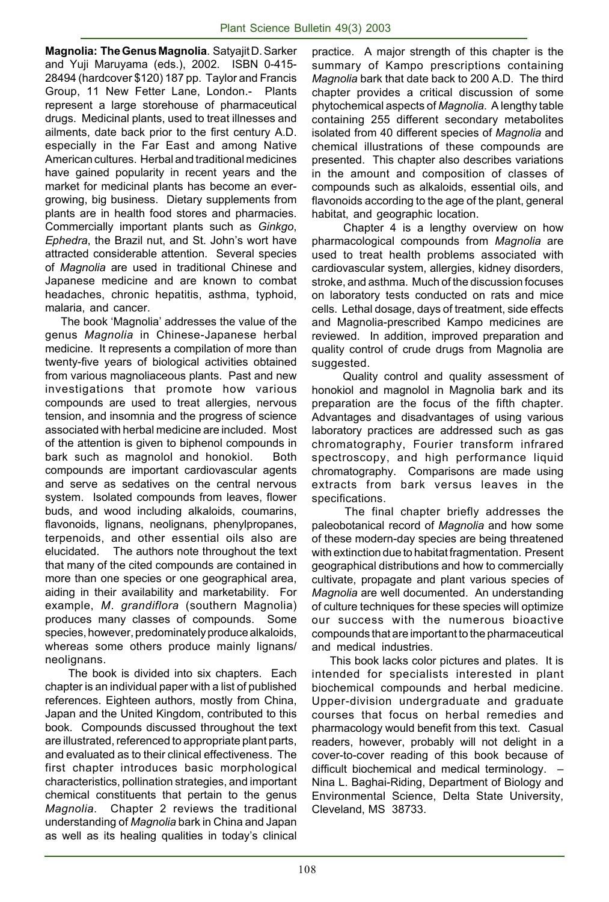**Magnolia: The Genus Magnolia**. Satyajit D. Sarker and Yuji Maruyama (eds.), 2002. ISBN 0-415- 28494 (hardcover \$120) 187 pp. Taylor and Francis Group, 11 New Fetter Lane, London.- Plants represent a large storehouse of pharmaceutical drugs. Medicinal plants, used to treat illnesses and ailments, date back prior to the first century A.D. especially in the Far East and among Native American cultures. Herbal and traditional medicines have gained popularity in recent years and the market for medicinal plants has become an evergrowing, big business. Dietary supplements from plants are in health food stores and pharmacies. Commercially important plants such as *Ginkgo*, *Ephedra*, the Brazil nut, and St. John's wort have attracted considerable attention. Several species of *Magnolia* are used in traditional Chinese and Japanese medicine and are known to combat headaches, chronic hepatitis, asthma, typhoid, malaria, and cancer.

 The book 'Magnolia' addresses the value of the genus *Magnolia* in Chinese-Japanese herbal medicine. It represents a compilation of more than twenty-five years of biological activities obtained from various magnoliaceous plants. Past and new investigations that promote how various compounds are used to treat allergies, nervous tension, and insomnia and the progress of science associated with herbal medicine are included. Most of the attention is given to biphenol compounds in bark such as magnolol and honokiol. Both compounds are important cardiovascular agents and serve as sedatives on the central nervous system. Isolated compounds from leaves, flower buds, and wood including alkaloids, coumarins, flavonoids, lignans, neolignans, phenylpropanes, terpenoids, and other essential oils also are elucidated. The authors note throughout the text that many of the cited compounds are contained in more than one species or one geographical area, aiding in their availability and marketability. For example, *M*. *grandiflora* (southern Magnolia) produces many classes of compounds. Some species, however, predominately produce alkaloids, whereas some others produce mainly lignans/ neolignans.

 The book is divided into six chapters. Each chapter is an individual paper with a list of published references. Eighteen authors, mostly from China, Japan and the United Kingdom, contributed to this book. Compounds discussed throughout the text are illustrated, referenced to appropriate plant parts, and evaluated as to their clinical effectiveness. The first chapter introduces basic morphological characteristics, pollination strategies, and important chemical constituents that pertain to the genus *Magnolia*. Chapter 2 reviews the traditional understanding of *Magnolia* bark in China and Japan as well as its healing qualities in today's clinical

practice. A major strength of this chapter is the summary of Kampo prescriptions containing *Magnolia* bark that date back to 200 A.D. The third chapter provides a critical discussion of some phytochemical aspects of *Magnolia*. A lengthy table containing 255 different secondary metabolites isolated from 40 different species of *Magnolia* and chemical illustrations of these compounds are presented. This chapter also describes variations in the amount and composition of classes of compounds such as alkaloids, essential oils, and flavonoids according to the age of the plant, general habitat, and geographic location.

 Chapter 4 is a lengthy overview on how pharmacological compounds from *Magnolia* are used to treat health problems associated with cardiovascular system, allergies, kidney disorders, stroke, and asthma. Much of the discussion focuses on laboratory tests conducted on rats and mice cells. Lethal dosage, days of treatment, side effects and Magnolia-prescribed Kampo medicines are reviewed. In addition, improved preparation and quality control of crude drugs from Magnolia are suggested.

 Quality control and quality assessment of honokiol and magnolol in Magnolia bark and its preparation are the focus of the fifth chapter. Advantages and disadvantages of using various laboratory practices are addressed such as gas chromatography, Fourier transform infrared spectroscopy, and high performance liquid chromatography. Comparisons are made using extracts from bark versus leaves in the specifications.

 The final chapter briefly addresses the paleobotanical record of *Magnolia* and how some of these modern-day species are being threatened with extinction due to habitat fragmentation. Present geographical distributions and how to commercially cultivate, propagate and plant various species of *Magnolia* are well documented. An understanding of culture techniques for these species will optimize our success with the numerous bioactive compounds that are important to the pharmaceutical and medical industries.

 This book lacks color pictures and plates. It is intended for specialists interested in plant biochemical compounds and herbal medicine. Upper-division undergraduate and graduate courses that focus on herbal remedies and pharmacology would benefit from this text. Casual readers, however, probably will not delight in a cover-to-cover reading of this book because of difficult biochemical and medical terminology. – Nina L. Baghai-Riding, Department of Biology and Environmental Science, Delta State University, Cleveland, MS 38733.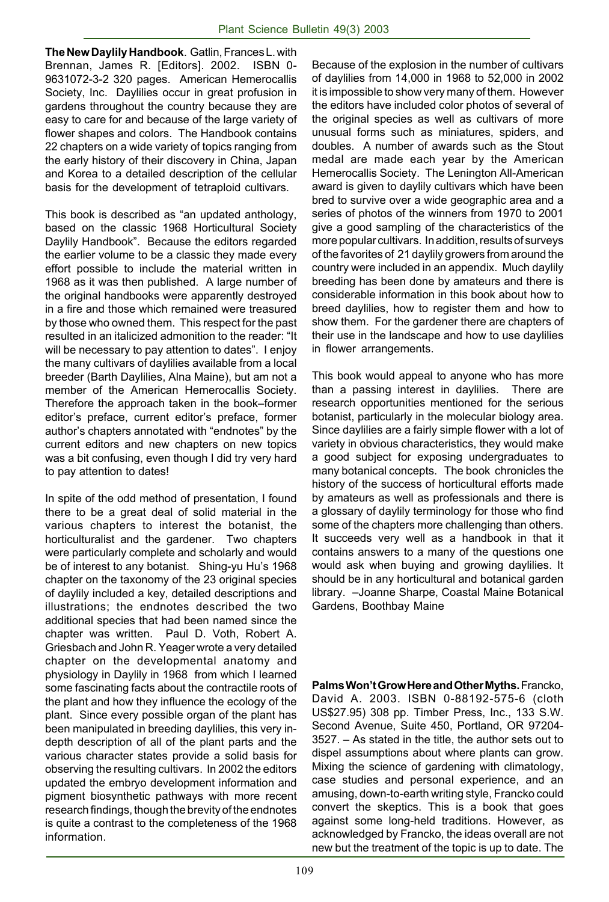**The New Daylily Handbook**. Gatlin, Frances L. with Brennan, James R. [Editors]. 2002. ISBN 0- 9631072-3-2 320 pages. American Hemerocallis Society, Inc. Daylilies occur in great profusion in gardens throughout the country because they are easy to care for and because of the large variety of flower shapes and colors. The Handbook contains 22 chapters on a wide variety of topics ranging from the early history of their discovery in China, Japan and Korea to a detailed description of the cellular basis for the development of tetraploid cultivars.

This book is described as "an updated anthology, based on the classic 1968 Horticultural Society Daylily Handbook". Because the editors regarded the earlier volume to be a classic they made every effort possible to include the material written in 1968 as it was then published. A large number of the original handbooks were apparently destroyed in a fire and those which remained were treasured by those who owned them. This respect for the past resulted in an italicized admonition to the reader: "It will be necessary to pay attention to dates". I enjoy the many cultivars of daylilies available from a local breeder (Barth Daylilies, Alna Maine), but am not a member of the American Hemerocallis Society. Therefore the approach taken in the book–former editor's preface, current editor's preface, former author's chapters annotated with "endnotes" by the current editors and new chapters on new topics was a bit confusing, even though I did try very hard to pay attention to dates!

In spite of the odd method of presentation, I found there to be a great deal of solid material in the various chapters to interest the botanist, the horticulturalist and the gardener. Two chapters were particularly complete and scholarly and would be of interest to any botanist. Shing-yu Hu's 1968 chapter on the taxonomy of the 23 original species of daylily included a key, detailed descriptions and illustrations; the endnotes described the two additional species that had been named since the chapter was written. Paul D. Voth, Robert A. Griesbach and John R. Yeager wrote a very detailed chapter on the developmental anatomy and physiology in Daylily in 1968 from which I learned some fascinating facts about the contractile roots of the plant and how they influence the ecology of the plant. Since every possible organ of the plant has been manipulated in breeding daylilies, this very indepth description of all of the plant parts and the various character states provide a solid basis for observing the resulting cultivars. In 2002 the editors updated the embryo development information and pigment biosynthetic pathways with more recent research findings, though the brevity of the endnotes is quite a contrast to the completeness of the 1968 information.

Because of the explosion in the number of cultivars of daylilies from 14,000 in 1968 to 52,000 in 2002 it is impossible to show very many of them. However the editors have included color photos of several of the original species as well as cultivars of more unusual forms such as miniatures, spiders, and doubles. A number of awards such as the Stout medal are made each year by the American Hemerocallis Society. The Lenington All-American award is given to daylily cultivars which have been bred to survive over a wide geographic area and a series of photos of the winners from 1970 to 2001 give a good sampling of the characteristics of the more popular cultivars. In addition, results of surveys of the favorites of 21 daylily growers from around the country were included in an appendix. Much daylily breeding has been done by amateurs and there is considerable information in this book about how to breed daylilies, how to register them and how to show them. For the gardener there are chapters of their use in the landscape and how to use daylilies in flower arrangements.

This book would appeal to anyone who has more than a passing interest in daylilies. There are research opportunities mentioned for the serious botanist, particularly in the molecular biology area. Since daylilies are a fairly simple flower with a lot of variety in obvious characteristics, they would make a good subject for exposing undergraduates to many botanical concepts. The book chronicles the history of the success of horticultural efforts made by amateurs as well as professionals and there is a glossary of daylily terminology for those who find some of the chapters more challenging than others. It succeeds very well as a handbook in that it contains answers to a many of the questions one would ask when buying and growing daylilies. It should be in any horticultural and botanical garden library. –Joanne Sharpe, Coastal Maine Botanical Gardens, Boothbay Maine

**Palms Won't Grow Here and Other Myths.** Francko, David A. 2003. ISBN 0-88192-575-6 (cloth US\$27.95) 308 pp. Timber Press, Inc., 133 S.W. Second Avenue, Suite 450, Portland, OR 97204- 3527. – As stated in the title, the author sets out to dispel assumptions about where plants can grow. Mixing the science of gardening with climatology, case studies and personal experience, and an amusing, down-to-earth writing style, Francko could convert the skeptics. This is a book that goes against some long-held traditions. However, as acknowledged by Francko, the ideas overall are not new but the treatment of the topic is up to date. The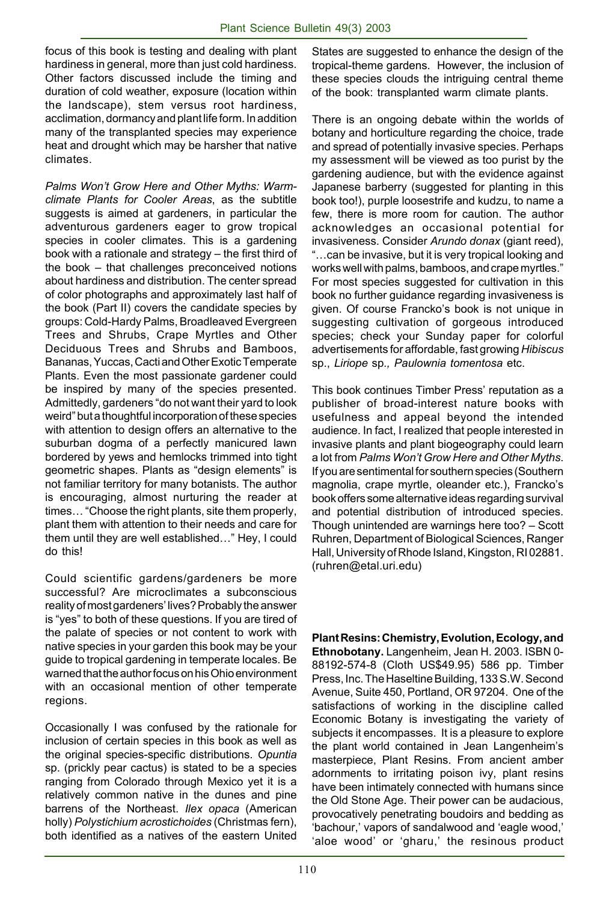focus of this book is testing and dealing with plant hardiness in general, more than just cold hardiness. Other factors discussed include the timing and duration of cold weather, exposure (location within the landscape), stem versus root hardiness, acclimation, dormancy and plant life form. In addition many of the transplanted species may experience heat and drought which may be harsher that native climates.

*Palms Won't Grow Here and Other Myths: Warmclimate Plants for Cooler Areas*, as the subtitle suggests is aimed at gardeners, in particular the adventurous gardeners eager to grow tropical species in cooler climates. This is a gardening book with a rationale and strategy – the first third of the book – that challenges preconceived notions about hardiness and distribution. The center spread of color photographs and approximately last half of the book (Part II) covers the candidate species by groups: Cold-Hardy Palms, Broadleaved Evergreen Trees and Shrubs, Crape Myrtles and Other Deciduous Trees and Shrubs and Bamboos, Bananas, Yuccas, Cacti and Other Exotic Temperate Plants. Even the most passionate gardener could be inspired by many of the species presented. Admittedly, gardeners "do not want their yard to look weird" but a thoughtful incorporation of these species with attention to design offers an alternative to the suburban dogma of a perfectly manicured lawn bordered by yews and hemlocks trimmed into tight geometric shapes. Plants as "design elements" is not familiar territory for many botanists. The author is encouraging, almost nurturing the reader at times… "Choose the right plants, site them properly, plant them with attention to their needs and care for them until they are well established…" Hey, I could do this!

Could scientific gardens/gardeners be more successful? Are microclimates a subconscious reality of most gardeners' lives? Probably the answer is "yes" to both of these questions. If you are tired of the palate of species or not content to work with native species in your garden this book may be your guide to tropical gardening in temperate locales. Be warned that the author focus on his Ohio environment with an occasional mention of other temperate regions.

Occasionally I was confused by the rationale for inclusion of certain species in this book as well as the original species-specific distributions. *Opuntia* sp. (prickly pear cactus) is stated to be a species ranging from Colorado through Mexico yet it is a relatively common native in the dunes and pine barrens of the Northeast. *Ilex opaca* (American holly) *Polystichium acrostichoides* (Christmas fern), both identified as a natives of the eastern United

States are suggested to enhance the design of the tropical-theme gardens. However, the inclusion of these species clouds the intriguing central theme of the book: transplanted warm climate plants.

There is an ongoing debate within the worlds of botany and horticulture regarding the choice, trade and spread of potentially invasive species. Perhaps my assessment will be viewed as too purist by the gardening audience, but with the evidence against Japanese barberry (suggested for planting in this book too!), purple loosestrife and kudzu, to name a few, there is more room for caution. The author acknowledges an occasional potential for invasiveness. Consider *Arundo donax* (giant reed), "…can be invasive, but it is very tropical looking and works well with palms, bamboos, and crape myrtles." For most species suggested for cultivation in this book no further guidance regarding invasiveness is given. Of course Francko's book is not unique in suggesting cultivation of gorgeous introduced species; check your Sunday paper for colorful advertisements for affordable, fast growing *Hibiscus* sp., *Liriope* sp*., Paulownia tomentosa* etc.

This book continues Timber Press' reputation as a publisher of broad-interest nature books with usefulness and appeal beyond the intended audience. In fact, I realized that people interested in invasive plants and plant biogeography could learn a lot from *Palms Won't Grow Here and Other Myths*. If you are sentimental for southern species (Southern magnolia, crape myrtle, oleander etc.), Francko's book offers some alternative ideas regarding survival and potential distribution of introduced species. Though unintended are warnings here too? – Scott Ruhren, Department of Biological Sciences, Ranger Hall, University of Rhode Island, Kingston, RI 02881. (ruhren@etal.uri.edu)

**Plant Resins: Chemistry, Evolution, Ecology, and Ethnobotany.** Langenheim, Jean H. 2003. ISBN 0- 88192-574-8 (Cloth US\$49.95) 586 pp. Timber Press, Inc. The Haseltine Building, 133 S.W. Second Avenue, Suite 450, Portland, OR 97204. One of the satisfactions of working in the discipline called Economic Botany is investigating the variety of subjects it encompasses. It is a pleasure to explore the plant world contained in Jean Langenheim's masterpiece, Plant Resins. From ancient amber adornments to irritating poison ivy, plant resins have been intimately connected with humans since the Old Stone Age. Their power can be audacious, provocatively penetrating boudoirs and bedding as 'bachour,' vapors of sandalwood and 'eagle wood,' 'aloe wood' or 'gharu,' the resinous product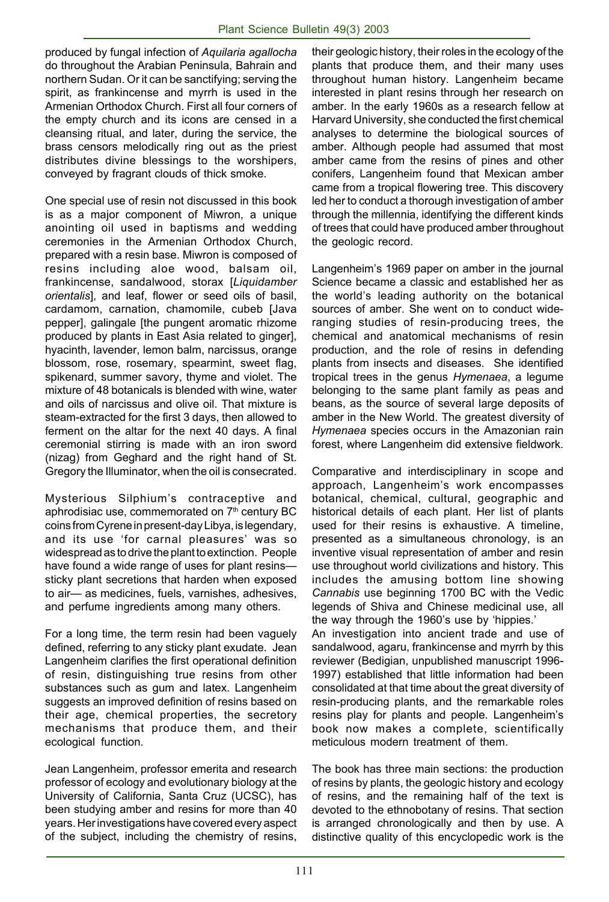produced by fungal infection of *Aquilaria agallocha* do throughout the Arabian Peninsula, Bahrain and northern Sudan. Or it can be sanctifying; serving the spirit, as frankincense and myrrh is used in the Armenian Orthodox Church. First all four corners of the empty church and its icons are censed in a cleansing ritual, and later, during the service, the brass censors melodically ring out as the priest distributes divine blessings to the worshipers, conveyed by fragrant clouds of thick smoke.

One special use of resin not discussed in this book is as a major component of Miwron, a unique anointing oil used in baptisms and wedding ceremonies in the Armenian Orthodox Church, prepared with a resin base. Miwron is composed of resins including aloe wood, balsam oil, frankincense, sandalwood, storax [*Liquidamber orientalis*], and leaf, flower or seed oils of basil, cardamom, carnation, chamomile, cubeb [Java pepper], galingale [the pungent aromatic rhizome produced by plants in East Asia related to ginger], hyacinth, lavender, lemon balm, narcissus, orange blossom, rose, rosemary, spearmint, sweet flag, spikenard, summer savory, thyme and violet. The mixture of 48 botanicals is blended with wine, water and oils of narcissus and olive oil. That mixture is steam-extracted for the first 3 days, then allowed to ferment on the altar for the next 40 days. A final ceremonial stirring is made with an iron sword (nizag) from Geghard and the right hand of St. Gregory the Illuminator, when the oil is consecrated.

Mysterious Silphium's contraceptive and aphrodisiac use, commemorated on 7<sup>th</sup> century BC coins from Cyrene in present-day Libya, is legendary, and its use 'for carnal pleasures' was so widespread as to drive the plant to extinction. People have found a wide range of uses for plant resins sticky plant secretions that harden when exposed to air— as medicines, fuels, varnishes, adhesives, and perfume ingredients among many others.

For a long time, the term resin had been vaguely defined, referring to any sticky plant exudate. Jean Langenheim clarifies the first operational definition of resin, distinguishing true resins from other substances such as gum and latex. Langenheim suggests an improved definition of resins based on their age, chemical properties, the secretory mechanisms that produce them, and their ecological function.

Jean Langenheim, professor emerita and research professor of ecology and evolutionary biology at the University of California, Santa Cruz (UCSC), has been studying amber and resins for more than 40 years. Her investigations have covered every aspect of the subject, including the chemistry of resins,

their geologic history, their roles in the ecology of the plants that produce them, and their many uses throughout human history. Langenheim became interested in plant resins through her research on amber. In the early 1960s as a research fellow at Harvard University, she conducted the first chemical analyses to determine the biological sources of amber. Although people had assumed that most amber came from the resins of pines and other conifers, Langenheim found that Mexican amber came from a tropical flowering tree. This discovery led her to conduct a thorough investigation of amber through the millennia, identifying the different kinds of trees that could have produced amber throughout the geologic record.

Langenheim's 1969 paper on amber in the journal Science became a classic and established her as the world's leading authority on the botanical sources of amber. She went on to conduct wideranging studies of resin-producing trees, the chemical and anatomical mechanisms of resin production, and the role of resins in defending plants from insects and diseases. She identified tropical trees in the genus *Hymenaea*, a legume belonging to the same plant family as peas and beans, as the source of several large deposits of amber in the New World. The greatest diversity of *Hymenaea* species occurs in the Amazonian rain forest, where Langenheim did extensive fieldwork.

Comparative and interdisciplinary in scope and approach, Langenheim's work encompasses botanical, chemical, cultural, geographic and historical details of each plant. Her list of plants used for their resins is exhaustive. A timeline, presented as a simultaneous chronology, is an inventive visual representation of amber and resin use throughout world civilizations and history. This includes the amusing bottom line showing *Cannabis* use beginning 1700 BC with the Vedic legends of Shiva and Chinese medicinal use, all the way through the 1960's use by 'hippies.'

An investigation into ancient trade and use of sandalwood, agaru, frankincense and myrrh by this reviewer (Bedigian, unpublished manuscript 1996- 1997) established that little information had been consolidated at that time about the great diversity of resin-producing plants, and the remarkable roles resins play for plants and people. Langenheim's book now makes a complete, scientifically meticulous modern treatment of them.

The book has three main sections: the production of resins by plants, the geologic history and ecology of resins, and the remaining half of the text is devoted to the ethnobotany of resins. That section is arranged chronologically and then by use. A distinctive quality of this encyclopedic work is the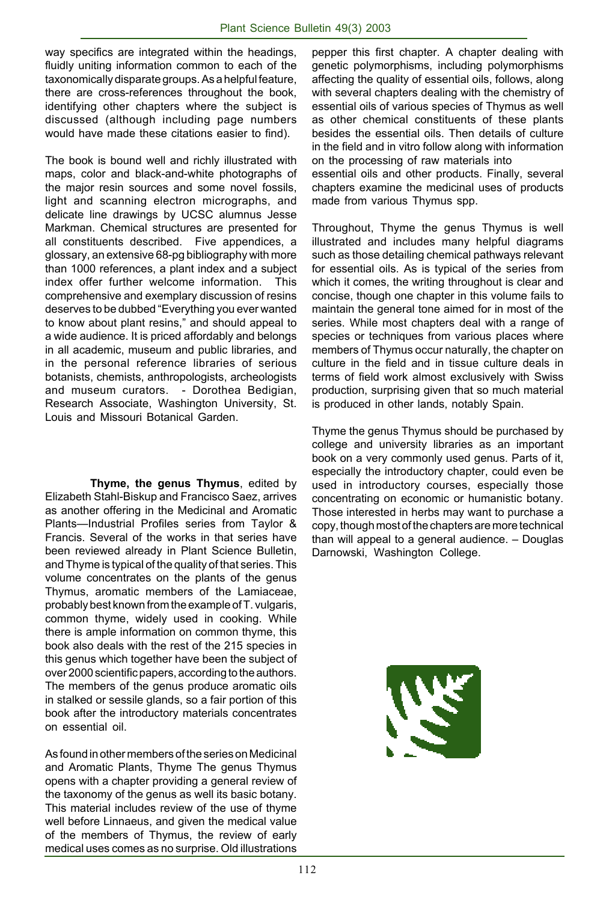way specifics are integrated within the headings, fluidly uniting information common to each of the taxonomically disparate groups. As a helpful feature, there are cross-references throughout the book, identifying other chapters where the subject is discussed (although including page numbers would have made these citations easier to find).

The book is bound well and richly illustrated with maps, color and black-and-white photographs of the major resin sources and some novel fossils, light and scanning electron micrographs, and delicate line drawings by UCSC alumnus Jesse Markman. Chemical structures are presented for all constituents described. Five appendices, a glossary, an extensive 68-pg bibliography with more than 1000 references, a plant index and a subject index offer further welcome information. This comprehensive and exemplary discussion of resins deserves to be dubbed "Everything you ever wanted to know about plant resins," and should appeal to a wide audience. It is priced affordably and belongs in all academic, museum and public libraries, and in the personal reference libraries of serious botanists, chemists, anthropologists, archeologists and museum curators. - Dorothea Bedigian, Research Associate, Washington University, St. Louis and Missouri Botanical Garden.

**Thyme, the genus Thymus**, edited by Elizabeth Stahl-Biskup and Francisco Saez, arrives as another offering in the Medicinal and Aromatic Plants—Industrial Profiles series from Taylor & Francis. Several of the works in that series have been reviewed already in Plant Science Bulletin, and Thyme is typical of the quality of that series. This volume concentrates on the plants of the genus Thymus, aromatic members of the Lamiaceae, probably best known from the example of T. vulgaris, common thyme, widely used in cooking. While there is ample information on common thyme, this book also deals with the rest of the 215 species in this genus which together have been the subject of over 2000 scientific papers, according to the authors. The members of the genus produce aromatic oils in stalked or sessile glands, so a fair portion of this book after the introductory materials concentrates on essential oil.

As found in other members of the series on Medicinal and Aromatic Plants, Thyme The genus Thymus opens with a chapter providing a general review of the taxonomy of the genus as well its basic botany. This material includes review of the use of thyme well before Linnaeus, and given the medical value of the members of Thymus, the review of early medical uses comes as no surprise. Old illustrations

pepper this first chapter. A chapter dealing with genetic polymorphisms, including polymorphisms affecting the quality of essential oils, follows, along with several chapters dealing with the chemistry of essential oils of various species of Thymus as well as other chemical constituents of these plants besides the essential oils. Then details of culture in the field and in vitro follow along with information on the processing of raw materials into essential oils and other products. Finally, several chapters examine the medicinal uses of products made from various Thymus spp.

Throughout, Thyme the genus Thymus is well illustrated and includes many helpful diagrams such as those detailing chemical pathways relevant for essential oils. As is typical of the series from which it comes, the writing throughout is clear and concise, though one chapter in this volume fails to maintain the general tone aimed for in most of the series. While most chapters deal with a range of species or techniques from various places where members of Thymus occur naturally, the chapter on culture in the field and in tissue culture deals in terms of field work almost exclusively with Swiss production, surprising given that so much material is produced in other lands, notably Spain.

Thyme the genus Thymus should be purchased by college and university libraries as an important book on a very commonly used genus. Parts of it, especially the introductory chapter, could even be used in introductory courses, especially those concentrating on economic or humanistic botany. Those interested in herbs may want to purchase a copy, though most of the chapters are more technical than will appeal to a general audience. – Douglas Darnowski, Washington College.

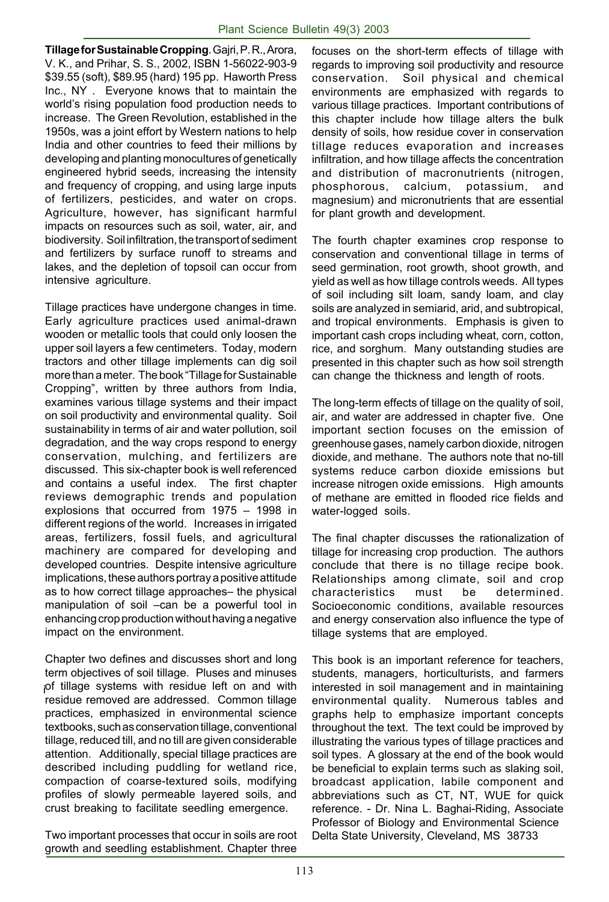**Tillage for Sustainable Cropping**. Gajri, P. R., Arora, V. K., and Prihar, S. S., 2002, ISBN 1-56022-903-9 \$39.55 (soft), \$89.95 (hard) 195 pp. Haworth Press Inc., NY . Everyone knows that to maintain the world's rising population food production needs to increase. The Green Revolution, established in the 1950s, was a joint effort by Western nations to help India and other countries to feed their millions by developing and planting monocultures of genetically engineered hybrid seeds, increasing the intensity and frequency of cropping, and using large inputs of fertilizers, pesticides, and water on crops. Agriculture, however, has significant harmful impacts on resources such as soil, water, air, and biodiversity. Soil infiltration, the transport of sediment and fertilizers by surface runoff to streams and lakes, and the depletion of topsoil can occur from intensive agriculture.

Tillage practices have undergone changes in time. Early agriculture practices used animal-drawn wooden or metallic tools that could only loosen the upper soil layers a few centimeters. Today, modern tractors and other tillage implements can dig soil more than a meter. The book "Tillage for Sustainable Cropping", written by three authors from India, examines various tillage systems and their impact on soil productivity and environmental quality. Soil sustainability in terms of air and water pollution, soil degradation, and the way crops respond to energy conservation, mulching, and fertilizers are discussed. This six-chapter book is well referenced and contains a useful index. The first chapter reviews demographic trends and population explosions that occurred from 1975 – 1998 in different regions of the world. Increases in irrigated areas, fertilizers, fossil fuels, and agricultural machinery are compared for developing and developed countries. Despite intensive agriculture implications, these authors portray a positive attitude as to how correct tillage approaches– the physical manipulation of soil –can be a powerful tool in enhancing crop production without having a negative impact on the environment.

i of tillage systems with residue left on and with Chapter two defines and discusses short and long term objectives of soil tillage. Pluses and minuses residue removed are addressed. Common tillage practices, emphasized in environmental science textbooks, such as conservation tillage, conventional tillage, reduced till, and no till are given considerable attention. Additionally, special tillage practices are described including puddling for wetland rice, compaction of coarse-textured soils, modifying profiles of slowly permeable layered soils, and crust breaking to facilitate seedling emergence.

Two important processes that occur in soils are root growth and seedling establishment. Chapter three

focuses on the short-term effects of tillage with regards to improving soil productivity and resource conservation. Soil physical and chemical environments are emphasized with regards to various tillage practices. Important contributions of this chapter include how tillage alters the bulk density of soils, how residue cover in conservation tillage reduces evaporation and increases infiltration, and how tillage affects the concentration and distribution of macronutrients (nitrogen, phosphorous, calcium, potassium, and magnesium) and micronutrients that are essential for plant growth and development.

The fourth chapter examines crop response to conservation and conventional tillage in terms of seed germination, root growth, shoot growth, and yield as well as how tillage controls weeds. All types of soil including silt loam, sandy loam, and clay soils are analyzed in semiarid, arid, and subtropical, and tropical environments. Emphasis is given to important cash crops including wheat, corn, cotton, rice, and sorghum. Many outstanding studies are presented in this chapter such as how soil strength can change the thickness and length of roots.

The long-term effects of tillage on the quality of soil, air, and water are addressed in chapter five. One important section focuses on the emission of greenhouse gases, namely carbon dioxide, nitrogen dioxide, and methane. The authors note that no-till systems reduce carbon dioxide emissions but increase nitrogen oxide emissions. High amounts of methane are emitted in flooded rice fields and water-logged soils.

The final chapter discusses the rationalization of tillage for increasing crop production. The authors conclude that there is no tillage recipe book. Relationships among climate, soil and crop characteristics must be determined. Socioeconomic conditions, available resources and energy conservation also influence the type of tillage systems that are employed.

This book is an important reference for teachers, students, managers, horticulturists, and farmers interested in soil management and in maintaining environmental quality. Numerous tables and graphs help to emphasize important concepts throughout the text. The text could be improved by illustrating the various types of tillage practices and soil types. A glossary at the end of the book would be beneficial to explain terms such as slaking soil, broadcast application, labile component and abbreviations such as CT, NT, WUE for quick reference. - Dr. Nina L. Baghai-Riding, Associate Professor of Biology and Environmental Science Delta State University, Cleveland, MS 38733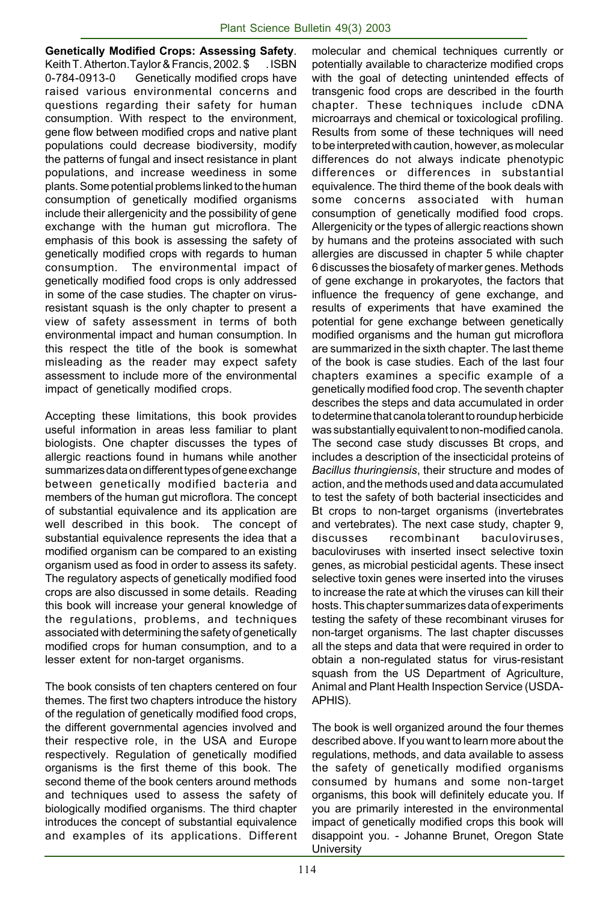**Genetically Modified Crops: Assessing Safety**. Keith T. Atherton.Taylor & Francis, 2002. \$ . ISBN 0-784-0913-0 Genetically modified crops have raised various environmental concerns and questions regarding their safety for human consumption. With respect to the environment, gene flow between modified crops and native plant populations could decrease biodiversity, modify the patterns of fungal and insect resistance in plant populations, and increase weediness in some plants. Some potential problems linked to the human consumption of genetically modified organisms include their allergenicity and the possibility of gene exchange with the human gut microflora. The emphasis of this book is assessing the safety of genetically modified crops with regards to human consumption. The environmental impact of genetically modified food crops is only addressed in some of the case studies. The chapter on virusresistant squash is the only chapter to present a view of safety assessment in terms of both environmental impact and human consumption. In this respect the title of the book is somewhat misleading as the reader may expect safety assessment to include more of the environmental impact of genetically modified crops.

Accepting these limitations, this book provides useful information in areas less familiar to plant biologists. One chapter discusses the types of allergic reactions found in humans while another summarizes data on different types of gene exchange between genetically modified bacteria and members of the human gut microflora. The concept of substantial equivalence and its application are well described in this book. The concept of substantial equivalence represents the idea that a modified organism can be compared to an existing organism used as food in order to assess its safety. The regulatory aspects of genetically modified food crops are also discussed in some details. Reading this book will increase your general knowledge of the regulations, problems, and techniques associated with determining the safety of genetically modified crops for human consumption, and to a lesser extent for non-target organisms.

The book consists of ten chapters centered on four themes. The first two chapters introduce the history of the regulation of genetically modified food crops, the different governmental agencies involved and their respective role, in the USA and Europe respectively. Regulation of genetically modified organisms is the first theme of this book. The second theme of the book centers around methods and techniques used to assess the safety of biologically modified organisms. The third chapter introduces the concept of substantial equivalence and examples of its applications. Different molecular and chemical techniques currently or potentially available to characterize modified crops with the goal of detecting unintended effects of transgenic food crops are described in the fourth chapter. These techniques include cDNA microarrays and chemical or toxicological profiling. Results from some of these techniques will need to be interpreted with caution, however, as molecular differences do not always indicate phenotypic differences or differences in substantial equivalence. The third theme of the book deals with some concerns associated with human consumption of genetically modified food crops. Allergenicity or the types of allergic reactions shown by humans and the proteins associated with such allergies are discussed in chapter 5 while chapter 6 discusses the biosafety of marker genes. Methods of gene exchange in prokaryotes, the factors that influence the frequency of gene exchange, and results of experiments that have examined the potential for gene exchange between genetically modified organisms and the human gut microflora are summarized in the sixth chapter. The last theme of the book is case studies. Each of the last four chapters examines a specific example of a genetically modified food crop. The seventh chapter describes the steps and data accumulated in order to determine that canola tolerant to roundup herbicide was substantially equivalent to non-modified canola. The second case study discusses Bt crops, and includes a description of the insecticidal proteins of *Bacillus thuringiensis*, their structure and modes of action, and the methods used and data accumulated to test the safety of both bacterial insecticides and Bt crops to non-target organisms (invertebrates and vertebrates). The next case study, chapter 9, discusses recombinant baculoviruses, baculoviruses with inserted insect selective toxin genes, as microbial pesticidal agents. These insect selective toxin genes were inserted into the viruses to increase the rate at which the viruses can kill their hosts. This chapter summarizes data of experiments testing the safety of these recombinant viruses for non-target organisms. The last chapter discusses all the steps and data that were required in order to obtain a non-regulated status for virus-resistant squash from the US Department of Agriculture, Animal and Plant Health Inspection Service (USDA-APHIS).

The book is well organized around the four themes described above. If you want to learn more about the regulations, methods, and data available to assess the safety of genetically modified organisms consumed by humans and some non-target organisms, this book will definitely educate you. If you are primarily interested in the environmental impact of genetically modified crops this book will disappoint you. - Johanne Brunet, Oregon State **University**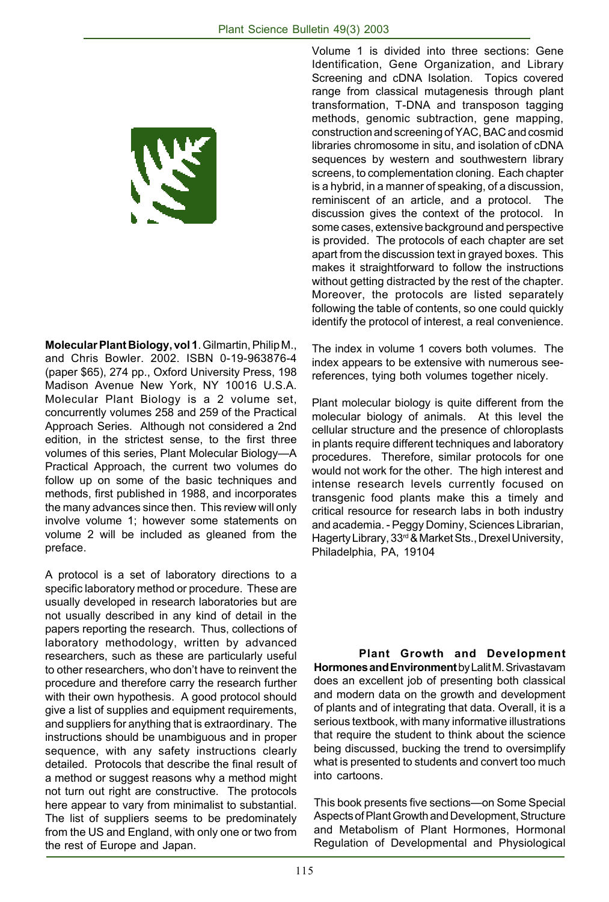

**Molecular Plant Biology, vol 1**. Gilmartin, Philip M., and Chris Bowler. 2002. ISBN 0-19-963876-4 (paper \$65), 274 pp., Oxford University Press, 198 Madison Avenue New York, NY 10016 U.S.A. Molecular Plant Biology is a 2 volume set, concurrently volumes 258 and 259 of the Practical Approach Series. Although not considered a 2nd edition, in the strictest sense, to the first three volumes of this series, Plant Molecular Biology—A Practical Approach, the current two volumes do follow up on some of the basic techniques and methods, first published in 1988, and incorporates the many advances since then. This review will only involve volume 1; however some statements on volume 2 will be included as gleaned from the preface.

A protocol is a set of laboratory directions to a specific laboratory method or procedure. These are usually developed in research laboratories but are not usually described in any kind of detail in the papers reporting the research. Thus, collections of laboratory methodology, written by advanced researchers, such as these are particularly useful to other researchers, who don't have to reinvent the procedure and therefore carry the research further with their own hypothesis. A good protocol should give a list of supplies and equipment requirements, and suppliers for anything that is extraordinary. The instructions should be unambiguous and in proper sequence, with any safety instructions clearly detailed. Protocols that describe the final result of a method or suggest reasons why a method might not turn out right are constructive. The protocols here appear to vary from minimalist to substantial. The list of suppliers seems to be predominately from the US and England, with only one or two from the rest of Europe and Japan.

Volume 1 is divided into three sections: Gene Identification, Gene Organization, and Library Screening and cDNA Isolation. Topics covered range from classical mutagenesis through plant transformation, T-DNA and transposon tagging methods, genomic subtraction, gene mapping, construction and screening of YAC, BAC and cosmid libraries chromosome in situ, and isolation of cDNA sequences by western and southwestern library screens, to complementation cloning. Each chapter is a hybrid, in a manner of speaking, of a discussion, reminiscent of an article, and a protocol. The discussion gives the context of the protocol. In some cases, extensive background and perspective is provided. The protocols of each chapter are set apart from the discussion text in grayed boxes. This makes it straightforward to follow the instructions without getting distracted by the rest of the chapter. Moreover, the protocols are listed separately following the table of contents, so one could quickly identify the protocol of interest, a real convenience.

The index in volume 1 covers both volumes. The index appears to be extensive with numerous seereferences, tying both volumes together nicely.

Plant molecular biology is quite different from the molecular biology of animals. At this level the cellular structure and the presence of chloroplasts in plants require different techniques and laboratory procedures. Therefore, similar protocols for one would not work for the other. The high interest and intense research levels currently focused on transgenic food plants make this a timely and critical resource for research labs in both industry and academia. - Peggy Dominy, Sciences Librarian, Hagerty Library, 33rd & Market Sts., Drexel University, Philadelphia, PA, 19104

**Plant Growth and Development Hormones and Environment** by Lalit M. Srivastavam does an excellent job of presenting both classical and modern data on the growth and development of plants and of integrating that data. Overall, it is a serious textbook, with many informative illustrations that require the student to think about the science being discussed, bucking the trend to oversimplify what is presented to students and convert too much into cartoons.

This book presents five sections—on Some Special Aspects of Plant Growth and Development, Structure and Metabolism of Plant Hormones, Hormonal Regulation of Developmental and Physiological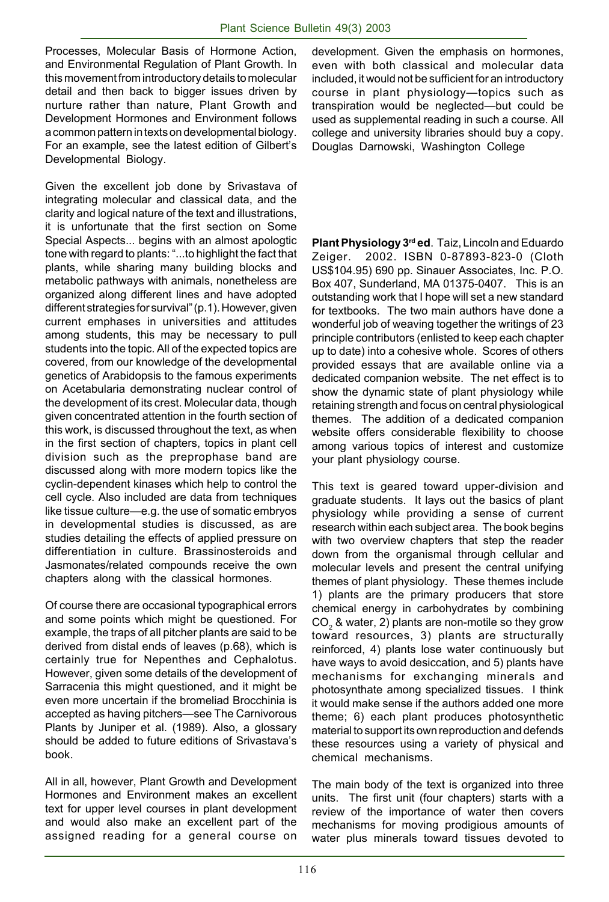Processes, Molecular Basis of Hormone Action, and Environmental Regulation of Plant Growth. In this movement from introductory details to molecular detail and then back to bigger issues driven by nurture rather than nature, Plant Growth and Development Hormones and Environment follows a common pattern in texts on developmental biology. For an example, see the latest edition of Gilbert's Developmental Biology.

Given the excellent job done by Srivastava of integrating molecular and classical data, and the clarity and logical nature of the text and illustrations, it is unfortunate that the first section on Some Special Aspects... begins with an almost apologtic tone with regard to plants: "...to highlight the fact that plants, while sharing many building blocks and metabolic pathways with animals, nonetheless are organized along different lines and have adopted different strategies for survival" (p.1). However, given current emphases in universities and attitudes among students, this may be necessary to pull students into the topic. All of the expected topics are covered, from our knowledge of the developmental genetics of Arabidopsis to the famous experiments on Acetabularia demonstrating nuclear control of the development of its crest. Molecular data, though given concentrated attention in the fourth section of this work, is discussed throughout the text, as when in the first section of chapters, topics in plant cell division such as the preprophase band are discussed along with more modern topics like the cyclin-dependent kinases which help to control the cell cycle. Also included are data from techniques like tissue culture—e.g. the use of somatic embryos in developmental studies is discussed, as are studies detailing the effects of applied pressure on differentiation in culture. Brassinosteroids and Jasmonates/related compounds receive the own chapters along with the classical hormones.

Of course there are occasional typographical errors and some points which might be questioned. For example, the traps of all pitcher plants are said to be derived from distal ends of leaves (p.68), which is certainly true for Nepenthes and Cephalotus. However, given some details of the development of Sarracenia this might questioned, and it might be even more uncertain if the bromeliad Brocchinia is accepted as having pitchers—see The Carnivorous Plants by Juniper et al. (1989). Also, a glossary should be added to future editions of Srivastava's book.

All in all, however, Plant Growth and Development Hormones and Environment makes an excellent text for upper level courses in plant development and would also make an excellent part of the assigned reading for a general course on

development. Given the emphasis on hormones, even with both classical and molecular data included, it would not be sufficient for an introductory course in plant physiology—topics such as transpiration would be neglected—but could be used as supplemental reading in such a course. All college and university libraries should buy a copy. Douglas Darnowski, Washington College

**Plant Physiology 3rd ed**. Taiz, Lincoln and Eduardo Zeiger. 2002. ISBN 0-87893-823-0 (Cloth US\$104.95) 690 pp. Sinauer Associates, Inc. P.O. Box 407, Sunderland, MA 01375-0407. This is an outstanding work that I hope will set a new standard for textbooks. The two main authors have done a wonderful job of weaving together the writings of 23 principle contributors (enlisted to keep each chapter up to date) into a cohesive whole. Scores of others provided essays that are available online via a dedicated companion website. The net effect is to show the dynamic state of plant physiology while retaining strength and focus on central physiological themes. The addition of a dedicated companion website offers considerable flexibility to choose among various topics of interest and customize your plant physiology course.

This text is geared toward upper-division and graduate students. It lays out the basics of plant physiology while providing a sense of current research within each subject area. The book begins with two overview chapters that step the reader down from the organismal through cellular and molecular levels and present the central unifying themes of plant physiology. These themes include 1) plants are the primary producers that store chemical energy in carbohydrates by combining  $\mathsf{CO}_2^{\vphantom{\dagger}}$ & water, 2) plants are non-motile so they grow toward resources, 3) plants are structurally reinforced, 4) plants lose water continuously but have ways to avoid desiccation, and 5) plants have mechanisms for exchanging minerals and photosynthate among specialized tissues. I think it would make sense if the authors added one more theme; 6) each plant produces photosynthetic material to support its own reproduction and defends these resources using a variety of physical and chemical mechanisms.

The main body of the text is organized into three units. The first unit (four chapters) starts with a review of the importance of water then covers mechanisms for moving prodigious amounts of water plus minerals toward tissues devoted to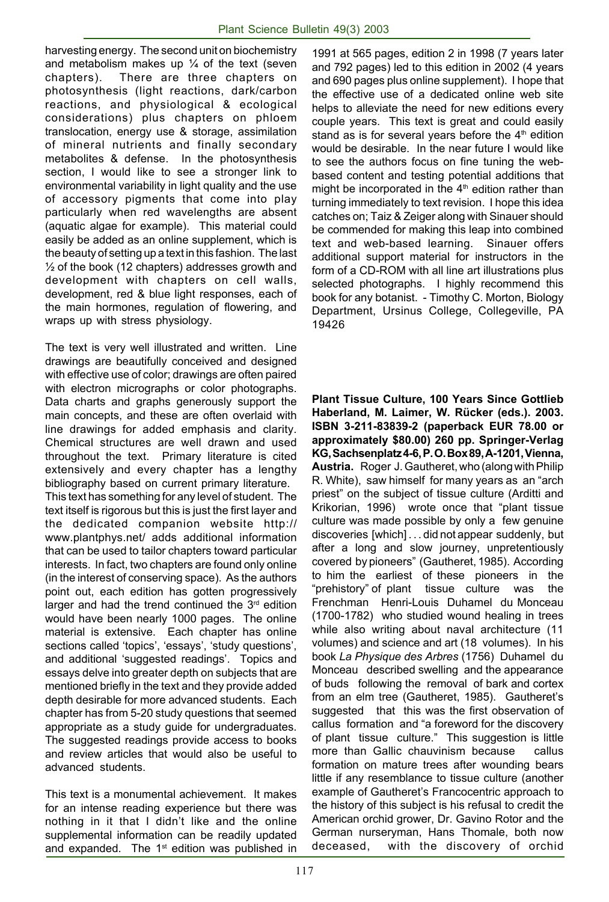harvesting energy. The second unit on biochemistry and metabolism makes up  $\frac{1}{4}$  of the text (seven chapters). There are three chapters on photosynthesis (light reactions, dark/carbon reactions, and physiological & ecological considerations) plus chapters on phloem translocation, energy use & storage, assimilation of mineral nutrients and finally secondary metabolites & defense. In the photosynthesis section, I would like to see a stronger link to environmental variability in light quality and the use of accessory pigments that come into play particularly when red wavelengths are absent (aquatic algae for example). This material could easily be added as an online supplement, which is the beauty of setting up a text in this fashion. The last  $\frac{1}{2}$  of the book (12 chapters) addresses growth and development with chapters on cell walls, development, red & blue light responses, each of the main hormones, regulation of flowering, and wraps up with stress physiology.

The text is very well illustrated and written. Line drawings are beautifully conceived and designed with effective use of color; drawings are often paired with electron micrographs or color photographs. Data charts and graphs generously support the main concepts, and these are often overlaid with line drawings for added emphasis and clarity. Chemical structures are well drawn and used throughout the text. Primary literature is cited extensively and every chapter has a lengthy bibliography based on current primary literature. This text has something for any level of student. The text itself is rigorous but this is just the first layer and the dedicated companion website http:// www.plantphys.net/ adds additional information that can be used to tailor chapters toward particular interests. In fact, two chapters are found only online (in the interest of conserving space). As the authors point out, each edition has gotten progressively larger and had the trend continued the  $3<sup>rd</sup>$  edition would have been nearly 1000 pages. The online material is extensive. Each chapter has online sections called 'topics', 'essays', 'study questions', and additional 'suggested readings'. Topics and essays delve into greater depth on subjects that are mentioned briefly in the text and they provide added depth desirable for more advanced students. Each chapter has from 5-20 study questions that seemed appropriate as a study guide for undergraduates. The suggested readings provide access to books and review articles that would also be useful to

This text is a monumental achievement. It makes for an intense reading experience but there was nothing in it that I didn't like and the online supplemental information can be readily updated and expanded. The 1<sup>st</sup> edition was published in

advanced students.

1991 at 565 pages, edition 2 in 1998 (7 years later and 792 pages) led to this edition in 2002 (4 years and 690 pages plus online supplement). I hope that the effective use of a dedicated online web site helps to alleviate the need for new editions every couple years. This text is great and could easily stand as is for several vears before the  $4<sup>th</sup>$  edition would be desirable. In the near future I would like to see the authors focus on fine tuning the webbased content and testing potential additions that might be incorporated in the  $4<sup>th</sup>$  edition rather than turning immediately to text revision. I hope this idea catches on; Taiz & Zeiger along with Sinauer should be commended for making this leap into combined text and web-based learning. Sinauer offers additional support material for instructors in the form of a CD-ROM with all line art illustrations plus selected photographs. I highly recommend this book for any botanist. - Timothy C. Morton, Biology Department, Ursinus College, Collegeville, PA 19426

**Plant Tissue Culture, 100 Years Since Gottlieb Haberland, M. Laimer, W. Rücker (eds.). 2003. ISBN 3-211-83839-2 (paperback EUR 78.00 or approximately \$80.00) 260 pp. Springer-Verlag KG, Sachsenplatz 4-6, P. O. Box 89, A-1201, Vienna, Austria.** Roger J. Gautheret, who (along with Philip R. White), saw himself for many years as an "arch priest" on the subject of tissue culture (Arditti and Krikorian, 1996) wrote once that "plant tissue culture was made possible by only a few genuine discoveries [which] . . . did not appear suddenly, but after a long and slow journey, unpretentiously covered by pioneers" (Gautheret, 1985). According to him the earliest of these pioneers in the "prehistory" of plant tissue culture was the Frenchman Henri-Louis Duhamel du Monceau (1700-1782) who studied wound healing in trees while also writing about naval architecture (11 volumes) and science and art (18 volumes). In his book *La Physique des Arbres* (1756) Duhamel du Monceau described swelling and the appearance of buds following the removal of bark and cortex from an elm tree (Gautheret, 1985). Gautheret's suggested that this was the first observation of callus formation and "a foreword for the discovery of plant tissue culture." This suggestion is little more than Gallic chauvinism because callus formation on mature trees after wounding bears little if any resemblance to tissue culture (another example of Gautheret's Francocentric approach to the history of this subject is his refusal to credit the American orchid grower, Dr. Gavino Rotor and the German nurseryman, Hans Thomale, both now deceased, with the discovery of orchid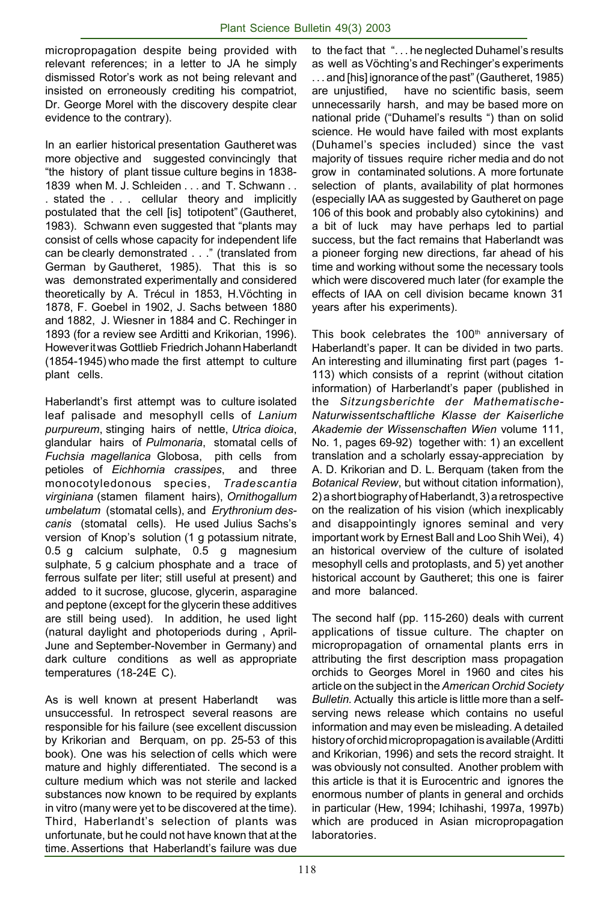micropropagation despite being provided with relevant references; in a letter to JA he simply dismissed Rotor's work as not being relevant and insisted on erroneously crediting his compatriot, Dr. George Morel with the discovery despite clear evidence to the contrary).

In an earlier historical presentation Gautheret was more objective and suggested convincingly that "the history of plant tissue culture begins in 1838- 1839 when M. J. Schleiden . . . and T. Schwann . . . stated the . . . cellular theory and implicitly postulated that the cell [is] totipotent" (Gautheret, 1983). Schwann even suggested that "plants may consist of cells whose capacity for independent life can be clearly demonstrated . . ." (translated from German by Gautheret, 1985). That this is so was demonstrated experimentally and considered theoretically by A. Trécul in 1853, H.Vöchting in 1878, F. Goebel in 1902, J. Sachs between 1880 and 1882, J. Wiesner in 1884 and C. Rechinger in 1893 (for a review see Arditti and Krikorian, 1996). However it was Gottlieb Friedrich Johann Haberlandt (1854-1945) who made the first attempt to culture plant cells.

Haberlandt's first attempt was to culture isolated leaf palisade and mesophyll cells of *Lanium purpureum*, stinging hairs of nettle, *Utrica dioica*, glandular hairs of *Pulmonaria*, stomatal cells of *Fuchsia magellanica* Globosa, pith cells from petioles of *Eichhornia crassipes*, and three monocotyledonous species, *Tradescantia virginiana* (stamen filament hairs), *Ornithogallum umbelatum* (stomatal cells), and *Erythronium descanis* (stomatal cells). He used Julius Sachs's version of Knop's solution (1 g potassium nitrate, 0.5 g calcium sulphate, 0.5 g magnesium sulphate, 5 g calcium phosphate and a trace of ferrous sulfate per liter; still useful at present) and added to it sucrose, glucose, glycerin, asparagine and peptone (except for the glycerin these additives are still being used). In addition, he used light (natural daylight and photoperiods during , April-June and September-November in Germany) and dark culture conditions as well as appropriate temperatures (18-24E C).

As is well known at present Haberlandt was unsuccessful. In retrospect several reasons are responsible for his failure (see excellent discussion by Krikorian and Berquam, on pp. 25-53 of this book). One was his selection of cells which were mature and highly differentiated. The second is a culture medium which was not sterile and lacked substances now known to be required by explants in vitro (many were yet to be discovered at the time). Third, Haberlandt's selection of plants was unfortunate, but he could not have known that at the time. Assertions that Haberlandt's failure was due

to the fact that ". . . he neglected Duhamel's results as well as Vöchting's and Rechinger's experiments . . . and [his] ignorance of the past" (Gautheret, 1985) are unjustified, have no scientific basis, seem unnecessarily harsh, and may be based more on national pride ("Duhamel's results ") than on solid science. He would have failed with most explants (Duhamel's species included) since the vast majority of tissues require richer media and do not grow in contaminated solutions. A more fortunate selection of plants, availability of plat hormones (especially IAA as suggested by Gautheret on page 106 of this book and probably also cytokinins) and a bit of luck may have perhaps led to partial success, but the fact remains that Haberlandt was a pioneer forging new directions, far ahead of his time and working without some the necessary tools which were discovered much later (for example the effects of IAA on cell division became known 31 years after his experiments).

This book celebrates the 100<sup>th</sup> anniversary of Haberlandt's paper. It can be divided in two parts. An interesting and illuminating first part (pages 1- 113) which consists of a reprint (without citation information) of Harberlandt's paper (published in the *Sitzungsberichte der Mathematische-Naturwissentschaftliche Klasse der Kaiserliche Akademie der Wissenschaften Wien* volume 111, No. 1, pages 69-92) together with: 1) an excellent translation and a scholarly essay-appreciation by A. D. Krikorian and D. L. Berquam (taken from the *Botanical Review*, but without citation information), 2) a short biography of Haberlandt, 3) a retrospective on the realization of his vision (which inexplicably and disappointingly ignores seminal and very important work by Ernest Ball and Loo Shih Wei), 4) an historical overview of the culture of isolated mesophyll cells and protoplasts, and 5) yet another historical account by Gautheret; this one is fairer and more balanced.

The second half (pp. 115-260) deals with current applications of tissue culture. The chapter on micropropagation of ornamental plants errs in attributing the first description mass propagation orchids to Georges Morel in 1960 and cites his article on the subject in the *American Orchid Society Bulletin.* Actually this article is little more than a selfserving news release which contains no useful information and may even be misleading. A detailed history of orchid micropropagation is available (Arditti and Krikorian, 1996) and sets the record straight. It was obviously not consulted. Another problem with this article is that it is Eurocentric and ignores the enormous number of plants in general and orchids in particular (Hew, 1994; Ichihashi, 1997a, 1997b) which are produced in Asian micropropagation laboratories.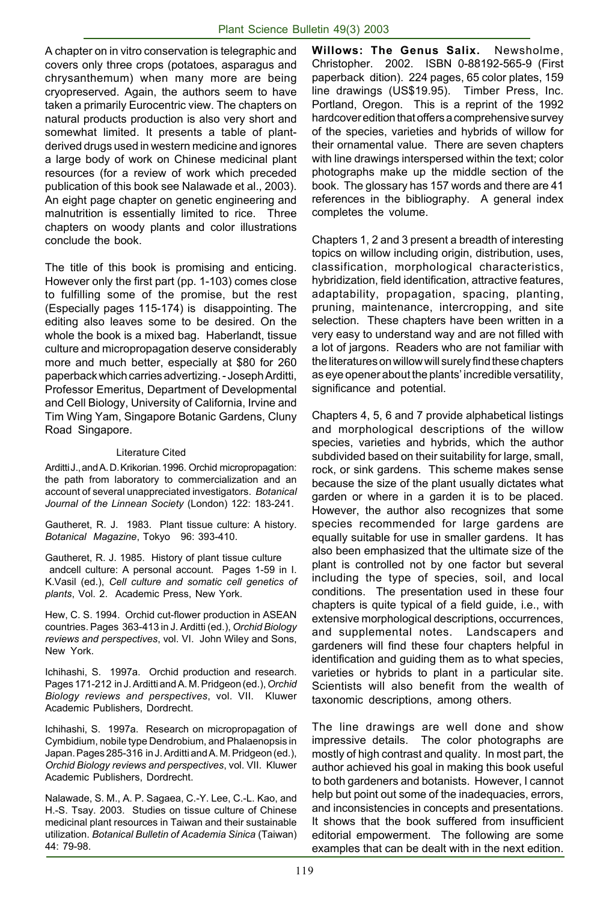A chapter on in vitro conservation is telegraphic and covers only three crops (potatoes, asparagus and chrysanthemum) when many more are being cryopreserved. Again, the authors seem to have taken a primarily Eurocentric view. The chapters on natural products production is also very short and somewhat limited. It presents a table of plantderived drugs used in western medicine and ignores a large body of work on Chinese medicinal plant resources (for a review of work which preceded publication of this book see Nalawade et al., 2003). An eight page chapter on genetic engineering and malnutrition is essentially limited to rice. Three chapters on woody plants and color illustrations conclude the book.

The title of this book is promising and enticing. However only the first part (pp. 1-103) comes close to fulfilling some of the promise, but the rest (Especially pages 115-174) is disappointing. The editing also leaves some to be desired. On the whole the book is a mixed bag. Haberlandt, tissue culture and micropropagation deserve considerably more and much better, especially at \$80 for 260 paperback which carries advertizing. - Joseph Arditti, Professor Emeritus, Department of Developmental and Cell Biology, University of California, Irvine and Tim Wing Yam, Singapore Botanic Gardens, Cluny Road Singapore.

#### Literature Cited

Arditti J., and A. D. Krikorian. 1996. Orchid micropropagation: the path from laboratory to commercialization and an account of several unappreciated investigators. *Botanical Journal of the Linnean Society* (London) 122: 183-241.

Gautheret, R. J. 1983. Plant tissue culture: A history. *Botanical Magazine*, Tokyo 96: 393-410.

Gautheret, R. J. 1985. History of plant tissue culture andcell culture: A personal account. Pages 1-59 in I. K.Vasil (ed.), *Cell culture and somatic cell genetics of plants*, Vol. 2. Academic Press, New York.

Hew, C. S. 1994. Orchid cut-flower production in ASEAN countries. Pages 363-413 in J. Arditti (ed.), *Orchid Biology reviews and perspectives*, vol. VI. John Wiley and Sons, New York.

Ichihashi, S. 1997a. Orchid production and research. Pages 171-212 in J. Arditti and A. M. Pridgeon (ed.), *Orchid Biology reviews and perspectives*, vol. VII. Kluwer Academic Publishers, Dordrecht.

Ichihashi, S. 1997a. Research on micropropagation of Cymbidium, nobile type Dendrobium, and Phalaenopsis in Japan. Pages 285-316 in J. Arditti and A. M. Pridgeon (ed.), *Orchid Biology reviews and perspectives*, vol. VII. Kluwer Academic Publishers, Dordrecht.

Nalawade, S. M., A. P. Sagaea, C.-Y. Lee, C.-L. Kao, and H.-S. Tsay. 2003. Studies on tissue culture of Chinese medicinal plant resources in Taiwan and their sustainable utilization. *Botanical Bulletin of Academia Sinica* (Taiwan) 44: 79-98.

**Willows: The Genus Salix.** Newsholme, Christopher. 2002. ISBN 0-88192-565-9 (First paperback dition). 224 pages, 65 color plates, 159 line drawings (US\$19.95). Timber Press, Inc. Portland, Oregon. This is a reprint of the 1992 hardcover edition that offers a comprehensive survey of the species, varieties and hybrids of willow for their ornamental value. There are seven chapters with line drawings interspersed within the text; color photographs make up the middle section of the book. The glossary has 157 words and there are 41 references in the bibliography. A general index completes the volume.

Chapters 1, 2 and 3 present a breadth of interesting topics on willow including origin, distribution, uses, classification, morphological characteristics, hybridization, field identification, attractive features, adaptability, propagation, spacing, planting, pruning, maintenance, intercropping, and site selection. These chapters have been written in a very easy to understand way and are not filled with a lot of jargons. Readers who are not familiar with the literatures on willow will surely find these chapters as eye opener about the plants' incredible versatility, significance and potential.

Chapters 4, 5, 6 and 7 provide alphabetical listings and morphological descriptions of the willow species, varieties and hybrids, which the author subdivided based on their suitability for large, small, rock, or sink gardens. This scheme makes sense because the size of the plant usually dictates what garden or where in a garden it is to be placed. However, the author also recognizes that some species recommended for large gardens are equally suitable for use in smaller gardens. It has also been emphasized that the ultimate size of the plant is controlled not by one factor but several including the type of species, soil, and local conditions. The presentation used in these four chapters is quite typical of a field guide, i.e., with extensive morphological descriptions, occurrences, and supplemental notes. Landscapers and gardeners will find these four chapters helpful in identification and guiding them as to what species, varieties or hybrids to plant in a particular site. Scientists will also benefit from the wealth of taxonomic descriptions, among others.

The line drawings are well done and show impressive details. The color photographs are mostly of high contrast and quality. In most part, the author achieved his goal in making this book useful to both gardeners and botanists. However, I cannot help but point out some of the inadequacies, errors, and inconsistencies in concepts and presentations. It shows that the book suffered from insufficient editorial empowerment. The following are some examples that can be dealt with in the next edition.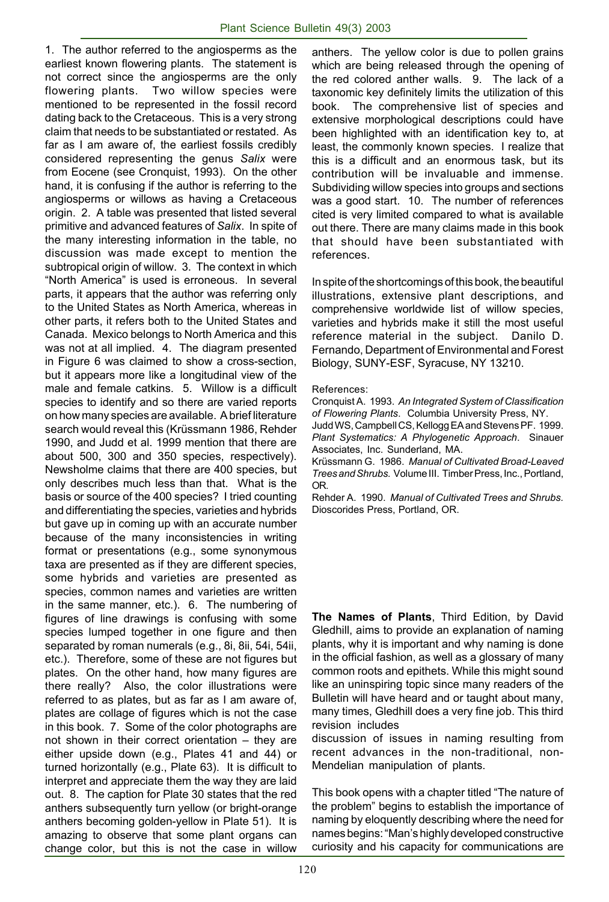1. The author referred to the angiosperms as the earliest known flowering plants. The statement is not correct since the angiosperms are the only flowering plants. Two willow species were mentioned to be represented in the fossil record dating back to the Cretaceous. This is a very strong claim that needs to be substantiated or restated. As far as I am aware of, the earliest fossils credibly considered representing the genus *Salix* were from Eocene (see Cronquist, 1993). On the other hand, it is confusing if the author is referring to the angiosperms or willows as having a Cretaceous origin. 2. A table was presented that listed several primitive and advanced features of *Salix*. In spite of the many interesting information in the table, no discussion was made except to mention the subtropical origin of willow. 3. The context in which "North America" is used is erroneous. In several parts, it appears that the author was referring only to the United States as North America, whereas in other parts, it refers both to the United States and Canada. Mexico belongs to North America and this was not at all implied. 4. The diagram presented in Figure 6 was claimed to show a cross-section, but it appears more like a longitudinal view of the male and female catkins. 5. Willow is a difficult species to identify and so there are varied reports on how many species are available. A brief literature search would reveal this (Krüssmann 1986, Rehder 1990, and Judd et al. 1999 mention that there are about 500, 300 and 350 species, respectively). Newsholme claims that there are 400 species, but only describes much less than that. What is the basis or source of the 400 species? I tried counting and differentiating the species, varieties and hybrids but gave up in coming up with an accurate number because of the many inconsistencies in writing format or presentations (e.g., some synonymous taxa are presented as if they are different species, some hybrids and varieties are presented as species, common names and varieties are written in the same manner, etc.). 6. The numbering of figures of line drawings is confusing with some species lumped together in one figure and then separated by roman numerals (e.g., 8i, 8ii, 54i, 54ii, etc.). Therefore, some of these are not figures but plates. On the other hand, how many figures are there really? Also, the color illustrations were referred to as plates, but as far as I am aware of, plates are collage of figures which is not the case in this book. 7. Some of the color photographs are not shown in their correct orientation – they are either upside down (e.g., Plates 41 and 44) or turned horizontally (e.g., Plate 63). It is difficult to interpret and appreciate them the way they are laid out. 8. The caption for Plate 30 states that the red anthers subsequently turn yellow (or bright-orange anthers becoming golden-yellow in Plate 51). It is amazing to observe that some plant organs can change color, but this is not the case in willow

anthers. The yellow color is due to pollen grains which are being released through the opening of the red colored anther walls. 9. The lack of a taxonomic key definitely limits the utilization of this book. The comprehensive list of species and extensive morphological descriptions could have been highlighted with an identification key to, at least, the commonly known species. I realize that this is a difficult and an enormous task, but its contribution will be invaluable and immense. Subdividing willow species into groups and sections was a good start. 10. The number of references cited is very limited compared to what is available out there. There are many claims made in this book that should have been substantiated with references.

In spite of the shortcomings of this book, the beautiful illustrations, extensive plant descriptions, and comprehensive worldwide list of willow species, varieties and hybrids make it still the most useful reference material in the subject. Danilo D. Fernando, Department of Environmental and Forest Biology, SUNY-ESF, Syracuse, NY 13210.

#### References:

Cronquist A. 1993. *An Integrated System of Classification of Flowering Plants*. Columbia University Press, NY. Judd WS, Campbell CS, Kellogg EA and Stevens PF. 1999. *Plant Systematics: A Phylogenetic Approach*. Sinauer Associates, Inc. Sunderland, MA.

Krüssmann G. 1986. *Manual of Cultivated Broad-Leaved Trees and Shrubs.* Volume III. Timber Press, Inc., Portland, OR.

Rehder A. 1990. *Manual of Cultivated Trees and Shrubs.* Dioscorides Press, Portland, OR.

**The Names of Plants**, Third Edition, by David Gledhill, aims to provide an explanation of naming plants, why it is important and why naming is done in the official fashion, as well as a glossary of many common roots and epithets. While this might sound like an uninspiring topic since many readers of the Bulletin will have heard and or taught about many, many times, Gledhill does a very fine job. This third revision includes

discussion of issues in naming resulting from recent advances in the non-traditional, non-Mendelian manipulation of plants.

This book opens with a chapter titled "The nature of the problem" begins to establish the importance of naming by eloquently describing where the need for names begins: "Man's highly developed constructive curiosity and his capacity for communications are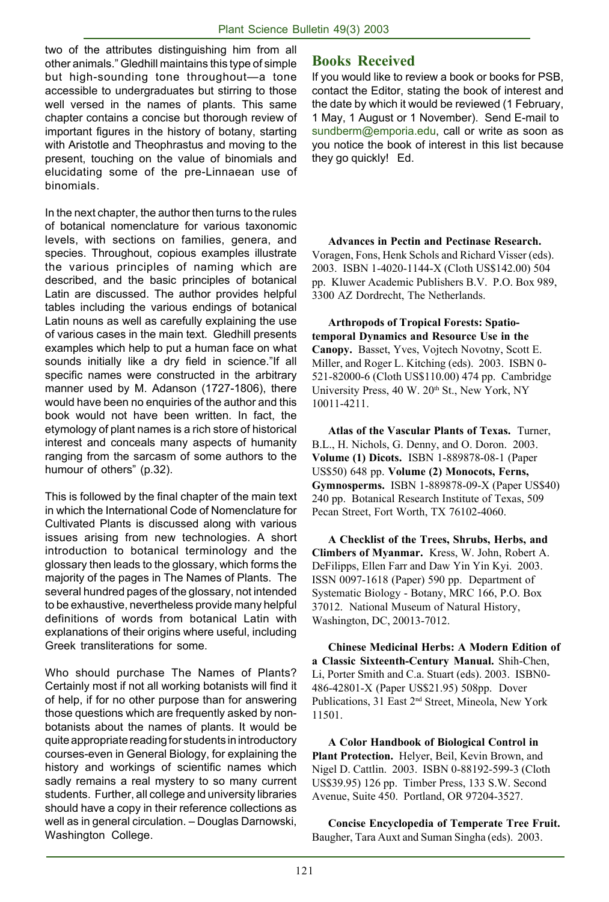two of the attributes distinguishing him from all other animals." Gledhill maintains this type of simple but high-sounding tone throughout—a tone accessible to undergraduates but stirring to those well versed in the names of plants. This same chapter contains a concise but thorough review of important figures in the history of botany, starting with Aristotle and Theophrastus and moving to the present, touching on the value of binomials and elucidating some of the pre-Linnaean use of binomials.

In the next chapter, the author then turns to the rules of botanical nomenclature for various taxonomic levels, with sections on families, genera, and species. Throughout, copious examples illustrate the various principles of naming which are described, and the basic principles of botanical Latin are discussed. The author provides helpful tables including the various endings of botanical Latin nouns as well as carefully explaining the use of various cases in the main text. Gledhill presents examples which help to put a human face on what sounds initially like a dry field in science."If all specific names were constructed in the arbitrary manner used by M. Adanson (1727-1806), there would have been no enquiries of the author and this book would not have been written. In fact, the etymology of plant names is a rich store of historical interest and conceals many aspects of humanity ranging from the sarcasm of some authors to the humour of others" (p.32).

This is followed by the final chapter of the main text in which the International Code of Nomenclature for Cultivated Plants is discussed along with various issues arising from new technologies. A short introduction to botanical terminology and the glossary then leads to the glossary, which forms the majority of the pages in The Names of Plants. The several hundred pages of the glossary, not intended to be exhaustive, nevertheless provide many helpful definitions of words from botanical Latin with explanations of their origins where useful, including Greek transliterations for some.

Who should purchase The Names of Plants? Certainly most if not all working botanists will find it of help, if for no other purpose than for answering those questions which are frequently asked by nonbotanists about the names of plants. It would be quite appropriate reading for students in introductory courses-even in General Biology, for explaining the history and workings of scientific names which sadly remains a real mystery to so many current students. Further, all college and university libraries should have a copy in their reference collections as well as in general circulation. – Douglas Darnowski, Washington College.

# **Books Received**

If you would like to review a book or books for PSB, contact the Editor, stating the book of interest and the date by which it would be reviewed (1 February, 1 May, 1 August or 1 November). Send E-mail to sundberm@emporia.edu, call or write as soon as you notice the book of interest in this list because they go quickly! Ed.

**Advances in Pectin and Pectinase Research.** Voragen, Fons, Henk Schols and Richard Visser (eds). 2003. ISBN 1-4020-1144-X (Cloth US\$142.00) 504 pp. Kluwer Academic Publishers B.V. P.O. Box 989, 3300 AZ Dordrecht, The Netherlands.

**Arthropods of Tropical Forests: Spatiotemporal Dynamics and Resource Use in the Canopy.** Basset, Yves, Vojtech Novotny, Scott E. Miller, and Roger L. Kitching (eds). 2003. ISBN 0- 521-82000-6 (Cloth US\$110.00) 474 pp. Cambridge University Press, 40 W. 20<sup>th</sup> St., New York, NY 10011-4211.

**Atlas of the Vascular Plants of Texas.** Turner, B.L., H. Nichols, G. Denny, and O. Doron. 2003. **Volume (1) Dicots.** ISBN 1-889878-08-1 (Paper US\$50) 648 pp. **Volume (2) Monocots, Ferns, Gymnosperms.** ISBN 1-889878-09-X (Paper US\$40) 240 pp. Botanical Research Institute of Texas, 509 Pecan Street, Fort Worth, TX 76102-4060.

**A Checklist of the Trees, Shrubs, Herbs, and Climbers of Myanmar.** Kress, W. John, Robert A. DeFilipps, Ellen Farr and Daw Yin Yin Kyi. 2003. ISSN 0097-1618 (Paper) 590 pp. Department of Systematic Biology - Botany, MRC 166, P.O. Box 37012. National Museum of Natural History, Washington, DC, 20013-7012.

**Chinese Medicinal Herbs: A Modern Edition of a Classic Sixteenth-Century Manual.** Shih-Chen, Li, Porter Smith and C.a. Stuart (eds). 2003. ISBN0- 486-42801-X (Paper US\$21.95) 508pp. Dover Publications, 31 East 2nd Street, Mineola, New York 11501.

**A Color Handbook of Biological Control in Plant Protection.** Helyer, Beil, Kevin Brown, and Nigel D. Cattlin. 2003. ISBN 0-88192-599-3 (Cloth US\$39.95) 126 pp. Timber Press, 133 S.W. Second Avenue, Suite 450. Portland, OR 97204-3527.

**Concise Encyclopedia of Temperate Tree Fruit.** Baugher, Tara Auxt and Suman Singha (eds). 2003.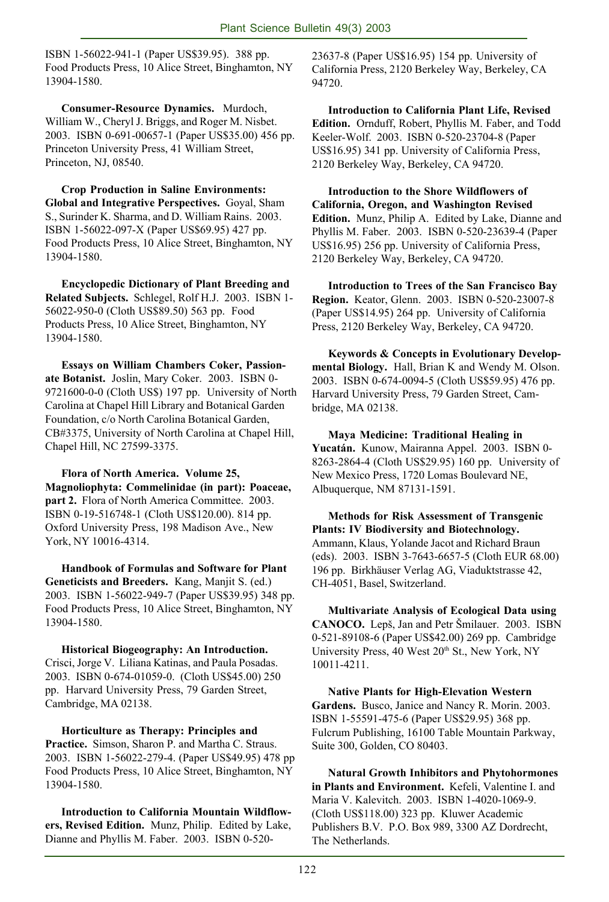ISBN 1-56022-941-1 (Paper US\$39.95). 388 pp. Food Products Press, 10 Alice Street, Binghamton, NY 13904-1580.

**Consumer-Resource Dynamics.** Murdoch, William W., Cheryl J. Briggs, and Roger M. Nisbet. 2003. ISBN 0-691-00657-1 (Paper US\$35.00) 456 pp. Princeton University Press, 41 William Street, Princeton, NJ, 08540.

**Crop Production in Saline Environments: Global and Integrative Perspectives.** Goyal, Sham S., Surinder K. Sharma, and D. William Rains. 2003. ISBN 1-56022-097-X (Paper US\$69.95) 427 pp. Food Products Press, 10 Alice Street, Binghamton, NY 13904-1580.

**Encyclopedic Dictionary of Plant Breeding and Related Subjects.** Schlegel, Rolf H.J. 2003. ISBN 1- 56022-950-0 (Cloth US\$89.50) 563 pp. Food Products Press, 10 Alice Street, Binghamton, NY 13904-1580.

**Essays on William Chambers Coker, Passionate Botanist.** Joslin, Mary Coker. 2003. ISBN 0- 9721600-0-0 (Cloth US\$) 197 pp. University of North Carolina at Chapel Hill Library and Botanical Garden Foundation, c/o North Carolina Botanical Garden, CB#3375, University of North Carolina at Chapel Hill, Chapel Hill, NC 27599-3375.

**Flora of North America. Volume 25, Magnoliophyta: Commelinidae (in part): Poaceae, part 2.** Flora of North America Committee. 2003. ISBN 0-19-516748-1 (Cloth US\$120.00). 814 pp. Oxford University Press, 198 Madison Ave., New York, NY 10016-4314.

**Handbook of Formulas and Software for Plant Geneticists and Breeders.** Kang, Manjit S. (ed.) 2003. ISBN 1-56022-949-7 (Paper US\$39.95) 348 pp. Food Products Press, 10 Alice Street, Binghamton, NY 13904-1580.

**Historical Biogeography: An Introduction.** Crisci, Jorge V. Liliana Katinas, and Paula Posadas. 2003. ISBN 0-674-01059-0. (Cloth US\$45.00) 250 pp. Harvard University Press, 79 Garden Street, Cambridge, MA 02138.

**Horticulture as Therapy: Principles and Practice.** Simson, Sharon P. and Martha C. Straus. 2003. ISBN 1-56022-279-4. (Paper US\$49.95) 478 pp Food Products Press, 10 Alice Street, Binghamton, NY 13904-1580.

**Introduction to California Mountain Wildflowers, Revised Edition.** Munz, Philip. Edited by Lake, Dianne and Phyllis M. Faber. 2003. ISBN 0-52023637-8 (Paper US\$16.95) 154 pp. University of California Press, 2120 Berkeley Way, Berkeley, CA 94720.

**Introduction to California Plant Life, Revised Edition.** Ornduff, Robert, Phyllis M. Faber, and Todd Keeler-Wolf. 2003. ISBN 0-520-23704-8 (Paper US\$16.95) 341 pp. University of California Press, 2120 Berkeley Way, Berkeley, CA 94720.

**Introduction to the Shore Wildflowers of California, Oregon, and Washington Revised Edition.** Munz, Philip A. Edited by Lake, Dianne and Phyllis M. Faber. 2003. ISBN 0-520-23639-4 (Paper US\$16.95) 256 pp. University of California Press, 2120 Berkeley Way, Berkeley, CA 94720.

**Introduction to Trees of the San Francisco Bay Region.** Keator, Glenn. 2003. ISBN 0-520-23007-8 (Paper US\$14.95) 264 pp. University of California Press, 2120 Berkeley Way, Berkeley, CA 94720.

**Keywords & Concepts in Evolutionary Developmental Biology.** Hall, Brian K and Wendy M. Olson. 2003. ISBN 0-674-0094-5 (Cloth US\$59.95) 476 pp. Harvard University Press, 79 Garden Street, Cambridge, MA 02138.

**Maya Medicine: Traditional Healing in Yucatán.** Kunow, Mairanna Appel. 2003. ISBN 0- 8263-2864-4 (Cloth US\$29.95) 160 pp. University of New Mexico Press, 1720 Lomas Boulevard NE, Albuquerque, NM 87131-1591.

**Methods for Risk Assessment of Transgenic Plants: IV Biodiversity and Biotechnology.** Ammann, Klaus, Yolande Jacot and Richard Braun (eds). 2003. ISBN 3-7643-6657-5 (Cloth EUR 68.00) 196 pp. Birkhäuser Verlag AG, Viaduktstrasse 42, CH-4051, Basel, Switzerland.

**Multivariate Analysis of Ecological Data using CANOCO.** Lepš, Jan and Petr Šmilauer. 2003. ISBN 0-521-89108-6 (Paper US\$42.00) 269 pp. Cambridge University Press, 40 West 20<sup>th</sup> St., New York, NY 10011-4211.

**Native Plants for High-Elevation Western Gardens.** Busco, Janice and Nancy R. Morin. 2003. ISBN 1-55591-475-6 (Paper US\$29.95) 368 pp. Fulcrum Publishing, 16100 Table Mountain Parkway, Suite 300, Golden, CO 80403.

**Natural Growth Inhibitors and Phytohormones in Plants and Environment.** Kefeli, Valentine I. and Maria V. Kalevitch. 2003. ISBN 1-4020-1069-9. (Cloth US\$118.00) 323 pp. Kluwer Academic Publishers B.V. P.O. Box 989, 3300 AZ Dordrecht, The Netherlands.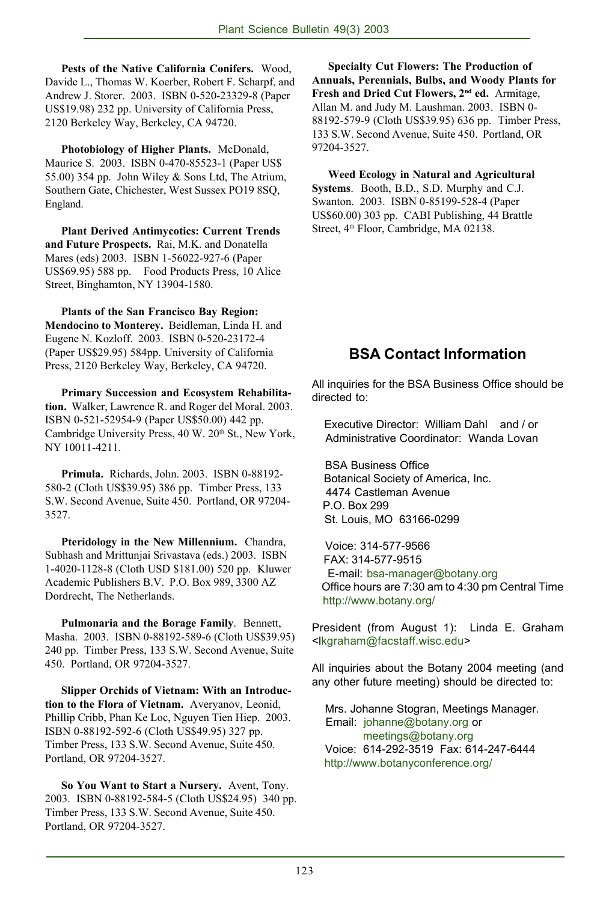**Pests of the Native California Conifers.** Wood, Davide L., Thomas W. Koerber, Robert F. Scharpf, and Andrew J. Storer. 2003. ISBN 0-520-23329-8 (Paper US\$19.98) 232 pp. University of California Press, 2120 Berkeley Way, Berkeley, CA 94720.

**Photobiology of Higher Plants.** McDonald, Maurice S. 2003. ISBN 0-470-85523-1 (Paper US\$ 55.00) 354 pp. John Wiley & Sons Ltd, The Atrium, Southern Gate, Chichester, West Sussex PO19 8SQ, England.

**Plant Derived Antimycotics: Current Trends and Future Prospects.** Rai, M.K. and Donatella Mares (eds) 2003. ISBN 1-56022-927-6 (Paper US\$69.95) 588 pp. Food Products Press, 10 Alice Street, Binghamton, NY 13904-1580.

**Plants of the San Francisco Bay Region: Mendocino to Monterey.** Beidleman, Linda H. and Eugene N. Kozloff. 2003. ISBN 0-520-23172-4 (Paper US\$29.95) 584pp. University of California Press, 2120 Berkeley Way, Berkeley, CA 94720.

**Primary Succession and Ecosystem Rehabilitation.** Walker, Lawrence R. and Roger del Moral. 2003. ISBN 0-521-52954-9 (Paper US\$50.00) 442 pp. Cambridge University Press, 40 W. 20<sup>th</sup> St., New York, NY 10011-4211.

**Primula.** Richards, John. 2003. ISBN 0-88192- 580-2 (Cloth US\$39.95) 386 pp. Timber Press, 133 S.W. Second Avenue, Suite 450. Portland, OR 97204- 3527.

**Pteridology in the New Millennium.** Chandra, Subhash and Mrittunjai Srivastava (eds.) 2003. ISBN 1-4020-1128-8 (Cloth USD \$181.00) 520 pp. Kluwer Academic Publishers B.V. P.O. Box 989, 3300 AZ Dordrecht, The Netherlands.

**Pulmonaria and the Borage Family**. Bennett, Masha. 2003. ISBN 0-88192-589-6 (Cloth US\$39.95) 240 pp. Timber Press, 133 S.W. Second Avenue, Suite 450. Portland, OR 97204-3527.

**Slipper Orchids of Vietnam: With an Introduction to the Flora of Vietnam.** Averyanov, Leonid, Phillip Cribb, Phan Ke Loc, Nguyen Tien Hiep. 2003. ISBN 0-88192-592-6 (Cloth US\$49.95) 327 pp. Timber Press, 133 S.W. Second Avenue, Suite 450. Portland, OR 97204-3527.

**So You Want to Start a Nursery.** Avent, Tony. 2003. ISBN 0-88192-584-5 (Cloth US\$24.95) 340 pp. Timber Press, 133 S.W. Second Avenue, Suite 450. Portland, OR 97204-3527.

**Specialty Cut Flowers: The Production of Annuals, Perennials, Bulbs, and Woody Plants for Fresh and Dried Cut Flowers, 2nd ed.** Armitage, Allan M. and Judy M. Laushman. 2003. ISBN 0- 88192-579-9 (Cloth US\$39.95) 636 pp. Timber Press, 133 S.W. Second Avenue, Suite 450. Portland, OR 97204-3527.

**Weed Ecology in Natural and Agricultural Systems**. Booth, B.D., S.D. Murphy and C.J. Swanton. 2003. ISBN 0-85199-528-4 (Paper US\$60.00) 303 pp. CABI Publishing, 44 Brattle Street, 4<sup>th</sup> Floor, Cambridge, MA 02138.

# **BSA Contact Information**

All inquiries for the BSA Business Office should be directed to:

 Executive Director: William Dahl and / or Administrative Coordinator: Wanda Lovan

 BSA Business Office Botanical Society of America, Inc. 4474 Castleman Avenue P.O. Box 299 St. Louis, MO 63166-0299

 Voice: 314-577-9566 FAX: 314-577-9515 E-mail: bsa-manager@botany.org Office hours are 7:30 am to 4:30 pm Central Time http://www.botany.org/

President (from August 1): Linda E. Graham <lkgraham@facstaff.wisc.edu>

All inquiries about the Botany 2004 meeting (and any other future meeting) should be directed to:

 Mrs. Johanne Stogran, Meetings Manager. Email: johanne@botany.org or meetings@botany.org Voice: 614-292-3519 Fax: 614-247-6444 http://www.botanyconference.org/